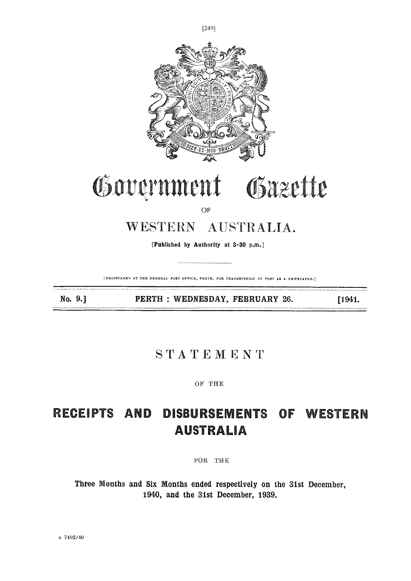

[REGISTERED AT THE GENERAL POST OFFICE, PERTH, FOR TRANSMISSION BY POST AS A NEWSPAPER.]

No. 9.1

PERTH : WEDNESDAY, FEBRUARY 26.

[1941.

### STATEMENT

OF THE

#### **DISBURSEMENTS** RECEIPTS AND OF WESTERN **AUSTRALIA**

FOR THE

Three Months and Six Months ended respectively on the 31st December, 1940, and the 31st December, 1939.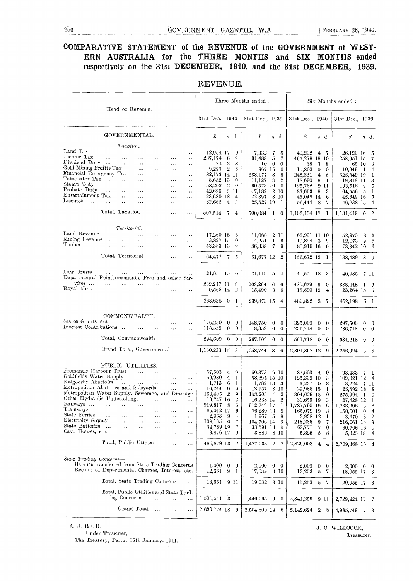#### COMPARATIVE STATEMENT of the REVENUE of the GOVERNMENT of WEST-ERN AUSTRALIA for the THREE MONTHS and SIX MONTHS ended respectively on the 31st DECEMBER, 1940, and the 31st DECEMBER, 1939.

|                                                                                                                                                                                                                                                                                                                 |                                                                                  |                                                                                                                                | Head of Revenue.                                                                                                                   |                                                                                                             |                                                                                                               |                                                                                                                            |                                                                                                                                  |                                                               |                                                                                                      | Three Months ended:                                                                                                                                              |                                                  |                                                                                          |                                                                                                                                               |                                                                                                                                             | Six Months ended:                                                                                                                                 |                                          |                                                                                                        |
|-----------------------------------------------------------------------------------------------------------------------------------------------------------------------------------------------------------------------------------------------------------------------------------------------------------------|----------------------------------------------------------------------------------|--------------------------------------------------------------------------------------------------------------------------------|------------------------------------------------------------------------------------------------------------------------------------|-------------------------------------------------------------------------------------------------------------|---------------------------------------------------------------------------------------------------------------|----------------------------------------------------------------------------------------------------------------------------|----------------------------------------------------------------------------------------------------------------------------------|---------------------------------------------------------------|------------------------------------------------------------------------------------------------------|------------------------------------------------------------------------------------------------------------------------------------------------------------------|--------------------------------------------------|------------------------------------------------------------------------------------------|-----------------------------------------------------------------------------------------------------------------------------------------------|---------------------------------------------------------------------------------------------------------------------------------------------|---------------------------------------------------------------------------------------------------------------------------------------------------|------------------------------------------|--------------------------------------------------------------------------------------------------------|
|                                                                                                                                                                                                                                                                                                                 |                                                                                  |                                                                                                                                |                                                                                                                                    |                                                                                                             |                                                                                                               |                                                                                                                            | 31st Dec., 1940.                                                                                                                 |                                                               |                                                                                                      | 31st Dec., 1939.                                                                                                                                                 |                                                  |                                                                                          | 31st Dec., 1940.                                                                                                                              |                                                                                                                                             | 31st Dec., 1939.                                                                                                                                  |                                          |                                                                                                        |
|                                                                                                                                                                                                                                                                                                                 |                                                                                  |                                                                                                                                | GOVERNMENTAL.                                                                                                                      |                                                                                                             |                                                                                                               |                                                                                                                            | £                                                                                                                                |                                                               | s. d.                                                                                                | £                                                                                                                                                                | s. d.                                            |                                                                                          | £                                                                                                                                             | s. d.                                                                                                                                       | £                                                                                                                                                 |                                          | s. d.                                                                                                  |
| Land Tax<br>Income Tax<br>Dividend Duty<br>$\rm God\thinspace Mining$ Profits $\rm Tax$<br>Financial Emergency Tax<br>Totalisator Tax<br>Stamp Duty<br>Probate Duty<br>Entertainment Tax<br>$\rm{Lieenses}$<br>$\cdots$                                                                                         | $\cdots$<br>$\ddotsc$<br>$\ddotsc$<br>$\sim 100$<br>$\ddotsc$<br>Total, Taxation | Taxation.<br>$\ddots$<br>$\ddotsc$<br>$\ldots$<br>$\ldots$<br>$\sim$ $\sim$<br>$\dots$<br>$\cdots$<br>$\cdots$<br>Territorial. | $\ddotsc$<br>$\cdots$<br>$\ddotsc$<br>$\ldots$<br>$\ldots$<br>$\ldots$<br>$\ldots$<br>$\ddotsc$<br>$\ddotsc$                       | .<br>$\cdots$<br>$\cdots$<br>$\cdots$<br>$\cdots$<br>$\cdots$<br>$\cdots$<br>$\cdots$<br>$\ldots$<br>.<br>. | .<br>$\cdots$<br>$\ldots$<br>$\cdots$<br>$\cdots$<br>$\cdots$<br>$\ldots$<br>$\cdots$<br>$\cdots$<br>$\cdots$ | $\cdots$<br>$\ldots$<br>$\ldots$<br>$\ldots$<br>$\cdots$<br>$\cdots$<br>$\ldots$<br>$\ddotsc$<br>$\cdots$<br>$\ldots$<br>. | 12,954 17<br>237,174<br>24<br>9,293<br>82,173 14 11<br>8,652 13<br>58,202<br>42,696<br>23,680 18<br>32,662<br>507,514 7          | -6<br>3<br>$\overline{2}$<br>$\overline{4}$                   | $\bf{0}$<br>9<br>8<br>8<br>$\mathbf{0}$<br>2 10<br>3 11<br>4<br>3<br>$\overline{4}$                  | 7,332<br>91.488<br>10<br>967 16<br>233,477<br>11,127<br>60,573 10<br>47,182<br>22,397<br>25,527 19 1<br>500,084 1 0                                              | 7<br>5<br>$\mathbf{0}$<br>8<br>3<br>2 10<br>8 10 | 5<br>$\overline{2}$<br>$\theta$<br>$\mathbf{0}$<br>6<br>$\boldsymbol{2}$<br>$\mathbf{0}$ | 40,202<br>467,279 19 10<br>38<br>15,803<br>248,221<br>18,690<br>125,762<br>83,663<br>46,049 14<br>56,444 8<br>1,102,154 17                    | 4<br>- 7<br>-3<br>8<br>$\mathbf{0}$<br>$\mathbf{0}$<br>$\overline{4}$<br>5<br>9<br>$\overline{4}$<br>$2$ $11$<br>-9<br>3<br>6<br>-7<br>- 1  | 26,120 16<br>258,651 15<br>$10,949$ I<br>525,849 19<br>19,818 11<br>133,518<br>64,556<br>45,649 16<br>46,238 15<br>1,131,419 0 2                  | 65 10<br>9<br>-5                         | -5<br>7<br>3<br>4<br>1<br>3<br>5<br>-1<br>-5<br>$\overline{4}$                                         |
| Land Revenue<br>Mining Revenue<br>Timber<br>$\ddotsc$                                                                                                                                                                                                                                                           | $\sim$<br>$\sim$ . $\sim$                                                        | $\ddotsc$<br>$\ldots$<br>$\ldots$                                                                                              | $\ldots$<br>$\ldots$<br>$\ddots$                                                                                                   | $\cdots$<br>.<br>$\ldots$                                                                                   | $\cdots$<br>$\cdots$                                                                                          | $\cdots$<br>$\cdots$<br>$\ddotsc$                                                                                          | 17,260 18<br>3,827 15<br>43,383 13                                                                                               |                                                               | -8<br>$\mathbf{0}$<br>-9                                                                             | 11,088<br>4,251<br>36,338                                                                                                                                        | 2 II<br>$\mathbf{I}$<br>$\overline{7}$           | 6<br>9                                                                                   | 63,931 11 10<br>10,824 3<br>81,916 16                                                                                                         | 9<br>6                                                                                                                                      | 52,973<br>12,173<br>73,342 10                                                                                                                     | 8<br>9                                   | 3<br>8<br>6                                                                                            |
|                                                                                                                                                                                                                                                                                                                 | Total, Territorial                                                               |                                                                                                                                |                                                                                                                                    | $\ldots$                                                                                                    | $\cdots$                                                                                                      | $\cdots$                                                                                                                   | 64,472 7                                                                                                                         |                                                               | -5                                                                                                   | 51,677 12                                                                                                                                                        |                                                  | $\overline{2}$                                                                           | 156,672 12                                                                                                                                    | - 1                                                                                                                                         | 138,489 8 5                                                                                                                                       |                                          |                                                                                                        |
| Law Courts<br>Departmental Reimbursements, Fees and other Ser-<br>vices                                                                                                                                                                                                                                         | $\ldots$<br>$\ddotsc$                                                            | $\ldots$                                                                                                                       | $\cdots$                                                                                                                           | $\ldots$                                                                                                    | $\ddotsc$                                                                                                     | $\cdots$<br>$\cdots$                                                                                                       | $21,851$ $15$ 0<br>232,217 11                                                                                                    |                                                               | 9                                                                                                    | 21,119<br>203,264                                                                                                                                                | -5<br>6                                          | $-4$<br>6                                                                                | 41,551 18<br>420,679                                                                                                                          | - 3<br>- 6<br>$\mathbf 0$                                                                                                                   | 40,485<br>388,448                                                                                                                                 | -7 II<br>$1 \quad 9$                     |                                                                                                        |
| Royal Mint                                                                                                                                                                                                                                                                                                      | $\ddotsc$                                                                        | $\cdots$                                                                                                                       | $\ddotsc$                                                                                                                          |                                                                                                             |                                                                                                               | $\cdots$                                                                                                                   | 9,568 14<br>263,638 0 11                                                                                                         |                                                               | $\overline{2}$                                                                                       | 15,490<br>239,873 15 4                                                                                                                                           | 3                                                | -6                                                                                       | 18,590 19<br>480,822 3                                                                                                                        | $\overline{4}$<br>- 7                                                                                                                       | 23,264 15 5<br>452,198 5 I                                                                                                                        |                                          |                                                                                                        |
| States Grants Act<br>Interest Contributions                                                                                                                                                                                                                                                                     |                                                                                  | $\ddotsc$                                                                                                                      | COMMONWEALTH.<br>$\ddotsc$<br>Total, Commonwealth<br>Grand Total, Governmental                                                     | $\cdots$<br>$\ldots$                                                                                        | .<br>$\ddotsc$<br>$\ddotsc$                                                                                   | $\cdots$<br>$\cdots$<br>$\cdots$<br>$\ddotsc$                                                                              | 176,250<br>118,359<br>294,609 0<br>1,130,233 15 8                                                                                | $\bf{0}$<br>$\theta$                                          | $\mathbf{0}$<br>$\mathbf{0}$<br>$\mathbf{0}$                                                         | 148,750<br>118,359<br>267,109<br>$1,058,744$ 8 6                                                                                                                 | $\mathbf{0}$<br>$\mathbf{0}$<br>$\overline{0}$   | $\theta$<br>$\mathbf{0}$<br>$\mathbf{0}$                                                 | 325,000<br>236,718<br>561,718 0 0<br>2,301,367 12                                                                                             | $\mathbf{0}$<br>$\mathbf{0}$<br>$\mathbf{0}$<br>$\mathbf{0}$<br>- 9                                                                         | 297,500<br>236,718<br>534,218 0 0<br>2,256,324 13 8                                                                                               | $\mathbf{0}$<br>$\mathbf{0}$             | $\mathbf{0}$<br>$\bf{0}$                                                                               |
| Fremantle Harbour Trust<br>Goldfields Water Supply<br>Kalgoorlie Abattoirs<br>Metropolitan Abattoirs and Saleyards<br>Metropolitan Water Supply, Sewerage, and Drainage<br>Other Hydraulic Undertakings<br>Railways<br>Trainways<br>State Ferries<br>Electricity Supply<br>State Batteries<br>Cave Houses, etc. | $\ldots$<br>.<br>$\cdots$                                                        | $\ldots$<br><br>.<br>$\ddotsc$<br>.<br>.<br>$\cdots$                                                                           | PUBLIC UTILITIES.<br>$\mathbf{1}$<br>$\ddotsc$<br><br>$\cdots$<br>$\ldots$<br>.<br>$\cdots$<br>$\cdots$<br>Total, Public Utilities | $\ddotsc$<br>$\ldots$<br>$\ldots$<br>.<br>.<br>.<br>$\cdots$<br>.<br>$\cdots$<br>.                          | $\ldots$<br>$\ldots$<br>$\ldots$<br>$\ddotsc$<br><br>.<br>.<br>$\cdots$<br>.<br>.                             | $\ddotsc$<br>$\ldots$<br>$\ldots$<br>$\cdots$<br><br>$\cdots$<br>$\ldots$<br>$\ldots$<br>$\cdots$<br>$\cdots$<br>$\ldots$  | 57,503<br>69,980<br>1,713<br>16,244<br>168,435<br>19,247 16<br>919,817<br>85,012 17<br>2,063<br>108,195<br>34,789 19<br>3,876 17 | $\overline{4}$<br>$\theta$<br>$\overline{2}$<br>-8<br>9<br>-6 | $\overline{4}$<br>$\theta$<br>-1<br>6 II<br>9<br>9<br>$\boldsymbol{2}$<br>6<br>6<br>4<br>7<br>7<br>0 | 50,373 6 10<br>58,294 15 10<br>1,782 13<br>13,957<br>153,203<br>16,238 14<br>912,749 17<br>76,280 19<br>$1,967 \quad 5$<br>104,706 14<br>33,591 13<br>3,886 8 10 | $\overline{4}$                                   | - 3<br>8 10<br>2<br>$\boldsymbol{2}$<br>1<br>9<br>9<br>3<br>5                            | 87,503<br>125,339 10<br>3,237<br>29,988 19<br>304,629 18<br>30,659 19<br>1,787,790 19<br>165,079 19<br>3,938 12<br>218,238<br>63,771<br>5,825 | $\frac{4}{3}$<br>$\mathbf{0}$<br>3<br>8<br>$\overline{0}$<br>-1<br>$\bf{0}$<br>3<br>-6<br>3<br>-1<br>9<br>-7<br>7<br>$\bf{0}$<br>$5\,$<br>8 | 93,433<br>109,021 12<br>3,224 7 11<br>25,592 18<br>275,994 I<br>27,428 12<br>1,738,908<br>150,001<br>3,670<br>216,061 15<br>60,706 16<br>5,325 18 | $\overline{7}$<br>3<br>$\mathbf{0}$<br>3 | -1<br>$\overline{4}$<br>8<br>$\mathbf{0}$<br>-1<br>8<br>4<br>$\boldsymbol{2}$<br>9<br>$\mathbf 0$<br>4 |
| State Trading Concerns-                                                                                                                                                                                                                                                                                         |                                                                                  |                                                                                                                                |                                                                                                                                    |                                                                                                             | $\cdots$                                                                                                      | $\cdots$                                                                                                                   | 1,486,879 13                                                                                                                     |                                                               | $\overline{2}$                                                                                       | 1,427,033                                                                                                                                                        | $2\quad 2$                                       |                                                                                          | 2,826,003 4                                                                                                                                   | -4                                                                                                                                          | 2,709,368 16 4                                                                                                                                    |                                          |                                                                                                        |
| Balance transferred from State Trading Concerns<br>Recoup of Departmental Charges, Interest, etc.                                                                                                                                                                                                               |                                                                                  |                                                                                                                                |                                                                                                                                    |                                                                                                             |                                                                                                               |                                                                                                                            | 1,000<br>12,661                                                                                                                  |                                                               | $0\quad 0$<br>9 II                                                                                   | 2,000<br>17,032                                                                                                                                                  | $\mathbf{0}$<br>3 10                             | $\mathbf{0}$                                                                             | 2,000<br>13,253                                                                                                                               | $\bf{0}$<br>$\mathbf 0$<br>$\overline{5}$<br>-7                                                                                             | 2,000<br>18,055 17                                                                                                                                | $0\quad 0$                               | -3                                                                                                     |
|                                                                                                                                                                                                                                                                                                                 |                                                                                  |                                                                                                                                | Total, State Trading Concerns<br>Total, Public Utilities and State Trad-                                                           |                                                                                                             |                                                                                                               | $\ldots$                                                                                                                   | 13,661 9 11                                                                                                                      |                                                               |                                                                                                      | 19,032                                                                                                                                                           | 3 10                                             |                                                                                          | $15,253$ 5                                                                                                                                    | - 7                                                                                                                                         | 20,055 17                                                                                                                                         |                                          | -3                                                                                                     |
|                                                                                                                                                                                                                                                                                                                 |                                                                                  | ing Concerns                                                                                                                   | Grand Total                                                                                                                        | .                                                                                                           |                                                                                                               | $\ldots$                                                                                                                   | $1,500,541$ 3                                                                                                                    |                                                               | - 1                                                                                                  | 1,446,065                                                                                                                                                        | 6                                                | $\overline{\ }$                                                                          | 2,841,256                                                                                                                                     | 9 II                                                                                                                                        | 2,729,424 13 7                                                                                                                                    |                                          |                                                                                                        |
|                                                                                                                                                                                                                                                                                                                 |                                                                                  |                                                                                                                                |                                                                                                                                    | $\sim$                                                                                                      | $\ldots$                                                                                                      | $\cdots$                                                                                                                   | 2,630,774 18                                                                                                                     |                                                               | 9                                                                                                    | 2,504,809 14                                                                                                                                                     |                                                  | -6                                                                                       | 5,142,624                                                                                                                                     | $\overline{2}$<br>- 8                                                                                                                       | 4,985,749                                                                                                                                         |                                          | 7 <sup>3</sup>                                                                                         |

#### REVENUE.

Under Treasurer,

The Treasury, Perth, 17th January, 1941.

A. J. REID,<br>
Under Treasurer,<br>
Treasurer,<br>
Treasurer,<br>
Treasurer,<br>
Treasurer,<br>
Treasurer,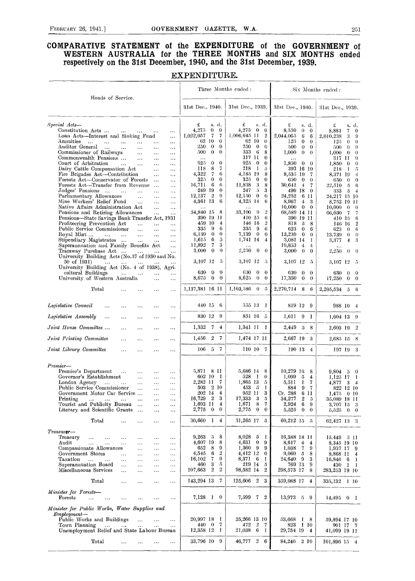#### COMPARATIVE STATEMENT ot the EXPENDITURE of the GOVERNMENT of WESTERN AUSTRALIA for the THREE MONTHS and SIX MONTHS ended respectively on the 31st December, 1940, and the 31st December, 1939.

EXPENDITURE.

 $\overline{\cdot}$ 

|                                                                                                                                                       |                                                                 | Three Months ended :                                         |                                                    | Six Months ended:                                   |
|-------------------------------------------------------------------------------------------------------------------------------------------------------|-----------------------------------------------------------------|--------------------------------------------------------------|----------------------------------------------------|-----------------------------------------------------|
| Heads of Service.                                                                                                                                     | 31st Dec., 1940.                                                | 31st Dec., 1939.                                             | 31st Dec., 1940.                                   | 31st Dec., 1939.                                    |
| Special Acts-                                                                                                                                         | £<br>s. d.                                                      | £<br>s. d.                                                   | £<br>s. d.                                         | £<br>s. d.                                          |
| Constitution Acts<br>$\ldots$<br>$\ldots$                                                                                                             | 4,275<br>$\bf{0}$<br>$\bf{0}$                                   | 4,275<br>$\bf{0}$<br>$\bf{0}$                                | 8.550<br>$\theta$<br>$\bf{0}$                      | 8,883<br>7<br>$\bf{0}$                              |
| Loan Acts-Interest and Sinking Fund<br>$\ldots$<br>Annuities                                                                                          | 7<br>1,022,057<br>7<br>62<br>-10<br>$\theta$                    | $1,006.645$ 11<br>$\overline{2}$<br>62 10<br>$\theta$        | 2,044,065<br>6<br>6<br>$\bf{0}$                    | 3<br>2,010.238<br>9                                 |
| $\sim$<br>$\sim$ .<br>$\bar{\nu}$ .<br>$\cdots$<br>$\cdots$<br>$\ldots$<br>Auditor General<br>$\sim$<br>$\ldots$<br>$\ldots$<br>$\ldots$<br>$\ddotsc$ | 250<br>$\bf{0}$<br>$\mathbf{0}$                                 | 250.<br>$\bf{0}$<br>$\theta$                                 | 125<br>$\theta$<br>500<br>$\theta$<br>$\mathbf{0}$ | $\theta$<br>125<br>$\theta$<br>500<br>0<br>$\theta$ |
| Commissioner of Railways<br>$\cdots$<br>$\cdots$<br>$\sim$ $\sim$ $\sim$                                                                              | $\bf{0}$<br>500<br>$\bf{0}$                                     | 6<br>333<br>8                                                | 1,000<br>$\theta$<br>$\theta$                      | 1,000<br>$\theta$<br>$\bf{0}$                       |
| Commonwealth Pensions<br>$\ldots$<br>$\sim$ $\sim$<br>$\sim$ $\sim$ $\sim$                                                                            | $\cdots$                                                        | 317 11<br>$\bf{0}$                                           |                                                    | 317 11<br>$\theta$                                  |
| Court of Arbitration<br>$\ddotsc$<br>$\sim$<br>$\ldots$<br>$\ldots$                                                                                   | $\bf{0}$<br>925<br>$\bf{0}$<br>$\overline{7}$<br>118<br>8       | 925<br>$\bf{0}$<br>$\bf{0}$<br>218<br>$\perp$<br>$\tilde{v}$ | 1,850<br>$0\quad 0$                                | 1,850<br>$\bf{0}$<br>$\theta$                       |
| Dairy Cattle Compensation Act<br>$\sim$ $\sim$<br>$\sim$ $\sim$ $\sim$<br>Fire Brigades Act-Contribution<br>$\ldots$<br>$\ldots$                      | 4,322<br>7<br>6                                                 | 4.185 19<br>8                                                | 393 16 10<br>8.535 19<br>-7                        | 218<br>$\overline{D}$<br>-1.<br>8,371 19<br>4       |
| Forests Act-Conservator of Forests<br>$\sim$ $\sim$ $\sim$<br>$\sim 100$                                                                              | $\bf{0}$<br>$\bf{0}$<br>325                                     | 325<br>$\bf{0}$<br>$\bf{0}$                                  | 650<br>$\bf{0}$<br>$\theta$                        | 650<br>$\bf{0}$<br>$\bf{0}$                         |
| Forests Act-Transfer from Revenue<br>$\sim 100$<br>$\sim$ $\sim$ $\sim$                                                                               | 6<br>16,711<br>6                                                | 3<br>11,838<br>8                                             | 30.641<br>$\frac{4}{3}$<br>-7                      | 22,510<br>5<br>6                                    |
| Judges' Pensions<br>$\sim 100$<br>$\cdots$<br>$\ddotsc$<br>$\ldots$                                                                                   | 249 19<br>$\bf{0}$<br>$\boldsymbol{2}$<br>9                     | 5<br>247<br>3<br>$\bf{0}$<br>$\theta$                        | 499 18<br>$\bf{0}$                                 | 333<br>5<br>$\overline{4}$                          |
| Parliamentary Allowances<br>$\ddotsc$<br>$\sim 10$<br>$\sim$ $\sim$<br>Mine Workers' Relief Fund<br>$\sim 100$<br>$\cdots$<br>$\sim$ $\sim$ $\sim$    | 12,137<br>6<br>4,361 13                                         | 12,150<br>4,325 14<br>6                                      | 24,252<br>6 11<br>8,967<br>$\overline{4}$<br>- 3   | 24,217 15 10<br>8,753 19 11                         |
| Native Affairs Administration Act<br>$\sim$ $\sim$<br>$\ldots$                                                                                        |                                                                 |                                                              | 10,000<br>$0\quad 0$                               | 10,000<br>0<br>$\theta$                             |
| Pensions and Retiring Allowances<br>$\sim 10$<br>$\cdots$                                                                                             | 34,840 15<br>- 8                                                | 33,100<br>-9<br>$\overline{2}$                               | 68,589 14 11                                       | 66,030<br>7<br>7                                    |
| Pensions-State Savings Bank Transfer Act, 1931                                                                                                        | 390 19 11<br>459 10                                             | 410 15<br>6                                                  | 390 19 11                                          | $410-15$<br>6                                       |
| Profiteering Prevention Act<br>$\cdots$<br>$\ddotsc$<br>$\cdots$<br>Public Service Commissioner<br>$\sim$ .<br>$\cdots$<br>$\sim$ $\sim$ $\sim$       | $\overline{4}$<br>335<br>-9<br>6                                | 146 16<br>$\overline{2}$<br>335<br>-9<br>6                   | 818<br>-5<br>8<br>623<br>$\mathbf{0}$<br>6         | $\overline{2}$<br>146 16<br>623<br>$\theta$<br>6    |
| Royal Mint<br>$\sim 100$<br>$\sim 10^{-1}$<br>$\ldots$                                                                                                | 6,139<br>$\bf{0}$<br>$\bf{0}$                                   | $\bf{0}$<br>7,139<br>$\bf{0}$                                | 13,239<br>$\bf{0}$<br>$\theta$                     | 13.739<br>$\theta$<br>$\theta$                      |
| Stipendiary Magistrates<br>$\ldots$<br>$\cdots$                                                                                                       | 6<br>1,615<br>5                                                 | 1,741 14<br>4                                                | 3,081 14<br>-1                                     | 3,377<br>$\ddagger$<br>3                            |
| Superannuation and Family Benefits Act<br>$\cdots$                                                                                                    | $\scriptstyle\rm 7$<br>3<br>11,892                              |                                                              | 19,853<br>$\overline{4}$<br>4                      |                                                     |
| Tramway Purchase Act<br>$\cdots$<br>University Building Acts (No.37 of 1930 and No.                                                                   | $\bf{0}$<br>3.000<br>$\boldsymbol{0}$                           | 2,250<br>$\bf{0}$<br>$\theta$                                | 3,000<br>$\theta$<br>$\bf{0}$                      | 2,250<br>$\theta$<br>$\theta$                       |
| 50 of 1931)                                                                                                                                           | 3,107 12<br>-5                                                  | 3,107 12<br>- 5                                              | 3,107 12<br>-5                                     | 3,107 12 5                                          |
| University Building Act (No. 4 of 1938), Agri-                                                                                                        |                                                                 |                                                              |                                                    |                                                     |
| cultural Buildings<br>$\ldots$<br>                                                                                                                    | 630<br>$\theta$<br>$\theta$                                     | 630<br>$\bf{0}$<br>$\bf{0}$                                  | 630<br>$\theta$<br>$\bf{0}$                        | $\theta$<br>630<br>- 0                              |
| University of Western Australia<br>$\ldots$<br>$\cdots$<br>Total                                                                                      | 8,675 0<br>$\bf{0}$<br>1,137,381 16 11                          | $\theta$<br>8,625<br>$\bf{0}$<br>$1,103,586$ 0 5             | $17,350 \quad 0 \quad 0$<br>2,270,714 8 6          | 17,250<br>$0\quad 0$<br>2,205,534 5 6               |
| $\ddotsc$<br>$\ddotsc$                                                                                                                                |                                                                 |                                                              |                                                    |                                                     |
| Legislative Council<br>$\cdots$<br>$\ddotsc$<br>                                                                                                      | 440 15 6                                                        | 555 13 1                                                     | 819 12 9                                           | 988 10 4                                            |
|                                                                                                                                                       | 830 12 9                                                        | 851 16 5                                                     | 1,611<br>-9<br>-1                                  |                                                     |
| Legislative Assembly<br>$\ldots$<br>$\cdots$<br>$\cdots$<br>$\cdots$<br>$\ldots$                                                                      |                                                                 |                                                              |                                                    | $1,604$ 13 9                                        |
| Joint House Committee<br>$\ddotsc$<br>$\ddotsc$<br>$\cdots$<br>$\cdots$                                                                               | $1,332 \quad 7 \quad 4$                                         | $1,341$ $11$ $1$                                             | 2,449 5 8                                          | 2,603 19 2                                          |
| Joint Printing Committee<br>$\ldots$<br>$\ddotsc$<br>$\ddotsc$<br>$\cdots$                                                                            | 1,456<br>$\overline{2}$<br>- 7                                  | 1,474 17 11                                                  | 2,667 19<br>3                                      | 2,685 15 8                                          |
| Joint Library Committee<br>$\cdots$<br>$\cdots$<br>$\cdots$<br>$\cdots$                                                                               | $106\quad 5\quad 7$                                             | 110 10 7                                                     | 190 13<br>$\overline{4}$                           | 197 19<br>3                                         |
| Premier-                                                                                                                                              |                                                                 |                                                              |                                                    |                                                     |
| Premier's Department<br>$\cdots$                                                                                                                      | 5,871 8 11                                                      | 5,686 14 8                                                   | 10,279 16<br>8                                     | 9,804 5<br>$\mathbf{0}$                             |
| $\cdots$<br>$\ldots$<br>Governor's Establishment<br>$\sim$ .<br>$\cdots$<br>$\cdots$                                                                  | 602 10<br>-1                                                    | 528<br>- 1<br>$\theta$                                       | 1,099<br>5<br>$\overline{4}$                       | $1,125$ 17<br>-1                                    |
| London Agency<br>$\ldots$<br>$\dots$<br>$\cdots$                                                                                                      | 2.282 11<br>7                                                   | 1,865 13<br>5                                                | 5.511<br>1<br>7                                    | 4,877<br>3<br>4                                     |
| Public Service Commissioner<br>$\ldots$<br>$\ddotsc$<br>$\cdots$                                                                                      | 503<br>$2\;10$                                                  | 453 5<br>1                                                   | 884<br>9<br>7                                      | 822 12 10                                           |
| Government Motor Car Service<br>$\ldots$<br>Printing                                                                                                  | 202 14<br>$\overline{4}$<br>$16,729$ 2<br>3                     | 952 11<br>3<br>17,333 3 5                                    | Cr. 288<br>6 11<br>34,277<br>$\,2\,$<br>5          | 1,475 0 10                                          |
| $\sim$ .<br>$\sim 10^{-1}$<br>$\sim$ $\sim$<br>$\sim$ $\sim$ $\sim$<br>$\ldots$<br>$\cdots$<br>Tourist and Publicity Bureau<br>$\ddotsc$<br>$\cdots$  | 1,693 11<br>$\overline{4}$                                      | 1,671 8 7                                                    | $\bf{6}$<br>2,924<br>9                             | 35,089 18 11<br>3,707 15 3                          |
| Literary and Scientific Grants<br>$\cdots$<br>$\ddotsc$                                                                                               | $2,775$ 0<br>$\bf{0}$                                           | $2,775 \quad 0 \quad 0$                                      | 5,525<br>$\mathbf{0}$<br>$\bf{0}$                  | $5,525$ 0 0                                         |
| Total<br>$\cdots$<br>$\cdots$<br>$\cdots$<br>$\ldots$                                                                                                 | 30,660 1 4                                                      | 31,265 17 5                                                  | $60,212$ 15 5                                      | 62,427 13 3                                         |
| Treasur <b>er</b> —                                                                                                                                   |                                                                 |                                                              |                                                    |                                                     |
| Treasury<br>$\ldots$<br>$\sim 100$<br>$\sim$ $\sim$<br>$\ldots$<br>$\cdots$<br>$\ldots$                                                               | 8<br>9,263<br>5                                                 | $8,028$ 5 1                                                  | 16,388 18 11                                       | 15.449 5 11                                         |
| Audit<br>$\ddotsc$<br>$\mathbf{r}$<br>$\sim$ $\sim$<br>$\ldots$<br>$\cdots$<br>$\ldots$                                                               | 8<br>4,607 19                                                   | $4,631$ 0 9                                                  | 8,617<br>$\overline{4}$<br>$\overline{4}$          | 8,345 19 10                                         |
| Compassionate Allowances<br>$\sim$ $\sim$<br>$\sim$ $\sim$<br>$\ldots$                                                                                | 9<br>652<br>8                                                   | $1,360$ 9 9                                                  | 1,038<br>$\overline{7}$<br>9                       | 1,937 17 9                                          |
| Government Stores<br>$\sim$ .<br>$\cdots$<br>$\sim$ $\sim$<br>$\ldots$<br>Taxation<br>$\sim$ .<br>$\cdots$                                            | $\boldsymbol{2}$<br>4,545<br>6<br>$\overline{7}$<br>9<br>16,102 | $4,412$ 12 0<br>8,371 6 1                                    | 9,060<br>- 5<br>8<br>24,640 9<br>$\boldsymbol{3}$  | 8,868 11 4<br>16,846 6 1                            |
| $\sim$ .<br>$\ldots$<br>$\ldots$<br>$\ldots$<br>Superanuuation Board<br>$\ldots$<br>$\ldots$<br>$\ldots$<br>$\ldots$                                  | 5<br>3<br>460                                                   | 219 14<br>-5                                                 | 769 13<br>9                                        | 430 1 1                                             |
| Miscellaneous Services<br>$\ddotsc$<br>$\cdots$<br>$\cdots$<br>$\ldots$                                                                               | $\boldsymbol{2}$<br>107,663<br>$\overline{2}$                   | 98,582 14<br>$\overline{2}$                                  | 298,573 17 8                                       | 283,253 19 10                                       |
| Total<br>$\cdots$<br>$\cdots$<br>$\ldots$<br>$\ldots$                                                                                                 | 143,294 13<br>7                                                 | $125,606$ 2 3                                                | 359,088 17 4                                       | 335,132 1 10                                        |
| Minister for Forests-                                                                                                                                 |                                                                 |                                                              |                                                    |                                                     |
| Forests<br>$\ddotsc$<br>$\ldots$<br>$\cdots$<br>$\cdots$<br>$\cdots$                                                                                  | 7,128 1 0                                                       | 7,599 7 2                                                    | 13,973 5 9                                         | $14,495 \quad 0 \quad 1$                            |
| Minister for Public Works, Water Supplies and                                                                                                         |                                                                 |                                                              |                                                    |                                                     |
| $Emplyyment$ —                                                                                                                                        |                                                                 |                                                              |                                                    |                                                     |
| Public Works and Buildings<br>$\cdots$<br>$\cdots$<br>$\ldots$                                                                                        | 20,997 18 1<br>440 0 7                                          | 25,266 13 10                                                 | 53,668<br>1 8                                      | 59,894 17 10                                        |
| Town Planning<br>$\sim 100$<br>$\cdots$<br>$\mathbf{r}$<br>$\ddotsc$<br>Unemployment Relief and State Labour Bureau                                   | 12,358 12 1                                                     | 2 7<br>472<br>21,038 6<br>-1                                 | 823 1 10<br>29,754 19 4                            | 901 17 7<br>41,099 19 11                            |
|                                                                                                                                                       |                                                                 |                                                              |                                                    |                                                     |
| $_{\rm Total}$<br>$\cdots$<br>$\ldots$                                                                                                                | 33,796 10 9                                                     | 46,777 2 6                                                   | 84,246 2 10                                        | 101,896 15 4                                        |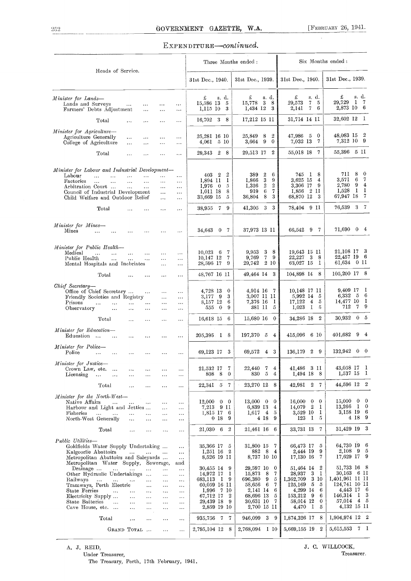#### EXPENDITURE-continued.

| Heads of Service.<br>31st Dec., 1939.<br>31st Dec., 1940.<br>31st Dec., 1939.<br>31st Dec., 1940.<br>£<br>s. d.<br>£<br>£<br>s. d.<br>£<br>s. d.<br>s. d.<br>$1 \t7$<br>29,729<br>-5<br>3<br>8<br>29.573<br>7<br>15.586 13<br>-5<br>15,778<br>Lands and Surveys<br>$\ddotsc$<br>$\ddotsc$<br>$\ldots$<br>$\cdots$<br>2,873 10 6<br>-6<br>1,434 12<br>3<br>2,141<br>7<br>1,115 10<br>3<br>Farmers' Debts Adjustment<br>$\ldots$<br>$\cdots$<br>$\cdots$<br>32,602 12 1<br>16,702 3 8<br>17,212 15 11<br>31,714 14 11<br>Total<br>$\cdots$<br><br>$\sim$ $\sim$<br>$\cdots$<br>48,083 15 2<br>47,986 5 0<br>25,849 8<br>$\boldsymbol{2}$<br>25,281 16 10<br>Agriculture Generally<br>$\ldots$<br><br>$\cdots$<br>$\cdots$<br>7,312 10 9<br>7,032 13 7<br>4,061 5 10<br>$3,664$ 9<br>$\mathbf{0}$<br>College of Agriculture<br>$\ldots$<br>$\cdots$<br>$\sim$ $\sim$<br>$\ldots$<br>55,396 5 11<br>$\overline{2}$<br>55,018 18 7<br>29,343 2 8<br>29,513 17<br>Total<br>.,.<br>$\cdots$<br>$\cdots$<br>$\cdots$<br>Minister for Labour and Industrial Development-<br>$\mathbf 0$<br>8<br>711<br>$\overline{2}$<br>389<br>6<br>745 I<br>403 2<br>$\boldsymbol{2}$<br>-8<br>Labour<br>$\mathbf{r}$ and $\mathbf{r}$ are the set of $\mathbf{r}$<br>$\sim$<br>$\cdots$<br>$\ldots$<br>$\ldots$<br>7<br>$\boldsymbol{\cdot}$<br>3,571<br>6<br>9<br>3,625 15<br>1,866<br>4<br>1,894 11<br>-1<br><b>Factories</b><br>$\sim$<br>$\cdots$<br>$\ldots$<br>$\ldots$<br>$\ldots$<br>$\cdots$<br>$\,2\,$<br>2,780<br>9<br>$\overline{4}$<br>$\,2$<br>3,306 17<br>-9<br>1,326<br>$1,976$ 0<br>-5<br>Arbitration Court<br>$\sim 10^{-1}$<br>$\ldots$<br>$\ldots$<br>$\cdots$<br>$\mathbf{I}$<br>-1<br>$6\phantom{.0}$<br>7<br>1,856 2 11<br>1,528<br>8<br>919<br>1.011 18<br>Council of Industrial Development<br>$\sim 10$<br>$\ldots$<br>67,947 18<br>-7<br>36,804 8<br>3<br>68,870 12<br>3<br>-5<br>33,669 15<br>Child Welfare and Outdoor Relief<br>$\sim$ .<br>$\ldots$<br>76,539 3 7<br>41,305 3 3<br>38,955 7 9<br>78,404 9 11<br>Total<br>$\sim$ $\sim$<br>$\sim$ $\sim$ $\sim$<br>$\ddotsc$<br>$\cdots$<br>Minister for Mines-<br>71,690 0 4<br>66,542 9 7<br>37,973 13 11<br>34,643 0 7<br>Mines<br>$\cdots$<br>$\cdots$<br>$\cdots$<br>$\cdots$<br>Minister for Public Health-<br>21,108 17 3<br>9,953<br>- 3<br>-8<br>19,643 15 11<br>$10,023$ 6<br>7<br>Medical<br>$\sim 10^{-1}$<br>and the state<br>$\sim 100$ km s $^{-1}$<br>$\ldots$<br>$\sim$ $\sim$<br>22,457 19 6<br>-9<br>22,227<br>$\cdot$ 3<br>8<br>10,147 12<br>9,769<br>-7<br>7<br>Public Health<br>$\mathbf{r}$ , $\mathbf{r}$ , $\mathbf{r}$<br>$\sim 100$<br>$\ldots$<br>$\ddotsc$<br>$\sim 10^{-1}$<br>61,634 0 11<br>29,742 2 10<br>63,027 15<br>$\mathbf{I}$<br>28,596 17<br>9<br>Mental Hospitals and Inebriates<br>$\ldots$<br>$\cdots$<br>105,200 17 8<br>104,898 14 8<br>49,464 14 3<br>48,767 16 11<br>Total<br>$\sim 10^{-1}$<br>$\cdots$<br>$\ldots$<br>$\cdots$<br>Chief Secretary-<br>-1<br>9,409 17<br>10,148 17 11<br>4,914 16 7<br>4,728 13 0<br>Office of Chief Secretary<br>$\sim$ .<br>$\cdots$<br>$\cdots$<br>6,332 $5$<br>-6<br>3,007 II II<br>5,992 14<br>3,177 9<br>3<br>- 5<br>Friendly Societies and Registry<br>$\sim$ $\sim$<br>$\ldots$<br>14,477 10<br>-1<br>6<br>7,376 16<br>17,122<br>$\overline{4}$<br>5<br>8,157 12<br>- 1<br>Prisons<br>$\sim$<br>$\sim 10^{-1}$<br>$\cdots$<br>$\cdots$<br>$\ldots$<br>$\ldots$<br>712 7<br>-9<br>381 11 5<br>$1,023$ 1<br>- 5<br>555 0<br>9<br>Observatory<br>$\cdots$<br>$\ldots$<br>$\cdots$<br>$\cdots$<br>$\cdots$<br>30,932 0 5<br>15,680 16 0<br>34,286 18 2<br>16,618 15 6<br>Total<br>$\cdots$<br>$\cdots$<br>$\ldots$<br>$\cdots$<br>Minister for Education-<br>401.682 9 4<br>197,370 5<br>$\overline{4}$<br>415,096 6 10<br>205,395 1 8<br>Education<br>$\ldots$<br>$\mathbf{r}$ .<br>$\sim$ $\sim$<br>$\ddotsc$<br>$\cdots$<br>Minister for Police-<br>132,942 0 0<br>136,179 2 9<br>69,123 17 3<br>69,572 4 3<br>Police<br>$\cdots$<br>$\sim 10^{-1}$<br>$\cdots$<br>$\ldots$<br>$\cdots$<br>$\cdots$<br>Minister for Justice-<br>43,058 17 1<br>7<br>41,486 3 11<br>22,440<br>4<br>21.532 17 7<br>Crown Law, etc.<br>$\ldots$<br>.<br>$\cdots$<br>$\cdots$<br>$\ddotsc$<br>1,537 15 1<br>830 5<br>1,494 18 8<br>808 8 0<br>$\overline{4}$<br>Licensing<br>$\ldots$<br>$\ldots$<br>$\cdots$<br>$\ldots$<br>$\ldots$<br>$\cdots$<br>44,596 12 2<br>23,270 12 8<br>42,981 2 7<br>22,341 5 7<br>Total<br>$\ddotsc$<br>$\ldots$<br>$\cdots$<br>$\ldots$<br>Minister for the North-West-<br>$15,000 \quad 0$<br>$\mathbf{0}$<br>$16,000 \quad 0$<br>$13,000 \quad 0 \quad 0$<br>$\overline{0}$<br>12,000<br>$0 \quad 0$<br>Native Affairs<br>$\cdots$<br>$\cdots$<br>$\dots$<br>$\cdots$<br>$\cdots$<br>13,266 1 0<br>14,079 2<br>7,213 9 11<br>6,839 13 4<br>$\mathbf{I}$<br>Harbour and Light and Jetties<br>$\cdots$<br>$\cdots$<br>3,158 19<br>6<br>3,529 10<br>1,815 17 6<br>$1,617$ 4 5<br>$\mathbf{I}$<br>Fisheries<br>$\cdots$<br>$\sim 100$ km s $^{-1}$<br>$\ldots$<br>$\ddotsc$<br><br>$\cdots$<br>4 18 9<br>4 18 9<br>123 I<br>0189<br>- 5<br>North-West Generally<br>$\sim$<br>$\ldots$<br><br>$\cdots$<br>31,429 19 3<br>21,030 6 2<br>21,461 16 6<br>33,731 13 7<br>Total<br>$\cdots$<br>$\ldots$<br>$\ddotsc$<br>$\cdots$<br>Public Utilities-<br>64,730 19<br>6<br>31,800 15 7<br>66,473 17<br>-5<br>35,366 17 5<br>Goldfields Water Supply Undertaking<br>$\ldots$<br>$2,108$ 9<br>5<br>-9<br>$8\quad 4$<br>2,444 19<br>Kalgoorlie Abattoirs<br>$1,251$ 16 2<br>882.<br>$\cdots$<br>17,629 17<br>9<br>8,737 10 10<br>17,130 16<br>8,526 19 11<br>-7<br>Metropolitan Abattoirs and Saleyards<br>$\ldots$<br>Metropolitan Water Supply, Sewerage,<br>and<br>51,733 16 8<br>29,597 10 0<br>51,464 14<br>$\overline{2}$<br>30,455 14 9<br>Drainage<br>$\cdots$<br>$\cdots$<br>$\ldots$<br>$\cdots$<br>30,163 6 11<br>- 3<br>15,873<br>8<br>28,937<br>14,972 17<br>7<br>$\mathbf{I}$<br>Other Hydraulic Undertakings<br>-1<br>$\cdots$<br>$\ldots$<br>1,401,961 11 11<br>9<br>1,362,709 3 10<br>683,113 1 9<br>696,380<br>5<br>Railways<br>$\sim 100$<br>$\ldots$<br>$\sim$ $\sim$<br>$\ldots$<br>124,741 10 11<br>125,169 5<br>58,656 6<br>7<br>- 5<br>Tramways, Perth Electric<br>60,059 16 11<br>$\cdots$<br>$\ldots$<br>$\ldots$<br>4,443 17 6<br>2,141 14 6<br>4,299 14<br>- 6<br><b>State Ferries</b><br>1,996 7 10<br>$\sim$ $\sim$<br>$\cdots$<br>$\ldots$<br>$\sim$ $\sim$<br>$\ldots$<br>146,314 1 3<br>68,696 13 5<br>153,212 9<br>-6<br>Electricity Supply<br>67,712 17<br>$^{\circ}$<br>$\cdots$<br>$\cdots$<br>$\sim$ $\sim$<br>$\ldots$<br>57,014 4 5<br>58,014 12<br>$\bf{0}$<br>State Batteries<br>29,439 18 9<br>30,631 10 7<br>$\ldots$<br>$\cdots$<br>$\cdots$<br>$\ldots$<br>$\ldots$<br>4,132 15 11<br>4,470 1<br>2,859 19 10<br>2,700 15 11<br>5<br>Cave House, etc.<br>$\cdots$<br>$\cdots$<br>$\ddotsc$<br>$\dots$<br>$1,904,974$ 12 2<br>$3 \quad 9$<br>1,874,326 17 8<br>935,756 7 7<br>946,099<br>Total<br>$\cdots$<br>$\cdots$<br>$\cdots$<br>$\ldots$<br>5,615,553 7 1<br>2,768,094 1 10<br>5,669,155 19 2<br>2,795,104 12 8<br>GRAND TOTAL<br>$\ldots$<br>$\ddotsc$ |                           |  |  | Three Months ended: |  | Six Months ended: |
|---------------------------------------------------------------------------------------------------------------------------------------------------------------------------------------------------------------------------------------------------------------------------------------------------------------------------------------------------------------------------------------------------------------------------------------------------------------------------------------------------------------------------------------------------------------------------------------------------------------------------------------------------------------------------------------------------------------------------------------------------------------------------------------------------------------------------------------------------------------------------------------------------------------------------------------------------------------------------------------------------------------------------------------------------------------------------------------------------------------------------------------------------------------------------------------------------------------------------------------------------------------------------------------------------------------------------------------------------------------------------------------------------------------------------------------------------------------------------------------------------------------------------------------------------------------------------------------------------------------------------------------------------------------------------------------------------------------------------------------------------------------------------------------------------------------------------------------------------------------------------------------------------------------------------------------------------------------------------------------------------------------------------------------------------------------------------------------------------------------------------------------------------------------------------------------------------------------------------------------------------------------------------------------------------------------------------------------------------------------------------------------------------------------------------------------------------------------------------------------------------------------------------------------------------------------------------------------------------------------------------------------------------------------------------------------------------------------------------------------------------------------------------------------------------------------------------------------------------------------------------------------------------------------------------------------------------------------------------------------------------------------------------------------------------------------------------------------------------------------------------------------------------------------------------------------------------------------------------------------------------------------------------------------------------------------------------------------------------------------------------------------------------------------------------------------------------------------------------------------------------------------------------------------------------------------------------------------------------------------------------------------------------------------------------------------------------------------------------------------------------------------------------------------------------------------------------------------------------------------------------------------------------------------------------------------------------------------------------------------------------------------------------------------------------------------------------------------------------------------------------------------------------------------------------------------------------------------------------------------------------------------------------------------------------------------------------------------------------------------------------------------------------------------------------------------------------------------------------------------------------------------------------------------------------------------------------------------------------------------------------------------------------------------------------------------------------------------------------------------------------------------------------------------------------------------------------------------------------------------------------------------------------------------------------------------------------------------------------------------------------------------------------------------------------------------------------------------------------------------------------------------------------------------------------------------------------------------------------------------------------------------------------------------------------------------------------------------------------------------------------------------------------------------------------------------------------------------------------------------------------------------------------------------------------------------------------------------------------------------------------------------------------------------------------------------------------------------------------------------------------------------------------------------------------------------------------------------------------------------------------------------------------------------------------------------------------------------------------------------------------------------------------------------------------------------------------------------------------------------------------------------------------------------------------------------------------------------------------------------------------------------------------------------------------------------------------------------------------------------------------------------------------------------------------------------------------------------------------------------------------------------------------------------------------------------------------------------------------------------------------------------------------------------------------------------------------------------------------------------------------------------------------------------------------------------------------------------------------------------------------------------------------------------------------------------------------------------------------------------------------------------------------------------------------------------------------------------------------------------------------------------------------------|---------------------------|--|--|---------------------|--|-------------------|
|                                                                                                                                                                                                                                                                                                                                                                                                                                                                                                                                                                                                                                                                                                                                                                                                                                                                                                                                                                                                                                                                                                                                                                                                                                                                                                                                                                                                                                                                                                                                                                                                                                                                                                                                                                                                                                                                                                                                                                                                                                                                                                                                                                                                                                                                                                                                                                                                                                                                                                                                                                                                                                                                                                                                                                                                                                                                                                                                                                                                                                                                                                                                                                                                                                                                                                                                                                                                                                                                                                                                                                                                                                                                                                                                                                                                                                                                                                                                                                                                                                                                                                                                                                                                                                                                                                                                                                                                                                                                                                                                                                                                                                                                                                                                                                                                                                                                                                                                                                                                                                                                                                                                                                                                                                                                                                                                                                                                                                                                                                                                                                                                                                                                                                                                                                                                                                                                                                                                                                                                                                                                                                                                                                                                                                                                                                                                                                                                                                                                                                                                                                                                                                                                                                                                                                                                                                                                                                                                                                                                                                                                                                                                                         |                           |  |  |                     |  |                   |
|                                                                                                                                                                                                                                                                                                                                                                                                                                                                                                                                                                                                                                                                                                                                                                                                                                                                                                                                                                                                                                                                                                                                                                                                                                                                                                                                                                                                                                                                                                                                                                                                                                                                                                                                                                                                                                                                                                                                                                                                                                                                                                                                                                                                                                                                                                                                                                                                                                                                                                                                                                                                                                                                                                                                                                                                                                                                                                                                                                                                                                                                                                                                                                                                                                                                                                                                                                                                                                                                                                                                                                                                                                                                                                                                                                                                                                                                                                                                                                                                                                                                                                                                                                                                                                                                                                                                                                                                                                                                                                                                                                                                                                                                                                                                                                                                                                                                                                                                                                                                                                                                                                                                                                                                                                                                                                                                                                                                                                                                                                                                                                                                                                                                                                                                                                                                                                                                                                                                                                                                                                                                                                                                                                                                                                                                                                                                                                                                                                                                                                                                                                                                                                                                                                                                                                                                                                                                                                                                                                                                                                                                                                                                                         | Minister for Lands-       |  |  |                     |  |                   |
|                                                                                                                                                                                                                                                                                                                                                                                                                                                                                                                                                                                                                                                                                                                                                                                                                                                                                                                                                                                                                                                                                                                                                                                                                                                                                                                                                                                                                                                                                                                                                                                                                                                                                                                                                                                                                                                                                                                                                                                                                                                                                                                                                                                                                                                                                                                                                                                                                                                                                                                                                                                                                                                                                                                                                                                                                                                                                                                                                                                                                                                                                                                                                                                                                                                                                                                                                                                                                                                                                                                                                                                                                                                                                                                                                                                                                                                                                                                                                                                                                                                                                                                                                                                                                                                                                                                                                                                                                                                                                                                                                                                                                                                                                                                                                                                                                                                                                                                                                                                                                                                                                                                                                                                                                                                                                                                                                                                                                                                                                                                                                                                                                                                                                                                                                                                                                                                                                                                                                                                                                                                                                                                                                                                                                                                                                                                                                                                                                                                                                                                                                                                                                                                                                                                                                                                                                                                                                                                                                                                                                                                                                                                                                         |                           |  |  |                     |  |                   |
|                                                                                                                                                                                                                                                                                                                                                                                                                                                                                                                                                                                                                                                                                                                                                                                                                                                                                                                                                                                                                                                                                                                                                                                                                                                                                                                                                                                                                                                                                                                                                                                                                                                                                                                                                                                                                                                                                                                                                                                                                                                                                                                                                                                                                                                                                                                                                                                                                                                                                                                                                                                                                                                                                                                                                                                                                                                                                                                                                                                                                                                                                                                                                                                                                                                                                                                                                                                                                                                                                                                                                                                                                                                                                                                                                                                                                                                                                                                                                                                                                                                                                                                                                                                                                                                                                                                                                                                                                                                                                                                                                                                                                                                                                                                                                                                                                                                                                                                                                                                                                                                                                                                                                                                                                                                                                                                                                                                                                                                                                                                                                                                                                                                                                                                                                                                                                                                                                                                                                                                                                                                                                                                                                                                                                                                                                                                                                                                                                                                                                                                                                                                                                                                                                                                                                                                                                                                                                                                                                                                                                                                                                                                                                         | Minister for Agriculture- |  |  |                     |  |                   |
|                                                                                                                                                                                                                                                                                                                                                                                                                                                                                                                                                                                                                                                                                                                                                                                                                                                                                                                                                                                                                                                                                                                                                                                                                                                                                                                                                                                                                                                                                                                                                                                                                                                                                                                                                                                                                                                                                                                                                                                                                                                                                                                                                                                                                                                                                                                                                                                                                                                                                                                                                                                                                                                                                                                                                                                                                                                                                                                                                                                                                                                                                                                                                                                                                                                                                                                                                                                                                                                                                                                                                                                                                                                                                                                                                                                                                                                                                                                                                                                                                                                                                                                                                                                                                                                                                                                                                                                                                                                                                                                                                                                                                                                                                                                                                                                                                                                                                                                                                                                                                                                                                                                                                                                                                                                                                                                                                                                                                                                                                                                                                                                                                                                                                                                                                                                                                                                                                                                                                                                                                                                                                                                                                                                                                                                                                                                                                                                                                                                                                                                                                                                                                                                                                                                                                                                                                                                                                                                                                                                                                                                                                                                                                         |                           |  |  |                     |  |                   |
|                                                                                                                                                                                                                                                                                                                                                                                                                                                                                                                                                                                                                                                                                                                                                                                                                                                                                                                                                                                                                                                                                                                                                                                                                                                                                                                                                                                                                                                                                                                                                                                                                                                                                                                                                                                                                                                                                                                                                                                                                                                                                                                                                                                                                                                                                                                                                                                                                                                                                                                                                                                                                                                                                                                                                                                                                                                                                                                                                                                                                                                                                                                                                                                                                                                                                                                                                                                                                                                                                                                                                                                                                                                                                                                                                                                                                                                                                                                                                                                                                                                                                                                                                                                                                                                                                                                                                                                                                                                                                                                                                                                                                                                                                                                                                                                                                                                                                                                                                                                                                                                                                                                                                                                                                                                                                                                                                                                                                                                                                                                                                                                                                                                                                                                                                                                                                                                                                                                                                                                                                                                                                                                                                                                                                                                                                                                                                                                                                                                                                                                                                                                                                                                                                                                                                                                                                                                                                                                                                                                                                                                                                                                                                         |                           |  |  |                     |  |                   |
|                                                                                                                                                                                                                                                                                                                                                                                                                                                                                                                                                                                                                                                                                                                                                                                                                                                                                                                                                                                                                                                                                                                                                                                                                                                                                                                                                                                                                                                                                                                                                                                                                                                                                                                                                                                                                                                                                                                                                                                                                                                                                                                                                                                                                                                                                                                                                                                                                                                                                                                                                                                                                                                                                                                                                                                                                                                                                                                                                                                                                                                                                                                                                                                                                                                                                                                                                                                                                                                                                                                                                                                                                                                                                                                                                                                                                                                                                                                                                                                                                                                                                                                                                                                                                                                                                                                                                                                                                                                                                                                                                                                                                                                                                                                                                                                                                                                                                                                                                                                                                                                                                                                                                                                                                                                                                                                                                                                                                                                                                                                                                                                                                                                                                                                                                                                                                                                                                                                                                                                                                                                                                                                                                                                                                                                                                                                                                                                                                                                                                                                                                                                                                                                                                                                                                                                                                                                                                                                                                                                                                                                                                                                                                         |                           |  |  |                     |  |                   |
|                                                                                                                                                                                                                                                                                                                                                                                                                                                                                                                                                                                                                                                                                                                                                                                                                                                                                                                                                                                                                                                                                                                                                                                                                                                                                                                                                                                                                                                                                                                                                                                                                                                                                                                                                                                                                                                                                                                                                                                                                                                                                                                                                                                                                                                                                                                                                                                                                                                                                                                                                                                                                                                                                                                                                                                                                                                                                                                                                                                                                                                                                                                                                                                                                                                                                                                                                                                                                                                                                                                                                                                                                                                                                                                                                                                                                                                                                                                                                                                                                                                                                                                                                                                                                                                                                                                                                                                                                                                                                                                                                                                                                                                                                                                                                                                                                                                                                                                                                                                                                                                                                                                                                                                                                                                                                                                                                                                                                                                                                                                                                                                                                                                                                                                                                                                                                                                                                                                                                                                                                                                                                                                                                                                                                                                                                                                                                                                                                                                                                                                                                                                                                                                                                                                                                                                                                                                                                                                                                                                                                                                                                                                                                         |                           |  |  |                     |  |                   |
|                                                                                                                                                                                                                                                                                                                                                                                                                                                                                                                                                                                                                                                                                                                                                                                                                                                                                                                                                                                                                                                                                                                                                                                                                                                                                                                                                                                                                                                                                                                                                                                                                                                                                                                                                                                                                                                                                                                                                                                                                                                                                                                                                                                                                                                                                                                                                                                                                                                                                                                                                                                                                                                                                                                                                                                                                                                                                                                                                                                                                                                                                                                                                                                                                                                                                                                                                                                                                                                                                                                                                                                                                                                                                                                                                                                                                                                                                                                                                                                                                                                                                                                                                                                                                                                                                                                                                                                                                                                                                                                                                                                                                                                                                                                                                                                                                                                                                                                                                                                                                                                                                                                                                                                                                                                                                                                                                                                                                                                                                                                                                                                                                                                                                                                                                                                                                                                                                                                                                                                                                                                                                                                                                                                                                                                                                                                                                                                                                                                                                                                                                                                                                                                                                                                                                                                                                                                                                                                                                                                                                                                                                                                                                         |                           |  |  |                     |  |                   |
|                                                                                                                                                                                                                                                                                                                                                                                                                                                                                                                                                                                                                                                                                                                                                                                                                                                                                                                                                                                                                                                                                                                                                                                                                                                                                                                                                                                                                                                                                                                                                                                                                                                                                                                                                                                                                                                                                                                                                                                                                                                                                                                                                                                                                                                                                                                                                                                                                                                                                                                                                                                                                                                                                                                                                                                                                                                                                                                                                                                                                                                                                                                                                                                                                                                                                                                                                                                                                                                                                                                                                                                                                                                                                                                                                                                                                                                                                                                                                                                                                                                                                                                                                                                                                                                                                                                                                                                                                                                                                                                                                                                                                                                                                                                                                                                                                                                                                                                                                                                                                                                                                                                                                                                                                                                                                                                                                                                                                                                                                                                                                                                                                                                                                                                                                                                                                                                                                                                                                                                                                                                                                                                                                                                                                                                                                                                                                                                                                                                                                                                                                                                                                                                                                                                                                                                                                                                                                                                                                                                                                                                                                                                                                         |                           |  |  |                     |  |                   |
|                                                                                                                                                                                                                                                                                                                                                                                                                                                                                                                                                                                                                                                                                                                                                                                                                                                                                                                                                                                                                                                                                                                                                                                                                                                                                                                                                                                                                                                                                                                                                                                                                                                                                                                                                                                                                                                                                                                                                                                                                                                                                                                                                                                                                                                                                                                                                                                                                                                                                                                                                                                                                                                                                                                                                                                                                                                                                                                                                                                                                                                                                                                                                                                                                                                                                                                                                                                                                                                                                                                                                                                                                                                                                                                                                                                                                                                                                                                                                                                                                                                                                                                                                                                                                                                                                                                                                                                                                                                                                                                                                                                                                                                                                                                                                                                                                                                                                                                                                                                                                                                                                                                                                                                                                                                                                                                                                                                                                                                                                                                                                                                                                                                                                                                                                                                                                                                                                                                                                                                                                                                                                                                                                                                                                                                                                                                                                                                                                                                                                                                                                                                                                                                                                                                                                                                                                                                                                                                                                                                                                                                                                                                                                         |                           |  |  |                     |  |                   |
|                                                                                                                                                                                                                                                                                                                                                                                                                                                                                                                                                                                                                                                                                                                                                                                                                                                                                                                                                                                                                                                                                                                                                                                                                                                                                                                                                                                                                                                                                                                                                                                                                                                                                                                                                                                                                                                                                                                                                                                                                                                                                                                                                                                                                                                                                                                                                                                                                                                                                                                                                                                                                                                                                                                                                                                                                                                                                                                                                                                                                                                                                                                                                                                                                                                                                                                                                                                                                                                                                                                                                                                                                                                                                                                                                                                                                                                                                                                                                                                                                                                                                                                                                                                                                                                                                                                                                                                                                                                                                                                                                                                                                                                                                                                                                                                                                                                                                                                                                                                                                                                                                                                                                                                                                                                                                                                                                                                                                                                                                                                                                                                                                                                                                                                                                                                                                                                                                                                                                                                                                                                                                                                                                                                                                                                                                                                                                                                                                                                                                                                                                                                                                                                                                                                                                                                                                                                                                                                                                                                                                                                                                                                                                         |                           |  |  |                     |  |                   |
|                                                                                                                                                                                                                                                                                                                                                                                                                                                                                                                                                                                                                                                                                                                                                                                                                                                                                                                                                                                                                                                                                                                                                                                                                                                                                                                                                                                                                                                                                                                                                                                                                                                                                                                                                                                                                                                                                                                                                                                                                                                                                                                                                                                                                                                                                                                                                                                                                                                                                                                                                                                                                                                                                                                                                                                                                                                                                                                                                                                                                                                                                                                                                                                                                                                                                                                                                                                                                                                                                                                                                                                                                                                                                                                                                                                                                                                                                                                                                                                                                                                                                                                                                                                                                                                                                                                                                                                                                                                                                                                                                                                                                                                                                                                                                                                                                                                                                                                                                                                                                                                                                                                                                                                                                                                                                                                                                                                                                                                                                                                                                                                                                                                                                                                                                                                                                                                                                                                                                                                                                                                                                                                                                                                                                                                                                                                                                                                                                                                                                                                                                                                                                                                                                                                                                                                                                                                                                                                                                                                                                                                                                                                                                         |                           |  |  |                     |  |                   |
|                                                                                                                                                                                                                                                                                                                                                                                                                                                                                                                                                                                                                                                                                                                                                                                                                                                                                                                                                                                                                                                                                                                                                                                                                                                                                                                                                                                                                                                                                                                                                                                                                                                                                                                                                                                                                                                                                                                                                                                                                                                                                                                                                                                                                                                                                                                                                                                                                                                                                                                                                                                                                                                                                                                                                                                                                                                                                                                                                                                                                                                                                                                                                                                                                                                                                                                                                                                                                                                                                                                                                                                                                                                                                                                                                                                                                                                                                                                                                                                                                                                                                                                                                                                                                                                                                                                                                                                                                                                                                                                                                                                                                                                                                                                                                                                                                                                                                                                                                                                                                                                                                                                                                                                                                                                                                                                                                                                                                                                                                                                                                                                                                                                                                                                                                                                                                                                                                                                                                                                                                                                                                                                                                                                                                                                                                                                                                                                                                                                                                                                                                                                                                                                                                                                                                                                                                                                                                                                                                                                                                                                                                                                                                         |                           |  |  |                     |  |                   |
|                                                                                                                                                                                                                                                                                                                                                                                                                                                                                                                                                                                                                                                                                                                                                                                                                                                                                                                                                                                                                                                                                                                                                                                                                                                                                                                                                                                                                                                                                                                                                                                                                                                                                                                                                                                                                                                                                                                                                                                                                                                                                                                                                                                                                                                                                                                                                                                                                                                                                                                                                                                                                                                                                                                                                                                                                                                                                                                                                                                                                                                                                                                                                                                                                                                                                                                                                                                                                                                                                                                                                                                                                                                                                                                                                                                                                                                                                                                                                                                                                                                                                                                                                                                                                                                                                                                                                                                                                                                                                                                                                                                                                                                                                                                                                                                                                                                                                                                                                                                                                                                                                                                                                                                                                                                                                                                                                                                                                                                                                                                                                                                                                                                                                                                                                                                                                                                                                                                                                                                                                                                                                                                                                                                                                                                                                                                                                                                                                                                                                                                                                                                                                                                                                                                                                                                                                                                                                                                                                                                                                                                                                                                                                         |                           |  |  |                     |  |                   |
|                                                                                                                                                                                                                                                                                                                                                                                                                                                                                                                                                                                                                                                                                                                                                                                                                                                                                                                                                                                                                                                                                                                                                                                                                                                                                                                                                                                                                                                                                                                                                                                                                                                                                                                                                                                                                                                                                                                                                                                                                                                                                                                                                                                                                                                                                                                                                                                                                                                                                                                                                                                                                                                                                                                                                                                                                                                                                                                                                                                                                                                                                                                                                                                                                                                                                                                                                                                                                                                                                                                                                                                                                                                                                                                                                                                                                                                                                                                                                                                                                                                                                                                                                                                                                                                                                                                                                                                                                                                                                                                                                                                                                                                                                                                                                                                                                                                                                                                                                                                                                                                                                                                                                                                                                                                                                                                                                                                                                                                                                                                                                                                                                                                                                                                                                                                                                                                                                                                                                                                                                                                                                                                                                                                                                                                                                                                                                                                                                                                                                                                                                                                                                                                                                                                                                                                                                                                                                                                                                                                                                                                                                                                                                         |                           |  |  |                     |  |                   |
|                                                                                                                                                                                                                                                                                                                                                                                                                                                                                                                                                                                                                                                                                                                                                                                                                                                                                                                                                                                                                                                                                                                                                                                                                                                                                                                                                                                                                                                                                                                                                                                                                                                                                                                                                                                                                                                                                                                                                                                                                                                                                                                                                                                                                                                                                                                                                                                                                                                                                                                                                                                                                                                                                                                                                                                                                                                                                                                                                                                                                                                                                                                                                                                                                                                                                                                                                                                                                                                                                                                                                                                                                                                                                                                                                                                                                                                                                                                                                                                                                                                                                                                                                                                                                                                                                                                                                                                                                                                                                                                                                                                                                                                                                                                                                                                                                                                                                                                                                                                                                                                                                                                                                                                                                                                                                                                                                                                                                                                                                                                                                                                                                                                                                                                                                                                                                                                                                                                                                                                                                                                                                                                                                                                                                                                                                                                                                                                                                                                                                                                                                                                                                                                                                                                                                                                                                                                                                                                                                                                                                                                                                                                                                         |                           |  |  |                     |  |                   |
|                                                                                                                                                                                                                                                                                                                                                                                                                                                                                                                                                                                                                                                                                                                                                                                                                                                                                                                                                                                                                                                                                                                                                                                                                                                                                                                                                                                                                                                                                                                                                                                                                                                                                                                                                                                                                                                                                                                                                                                                                                                                                                                                                                                                                                                                                                                                                                                                                                                                                                                                                                                                                                                                                                                                                                                                                                                                                                                                                                                                                                                                                                                                                                                                                                                                                                                                                                                                                                                                                                                                                                                                                                                                                                                                                                                                                                                                                                                                                                                                                                                                                                                                                                                                                                                                                                                                                                                                                                                                                                                                                                                                                                                                                                                                                                                                                                                                                                                                                                                                                                                                                                                                                                                                                                                                                                                                                                                                                                                                                                                                                                                                                                                                                                                                                                                                                                                                                                                                                                                                                                                                                                                                                                                                                                                                                                                                                                                                                                                                                                                                                                                                                                                                                                                                                                                                                                                                                                                                                                                                                                                                                                                                                         |                           |  |  |                     |  |                   |
|                                                                                                                                                                                                                                                                                                                                                                                                                                                                                                                                                                                                                                                                                                                                                                                                                                                                                                                                                                                                                                                                                                                                                                                                                                                                                                                                                                                                                                                                                                                                                                                                                                                                                                                                                                                                                                                                                                                                                                                                                                                                                                                                                                                                                                                                                                                                                                                                                                                                                                                                                                                                                                                                                                                                                                                                                                                                                                                                                                                                                                                                                                                                                                                                                                                                                                                                                                                                                                                                                                                                                                                                                                                                                                                                                                                                                                                                                                                                                                                                                                                                                                                                                                                                                                                                                                                                                                                                                                                                                                                                                                                                                                                                                                                                                                                                                                                                                                                                                                                                                                                                                                                                                                                                                                                                                                                                                                                                                                                                                                                                                                                                                                                                                                                                                                                                                                                                                                                                                                                                                                                                                                                                                                                                                                                                                                                                                                                                                                                                                                                                                                                                                                                                                                                                                                                                                                                                                                                                                                                                                                                                                                                                                         |                           |  |  |                     |  |                   |
|                                                                                                                                                                                                                                                                                                                                                                                                                                                                                                                                                                                                                                                                                                                                                                                                                                                                                                                                                                                                                                                                                                                                                                                                                                                                                                                                                                                                                                                                                                                                                                                                                                                                                                                                                                                                                                                                                                                                                                                                                                                                                                                                                                                                                                                                                                                                                                                                                                                                                                                                                                                                                                                                                                                                                                                                                                                                                                                                                                                                                                                                                                                                                                                                                                                                                                                                                                                                                                                                                                                                                                                                                                                                                                                                                                                                                                                                                                                                                                                                                                                                                                                                                                                                                                                                                                                                                                                                                                                                                                                                                                                                                                                                                                                                                                                                                                                                                                                                                                                                                                                                                                                                                                                                                                                                                                                                                                                                                                                                                                                                                                                                                                                                                                                                                                                                                                                                                                                                                                                                                                                                                                                                                                                                                                                                                                                                                                                                                                                                                                                                                                                                                                                                                                                                                                                                                                                                                                                                                                                                                                                                                                                                                         |                           |  |  |                     |  |                   |
|                                                                                                                                                                                                                                                                                                                                                                                                                                                                                                                                                                                                                                                                                                                                                                                                                                                                                                                                                                                                                                                                                                                                                                                                                                                                                                                                                                                                                                                                                                                                                                                                                                                                                                                                                                                                                                                                                                                                                                                                                                                                                                                                                                                                                                                                                                                                                                                                                                                                                                                                                                                                                                                                                                                                                                                                                                                                                                                                                                                                                                                                                                                                                                                                                                                                                                                                                                                                                                                                                                                                                                                                                                                                                                                                                                                                                                                                                                                                                                                                                                                                                                                                                                                                                                                                                                                                                                                                                                                                                                                                                                                                                                                                                                                                                                                                                                                                                                                                                                                                                                                                                                                                                                                                                                                                                                                                                                                                                                                                                                                                                                                                                                                                                                                                                                                                                                                                                                                                                                                                                                                                                                                                                                                                                                                                                                                                                                                                                                                                                                                                                                                                                                                                                                                                                                                                                                                                                                                                                                                                                                                                                                                                                         |                           |  |  |                     |  |                   |
|                                                                                                                                                                                                                                                                                                                                                                                                                                                                                                                                                                                                                                                                                                                                                                                                                                                                                                                                                                                                                                                                                                                                                                                                                                                                                                                                                                                                                                                                                                                                                                                                                                                                                                                                                                                                                                                                                                                                                                                                                                                                                                                                                                                                                                                                                                                                                                                                                                                                                                                                                                                                                                                                                                                                                                                                                                                                                                                                                                                                                                                                                                                                                                                                                                                                                                                                                                                                                                                                                                                                                                                                                                                                                                                                                                                                                                                                                                                                                                                                                                                                                                                                                                                                                                                                                                                                                                                                                                                                                                                                                                                                                                                                                                                                                                                                                                                                                                                                                                                                                                                                                                                                                                                                                                                                                                                                                                                                                                                                                                                                                                                                                                                                                                                                                                                                                                                                                                                                                                                                                                                                                                                                                                                                                                                                                                                                                                                                                                                                                                                                                                                                                                                                                                                                                                                                                                                                                                                                                                                                                                                                                                                                                         |                           |  |  |                     |  |                   |
|                                                                                                                                                                                                                                                                                                                                                                                                                                                                                                                                                                                                                                                                                                                                                                                                                                                                                                                                                                                                                                                                                                                                                                                                                                                                                                                                                                                                                                                                                                                                                                                                                                                                                                                                                                                                                                                                                                                                                                                                                                                                                                                                                                                                                                                                                                                                                                                                                                                                                                                                                                                                                                                                                                                                                                                                                                                                                                                                                                                                                                                                                                                                                                                                                                                                                                                                                                                                                                                                                                                                                                                                                                                                                                                                                                                                                                                                                                                                                                                                                                                                                                                                                                                                                                                                                                                                                                                                                                                                                                                                                                                                                                                                                                                                                                                                                                                                                                                                                                                                                                                                                                                                                                                                                                                                                                                                                                                                                                                                                                                                                                                                                                                                                                                                                                                                                                                                                                                                                                                                                                                                                                                                                                                                                                                                                                                                                                                                                                                                                                                                                                                                                                                                                                                                                                                                                                                                                                                                                                                                                                                                                                                                                         |                           |  |  |                     |  |                   |
|                                                                                                                                                                                                                                                                                                                                                                                                                                                                                                                                                                                                                                                                                                                                                                                                                                                                                                                                                                                                                                                                                                                                                                                                                                                                                                                                                                                                                                                                                                                                                                                                                                                                                                                                                                                                                                                                                                                                                                                                                                                                                                                                                                                                                                                                                                                                                                                                                                                                                                                                                                                                                                                                                                                                                                                                                                                                                                                                                                                                                                                                                                                                                                                                                                                                                                                                                                                                                                                                                                                                                                                                                                                                                                                                                                                                                                                                                                                                                                                                                                                                                                                                                                                                                                                                                                                                                                                                                                                                                                                                                                                                                                                                                                                                                                                                                                                                                                                                                                                                                                                                                                                                                                                                                                                                                                                                                                                                                                                                                                                                                                                                                                                                                                                                                                                                                                                                                                                                                                                                                                                                                                                                                                                                                                                                                                                                                                                                                                                                                                                                                                                                                                                                                                                                                                                                                                                                                                                                                                                                                                                                                                                                                         |                           |  |  |                     |  |                   |
|                                                                                                                                                                                                                                                                                                                                                                                                                                                                                                                                                                                                                                                                                                                                                                                                                                                                                                                                                                                                                                                                                                                                                                                                                                                                                                                                                                                                                                                                                                                                                                                                                                                                                                                                                                                                                                                                                                                                                                                                                                                                                                                                                                                                                                                                                                                                                                                                                                                                                                                                                                                                                                                                                                                                                                                                                                                                                                                                                                                                                                                                                                                                                                                                                                                                                                                                                                                                                                                                                                                                                                                                                                                                                                                                                                                                                                                                                                                                                                                                                                                                                                                                                                                                                                                                                                                                                                                                                                                                                                                                                                                                                                                                                                                                                                                                                                                                                                                                                                                                                                                                                                                                                                                                                                                                                                                                                                                                                                                                                                                                                                                                                                                                                                                                                                                                                                                                                                                                                                                                                                                                                                                                                                                                                                                                                                                                                                                                                                                                                                                                                                                                                                                                                                                                                                                                                                                                                                                                                                                                                                                                                                                                                         |                           |  |  |                     |  |                   |
|                                                                                                                                                                                                                                                                                                                                                                                                                                                                                                                                                                                                                                                                                                                                                                                                                                                                                                                                                                                                                                                                                                                                                                                                                                                                                                                                                                                                                                                                                                                                                                                                                                                                                                                                                                                                                                                                                                                                                                                                                                                                                                                                                                                                                                                                                                                                                                                                                                                                                                                                                                                                                                                                                                                                                                                                                                                                                                                                                                                                                                                                                                                                                                                                                                                                                                                                                                                                                                                                                                                                                                                                                                                                                                                                                                                                                                                                                                                                                                                                                                                                                                                                                                                                                                                                                                                                                                                                                                                                                                                                                                                                                                                                                                                                                                                                                                                                                                                                                                                                                                                                                                                                                                                                                                                                                                                                                                                                                                                                                                                                                                                                                                                                                                                                                                                                                                                                                                                                                                                                                                                                                                                                                                                                                                                                                                                                                                                                                                                                                                                                                                                                                                                                                                                                                                                                                                                                                                                                                                                                                                                                                                                                                         |                           |  |  |                     |  |                   |
|                                                                                                                                                                                                                                                                                                                                                                                                                                                                                                                                                                                                                                                                                                                                                                                                                                                                                                                                                                                                                                                                                                                                                                                                                                                                                                                                                                                                                                                                                                                                                                                                                                                                                                                                                                                                                                                                                                                                                                                                                                                                                                                                                                                                                                                                                                                                                                                                                                                                                                                                                                                                                                                                                                                                                                                                                                                                                                                                                                                                                                                                                                                                                                                                                                                                                                                                                                                                                                                                                                                                                                                                                                                                                                                                                                                                                                                                                                                                                                                                                                                                                                                                                                                                                                                                                                                                                                                                                                                                                                                                                                                                                                                                                                                                                                                                                                                                                                                                                                                                                                                                                                                                                                                                                                                                                                                                                                                                                                                                                                                                                                                                                                                                                                                                                                                                                                                                                                                                                                                                                                                                                                                                                                                                                                                                                                                                                                                                                                                                                                                                                                                                                                                                                                                                                                                                                                                                                                                                                                                                                                                                                                                                                         |                           |  |  |                     |  |                   |
|                                                                                                                                                                                                                                                                                                                                                                                                                                                                                                                                                                                                                                                                                                                                                                                                                                                                                                                                                                                                                                                                                                                                                                                                                                                                                                                                                                                                                                                                                                                                                                                                                                                                                                                                                                                                                                                                                                                                                                                                                                                                                                                                                                                                                                                                                                                                                                                                                                                                                                                                                                                                                                                                                                                                                                                                                                                                                                                                                                                                                                                                                                                                                                                                                                                                                                                                                                                                                                                                                                                                                                                                                                                                                                                                                                                                                                                                                                                                                                                                                                                                                                                                                                                                                                                                                                                                                                                                                                                                                                                                                                                                                                                                                                                                                                                                                                                                                                                                                                                                                                                                                                                                                                                                                                                                                                                                                                                                                                                                                                                                                                                                                                                                                                                                                                                                                                                                                                                                                                                                                                                                                                                                                                                                                                                                                                                                                                                                                                                                                                                                                                                                                                                                                                                                                                                                                                                                                                                                                                                                                                                                                                                                                         |                           |  |  |                     |  |                   |
|                                                                                                                                                                                                                                                                                                                                                                                                                                                                                                                                                                                                                                                                                                                                                                                                                                                                                                                                                                                                                                                                                                                                                                                                                                                                                                                                                                                                                                                                                                                                                                                                                                                                                                                                                                                                                                                                                                                                                                                                                                                                                                                                                                                                                                                                                                                                                                                                                                                                                                                                                                                                                                                                                                                                                                                                                                                                                                                                                                                                                                                                                                                                                                                                                                                                                                                                                                                                                                                                                                                                                                                                                                                                                                                                                                                                                                                                                                                                                                                                                                                                                                                                                                                                                                                                                                                                                                                                                                                                                                                                                                                                                                                                                                                                                                                                                                                                                                                                                                                                                                                                                                                                                                                                                                                                                                                                                                                                                                                                                                                                                                                                                                                                                                                                                                                                                                                                                                                                                                                                                                                                                                                                                                                                                                                                                                                                                                                                                                                                                                                                                                                                                                                                                                                                                                                                                                                                                                                                                                                                                                                                                                                                                         |                           |  |  |                     |  |                   |
|                                                                                                                                                                                                                                                                                                                                                                                                                                                                                                                                                                                                                                                                                                                                                                                                                                                                                                                                                                                                                                                                                                                                                                                                                                                                                                                                                                                                                                                                                                                                                                                                                                                                                                                                                                                                                                                                                                                                                                                                                                                                                                                                                                                                                                                                                                                                                                                                                                                                                                                                                                                                                                                                                                                                                                                                                                                                                                                                                                                                                                                                                                                                                                                                                                                                                                                                                                                                                                                                                                                                                                                                                                                                                                                                                                                                                                                                                                                                                                                                                                                                                                                                                                                                                                                                                                                                                                                                                                                                                                                                                                                                                                                                                                                                                                                                                                                                                                                                                                                                                                                                                                                                                                                                                                                                                                                                                                                                                                                                                                                                                                                                                                                                                                                                                                                                                                                                                                                                                                                                                                                                                                                                                                                                                                                                                                                                                                                                                                                                                                                                                                                                                                                                                                                                                                                                                                                                                                                                                                                                                                                                                                                                                         |                           |  |  |                     |  |                   |
|                                                                                                                                                                                                                                                                                                                                                                                                                                                                                                                                                                                                                                                                                                                                                                                                                                                                                                                                                                                                                                                                                                                                                                                                                                                                                                                                                                                                                                                                                                                                                                                                                                                                                                                                                                                                                                                                                                                                                                                                                                                                                                                                                                                                                                                                                                                                                                                                                                                                                                                                                                                                                                                                                                                                                                                                                                                                                                                                                                                                                                                                                                                                                                                                                                                                                                                                                                                                                                                                                                                                                                                                                                                                                                                                                                                                                                                                                                                                                                                                                                                                                                                                                                                                                                                                                                                                                                                                                                                                                                                                                                                                                                                                                                                                                                                                                                                                                                                                                                                                                                                                                                                                                                                                                                                                                                                                                                                                                                                                                                                                                                                                                                                                                                                                                                                                                                                                                                                                                                                                                                                                                                                                                                                                                                                                                                                                                                                                                                                                                                                                                                                                                                                                                                                                                                                                                                                                                                                                                                                                                                                                                                                                                         |                           |  |  |                     |  |                   |
|                                                                                                                                                                                                                                                                                                                                                                                                                                                                                                                                                                                                                                                                                                                                                                                                                                                                                                                                                                                                                                                                                                                                                                                                                                                                                                                                                                                                                                                                                                                                                                                                                                                                                                                                                                                                                                                                                                                                                                                                                                                                                                                                                                                                                                                                                                                                                                                                                                                                                                                                                                                                                                                                                                                                                                                                                                                                                                                                                                                                                                                                                                                                                                                                                                                                                                                                                                                                                                                                                                                                                                                                                                                                                                                                                                                                                                                                                                                                                                                                                                                                                                                                                                                                                                                                                                                                                                                                                                                                                                                                                                                                                                                                                                                                                                                                                                                                                                                                                                                                                                                                                                                                                                                                                                                                                                                                                                                                                                                                                                                                                                                                                                                                                                                                                                                                                                                                                                                                                                                                                                                                                                                                                                                                                                                                                                                                                                                                                                                                                                                                                                                                                                                                                                                                                                                                                                                                                                                                                                                                                                                                                                                                                         |                           |  |  |                     |  |                   |
|                                                                                                                                                                                                                                                                                                                                                                                                                                                                                                                                                                                                                                                                                                                                                                                                                                                                                                                                                                                                                                                                                                                                                                                                                                                                                                                                                                                                                                                                                                                                                                                                                                                                                                                                                                                                                                                                                                                                                                                                                                                                                                                                                                                                                                                                                                                                                                                                                                                                                                                                                                                                                                                                                                                                                                                                                                                                                                                                                                                                                                                                                                                                                                                                                                                                                                                                                                                                                                                                                                                                                                                                                                                                                                                                                                                                                                                                                                                                                                                                                                                                                                                                                                                                                                                                                                                                                                                                                                                                                                                                                                                                                                                                                                                                                                                                                                                                                                                                                                                                                                                                                                                                                                                                                                                                                                                                                                                                                                                                                                                                                                                                                                                                                                                                                                                                                                                                                                                                                                                                                                                                                                                                                                                                                                                                                                                                                                                                                                                                                                                                                                                                                                                                                                                                                                                                                                                                                                                                                                                                                                                                                                                                                         |                           |  |  |                     |  |                   |
|                                                                                                                                                                                                                                                                                                                                                                                                                                                                                                                                                                                                                                                                                                                                                                                                                                                                                                                                                                                                                                                                                                                                                                                                                                                                                                                                                                                                                                                                                                                                                                                                                                                                                                                                                                                                                                                                                                                                                                                                                                                                                                                                                                                                                                                                                                                                                                                                                                                                                                                                                                                                                                                                                                                                                                                                                                                                                                                                                                                                                                                                                                                                                                                                                                                                                                                                                                                                                                                                                                                                                                                                                                                                                                                                                                                                                                                                                                                                                                                                                                                                                                                                                                                                                                                                                                                                                                                                                                                                                                                                                                                                                                                                                                                                                                                                                                                                                                                                                                                                                                                                                                                                                                                                                                                                                                                                                                                                                                                                                                                                                                                                                                                                                                                                                                                                                                                                                                                                                                                                                                                                                                                                                                                                                                                                                                                                                                                                                                                                                                                                                                                                                                                                                                                                                                                                                                                                                                                                                                                                                                                                                                                                                         |                           |  |  |                     |  |                   |
|                                                                                                                                                                                                                                                                                                                                                                                                                                                                                                                                                                                                                                                                                                                                                                                                                                                                                                                                                                                                                                                                                                                                                                                                                                                                                                                                                                                                                                                                                                                                                                                                                                                                                                                                                                                                                                                                                                                                                                                                                                                                                                                                                                                                                                                                                                                                                                                                                                                                                                                                                                                                                                                                                                                                                                                                                                                                                                                                                                                                                                                                                                                                                                                                                                                                                                                                                                                                                                                                                                                                                                                                                                                                                                                                                                                                                                                                                                                                                                                                                                                                                                                                                                                                                                                                                                                                                                                                                                                                                                                                                                                                                                                                                                                                                                                                                                                                                                                                                                                                                                                                                                                                                                                                                                                                                                                                                                                                                                                                                                                                                                                                                                                                                                                                                                                                                                                                                                                                                                                                                                                                                                                                                                                                                                                                                                                                                                                                                                                                                                                                                                                                                                                                                                                                                                                                                                                                                                                                                                                                                                                                                                                                                         |                           |  |  |                     |  |                   |
|                                                                                                                                                                                                                                                                                                                                                                                                                                                                                                                                                                                                                                                                                                                                                                                                                                                                                                                                                                                                                                                                                                                                                                                                                                                                                                                                                                                                                                                                                                                                                                                                                                                                                                                                                                                                                                                                                                                                                                                                                                                                                                                                                                                                                                                                                                                                                                                                                                                                                                                                                                                                                                                                                                                                                                                                                                                                                                                                                                                                                                                                                                                                                                                                                                                                                                                                                                                                                                                                                                                                                                                                                                                                                                                                                                                                                                                                                                                                                                                                                                                                                                                                                                                                                                                                                                                                                                                                                                                                                                                                                                                                                                                                                                                                                                                                                                                                                                                                                                                                                                                                                                                                                                                                                                                                                                                                                                                                                                                                                                                                                                                                                                                                                                                                                                                                                                                                                                                                                                                                                                                                                                                                                                                                                                                                                                                                                                                                                                                                                                                                                                                                                                                                                                                                                                                                                                                                                                                                                                                                                                                                                                                                                         |                           |  |  |                     |  |                   |
|                                                                                                                                                                                                                                                                                                                                                                                                                                                                                                                                                                                                                                                                                                                                                                                                                                                                                                                                                                                                                                                                                                                                                                                                                                                                                                                                                                                                                                                                                                                                                                                                                                                                                                                                                                                                                                                                                                                                                                                                                                                                                                                                                                                                                                                                                                                                                                                                                                                                                                                                                                                                                                                                                                                                                                                                                                                                                                                                                                                                                                                                                                                                                                                                                                                                                                                                                                                                                                                                                                                                                                                                                                                                                                                                                                                                                                                                                                                                                                                                                                                                                                                                                                                                                                                                                                                                                                                                                                                                                                                                                                                                                                                                                                                                                                                                                                                                                                                                                                                                                                                                                                                                                                                                                                                                                                                                                                                                                                                                                                                                                                                                                                                                                                                                                                                                                                                                                                                                                                                                                                                                                                                                                                                                                                                                                                                                                                                                                                                                                                                                                                                                                                                                                                                                                                                                                                                                                                                                                                                                                                                                                                                                                         |                           |  |  |                     |  |                   |
|                                                                                                                                                                                                                                                                                                                                                                                                                                                                                                                                                                                                                                                                                                                                                                                                                                                                                                                                                                                                                                                                                                                                                                                                                                                                                                                                                                                                                                                                                                                                                                                                                                                                                                                                                                                                                                                                                                                                                                                                                                                                                                                                                                                                                                                                                                                                                                                                                                                                                                                                                                                                                                                                                                                                                                                                                                                                                                                                                                                                                                                                                                                                                                                                                                                                                                                                                                                                                                                                                                                                                                                                                                                                                                                                                                                                                                                                                                                                                                                                                                                                                                                                                                                                                                                                                                                                                                                                                                                                                                                                                                                                                                                                                                                                                                                                                                                                                                                                                                                                                                                                                                                                                                                                                                                                                                                                                                                                                                                                                                                                                                                                                                                                                                                                                                                                                                                                                                                                                                                                                                                                                                                                                                                                                                                                                                                                                                                                                                                                                                                                                                                                                                                                                                                                                                                                                                                                                                                                                                                                                                                                                                                                                         |                           |  |  |                     |  |                   |
|                                                                                                                                                                                                                                                                                                                                                                                                                                                                                                                                                                                                                                                                                                                                                                                                                                                                                                                                                                                                                                                                                                                                                                                                                                                                                                                                                                                                                                                                                                                                                                                                                                                                                                                                                                                                                                                                                                                                                                                                                                                                                                                                                                                                                                                                                                                                                                                                                                                                                                                                                                                                                                                                                                                                                                                                                                                                                                                                                                                                                                                                                                                                                                                                                                                                                                                                                                                                                                                                                                                                                                                                                                                                                                                                                                                                                                                                                                                                                                                                                                                                                                                                                                                                                                                                                                                                                                                                                                                                                                                                                                                                                                                                                                                                                                                                                                                                                                                                                                                                                                                                                                                                                                                                                                                                                                                                                                                                                                                                                                                                                                                                                                                                                                                                                                                                                                                                                                                                                                                                                                                                                                                                                                                                                                                                                                                                                                                                                                                                                                                                                                                                                                                                                                                                                                                                                                                                                                                                                                                                                                                                                                                                                         |                           |  |  |                     |  |                   |
|                                                                                                                                                                                                                                                                                                                                                                                                                                                                                                                                                                                                                                                                                                                                                                                                                                                                                                                                                                                                                                                                                                                                                                                                                                                                                                                                                                                                                                                                                                                                                                                                                                                                                                                                                                                                                                                                                                                                                                                                                                                                                                                                                                                                                                                                                                                                                                                                                                                                                                                                                                                                                                                                                                                                                                                                                                                                                                                                                                                                                                                                                                                                                                                                                                                                                                                                                                                                                                                                                                                                                                                                                                                                                                                                                                                                                                                                                                                                                                                                                                                                                                                                                                                                                                                                                                                                                                                                                                                                                                                                                                                                                                                                                                                                                                                                                                                                                                                                                                                                                                                                                                                                                                                                                                                                                                                                                                                                                                                                                                                                                                                                                                                                                                                                                                                                                                                                                                                                                                                                                                                                                                                                                                                                                                                                                                                                                                                                                                                                                                                                                                                                                                                                                                                                                                                                                                                                                                                                                                                                                                                                                                                                                         |                           |  |  |                     |  |                   |
|                                                                                                                                                                                                                                                                                                                                                                                                                                                                                                                                                                                                                                                                                                                                                                                                                                                                                                                                                                                                                                                                                                                                                                                                                                                                                                                                                                                                                                                                                                                                                                                                                                                                                                                                                                                                                                                                                                                                                                                                                                                                                                                                                                                                                                                                                                                                                                                                                                                                                                                                                                                                                                                                                                                                                                                                                                                                                                                                                                                                                                                                                                                                                                                                                                                                                                                                                                                                                                                                                                                                                                                                                                                                                                                                                                                                                                                                                                                                                                                                                                                                                                                                                                                                                                                                                                                                                                                                                                                                                                                                                                                                                                                                                                                                                                                                                                                                                                                                                                                                                                                                                                                                                                                                                                                                                                                                                                                                                                                                                                                                                                                                                                                                                                                                                                                                                                                                                                                                                                                                                                                                                                                                                                                                                                                                                                                                                                                                                                                                                                                                                                                                                                                                                                                                                                                                                                                                                                                                                                                                                                                                                                                                                         |                           |  |  |                     |  |                   |
|                                                                                                                                                                                                                                                                                                                                                                                                                                                                                                                                                                                                                                                                                                                                                                                                                                                                                                                                                                                                                                                                                                                                                                                                                                                                                                                                                                                                                                                                                                                                                                                                                                                                                                                                                                                                                                                                                                                                                                                                                                                                                                                                                                                                                                                                                                                                                                                                                                                                                                                                                                                                                                                                                                                                                                                                                                                                                                                                                                                                                                                                                                                                                                                                                                                                                                                                                                                                                                                                                                                                                                                                                                                                                                                                                                                                                                                                                                                                                                                                                                                                                                                                                                                                                                                                                                                                                                                                                                                                                                                                                                                                                                                                                                                                                                                                                                                                                                                                                                                                                                                                                                                                                                                                                                                                                                                                                                                                                                                                                                                                                                                                                                                                                                                                                                                                                                                                                                                                                                                                                                                                                                                                                                                                                                                                                                                                                                                                                                                                                                                                                                                                                                                                                                                                                                                                                                                                                                                                                                                                                                                                                                                                                         |                           |  |  |                     |  |                   |
|                                                                                                                                                                                                                                                                                                                                                                                                                                                                                                                                                                                                                                                                                                                                                                                                                                                                                                                                                                                                                                                                                                                                                                                                                                                                                                                                                                                                                                                                                                                                                                                                                                                                                                                                                                                                                                                                                                                                                                                                                                                                                                                                                                                                                                                                                                                                                                                                                                                                                                                                                                                                                                                                                                                                                                                                                                                                                                                                                                                                                                                                                                                                                                                                                                                                                                                                                                                                                                                                                                                                                                                                                                                                                                                                                                                                                                                                                                                                                                                                                                                                                                                                                                                                                                                                                                                                                                                                                                                                                                                                                                                                                                                                                                                                                                                                                                                                                                                                                                                                                                                                                                                                                                                                                                                                                                                                                                                                                                                                                                                                                                                                                                                                                                                                                                                                                                                                                                                                                                                                                                                                                                                                                                                                                                                                                                                                                                                                                                                                                                                                                                                                                                                                                                                                                                                                                                                                                                                                                                                                                                                                                                                                                         |                           |  |  |                     |  |                   |
|                                                                                                                                                                                                                                                                                                                                                                                                                                                                                                                                                                                                                                                                                                                                                                                                                                                                                                                                                                                                                                                                                                                                                                                                                                                                                                                                                                                                                                                                                                                                                                                                                                                                                                                                                                                                                                                                                                                                                                                                                                                                                                                                                                                                                                                                                                                                                                                                                                                                                                                                                                                                                                                                                                                                                                                                                                                                                                                                                                                                                                                                                                                                                                                                                                                                                                                                                                                                                                                                                                                                                                                                                                                                                                                                                                                                                                                                                                                                                                                                                                                                                                                                                                                                                                                                                                                                                                                                                                                                                                                                                                                                                                                                                                                                                                                                                                                                                                                                                                                                                                                                                                                                                                                                                                                                                                                                                                                                                                                                                                                                                                                                                                                                                                                                                                                                                                                                                                                                                                                                                                                                                                                                                                                                                                                                                                                                                                                                                                                                                                                                                                                                                                                                                                                                                                                                                                                                                                                                                                                                                                                                                                                                                         |                           |  |  |                     |  |                   |
|                                                                                                                                                                                                                                                                                                                                                                                                                                                                                                                                                                                                                                                                                                                                                                                                                                                                                                                                                                                                                                                                                                                                                                                                                                                                                                                                                                                                                                                                                                                                                                                                                                                                                                                                                                                                                                                                                                                                                                                                                                                                                                                                                                                                                                                                                                                                                                                                                                                                                                                                                                                                                                                                                                                                                                                                                                                                                                                                                                                                                                                                                                                                                                                                                                                                                                                                                                                                                                                                                                                                                                                                                                                                                                                                                                                                                                                                                                                                                                                                                                                                                                                                                                                                                                                                                                                                                                                                                                                                                                                                                                                                                                                                                                                                                                                                                                                                                                                                                                                                                                                                                                                                                                                                                                                                                                                                                                                                                                                                                                                                                                                                                                                                                                                                                                                                                                                                                                                                                                                                                                                                                                                                                                                                                                                                                                                                                                                                                                                                                                                                                                                                                                                                                                                                                                                                                                                                                                                                                                                                                                                                                                                                                         |                           |  |  |                     |  |                   |
|                                                                                                                                                                                                                                                                                                                                                                                                                                                                                                                                                                                                                                                                                                                                                                                                                                                                                                                                                                                                                                                                                                                                                                                                                                                                                                                                                                                                                                                                                                                                                                                                                                                                                                                                                                                                                                                                                                                                                                                                                                                                                                                                                                                                                                                                                                                                                                                                                                                                                                                                                                                                                                                                                                                                                                                                                                                                                                                                                                                                                                                                                                                                                                                                                                                                                                                                                                                                                                                                                                                                                                                                                                                                                                                                                                                                                                                                                                                                                                                                                                                                                                                                                                                                                                                                                                                                                                                                                                                                                                                                                                                                                                                                                                                                                                                                                                                                                                                                                                                                                                                                                                                                                                                                                                                                                                                                                                                                                                                                                                                                                                                                                                                                                                                                                                                                                                                                                                                                                                                                                                                                                                                                                                                                                                                                                                                                                                                                                                                                                                                                                                                                                                                                                                                                                                                                                                                                                                                                                                                                                                                                                                                                                         |                           |  |  |                     |  |                   |
|                                                                                                                                                                                                                                                                                                                                                                                                                                                                                                                                                                                                                                                                                                                                                                                                                                                                                                                                                                                                                                                                                                                                                                                                                                                                                                                                                                                                                                                                                                                                                                                                                                                                                                                                                                                                                                                                                                                                                                                                                                                                                                                                                                                                                                                                                                                                                                                                                                                                                                                                                                                                                                                                                                                                                                                                                                                                                                                                                                                                                                                                                                                                                                                                                                                                                                                                                                                                                                                                                                                                                                                                                                                                                                                                                                                                                                                                                                                                                                                                                                                                                                                                                                                                                                                                                                                                                                                                                                                                                                                                                                                                                                                                                                                                                                                                                                                                                                                                                                                                                                                                                                                                                                                                                                                                                                                                                                                                                                                                                                                                                                                                                                                                                                                                                                                                                                                                                                                                                                                                                                                                                                                                                                                                                                                                                                                                                                                                                                                                                                                                                                                                                                                                                                                                                                                                                                                                                                                                                                                                                                                                                                                                                         |                           |  |  |                     |  |                   |

Under Treasurer, Treasurer, Treasurer, Treasurer, Treasurer, Treasurer, Treasurer, Treasurer, Treasurer, Treasurer, Treasurer, Treasurer, Treasurer, Treasurer, Treasurer, Treasurer, Treasurer, Treasurer, Treasurer, Treasur The Treasury, Perth, 17th February, 1941.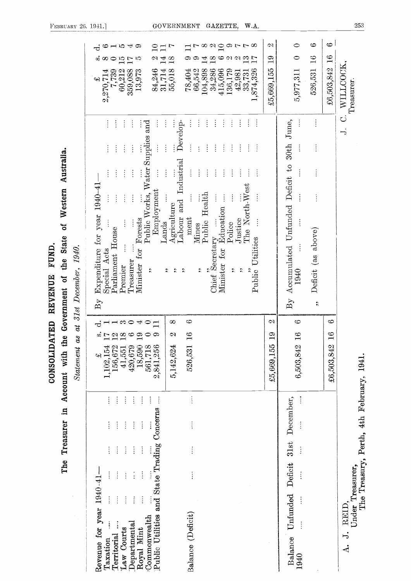| FEBRUARY 26, 1941.   | GOVERNMENT                                                                                                                                                                                                                                                                                                                                                                                                                                                                                                                                                | GAZETTE,<br>W.A.                                                                                                                                                                                                                                                                                                                                                                                                                                                                 |                                  |                                                                                                  |                                                                                |                                        | 253                                                                                           |
|----------------------|-----------------------------------------------------------------------------------------------------------------------------------------------------------------------------------------------------------------------------------------------------------------------------------------------------------------------------------------------------------------------------------------------------------------------------------------------------------------------------------------------------------------------------------------------------------|----------------------------------------------------------------------------------------------------------------------------------------------------------------------------------------------------------------------------------------------------------------------------------------------------------------------------------------------------------------------------------------------------------------------------------------------------------------------------------|----------------------------------|--------------------------------------------------------------------------------------------------|--------------------------------------------------------------------------------|----------------------------------------|-----------------------------------------------------------------------------------------------|
|                      | $\overline{\mathcal{A}}$<br>¢<br>$\rightarrow$ 70<br>అ<br>ಸ<br>14<br>N<br>$\frac{8}{10}$<br>ౚ<br>$\infty$<br>⊖<br>$\frac{15}{17}$<br>ю<br>Þ<br>CO.<br>84,246<br>31,714<br>66,542<br>55,018<br>78,404<br>2,270,714<br>7,739<br>$\begin{array}{c} 60{,}212 \\ 359{,}088 \\ 13{,}973 \end{array}$<br>$\leftrightarrow$                                                                                                                                                                                                                                       | $\infty$<br>$\frac{1}{2}$<br>⇔<br>œ<br>$\frac{8}{18}$<br>4<br>అ<br>CJ.<br>$\mathbf{r}$<br>N<br>$\overline{17}$<br>104,898<br>34,286<br>415,096<br>$\begin{array}{c} 136,179 \\ 42,981 \\ 33,731 \end{array}$<br>1,874,326                                                                                                                                                                                                                                                        | N<br>$\mathbf{g}$<br>£5,669,155  | ⇔<br>0<br>5,977,311                                                                              | Ô<br>$\frac{6}{1}$<br>526,531                                                  | $\circ$<br>$\frac{3}{1}$<br>£6,503,842 | WILLCOCK,<br>Treasurer                                                                        |
| 31st December, 1940. | and<br>$\vdots$<br>Develop-<br>÷<br>$\vdots$<br>ŧ<br>ŧ<br>$\vdots$<br>Public Works, Water Supplies<br>$\vdots$<br>$\vdots$<br>ŧ<br>$\vdots$<br>and Industrial<br>$\frac{1}{2}$<br>$\ddot{\cdot}$<br>$\vdots$<br>Employment<br>1940-<br>$\ddot{\cdot}$<br>$\ddot{\cdot}$<br>Ť<br>Agriculture<br>Expenditure for year<br>Labour<br>ment<br>Forests<br>Lands<br>Mines<br>Parliament House<br>Special Acts<br>for<br>Treasurer<br>Minister<br>Premier<br>$\ddot{\phantom{0}}$<br>$\ddot{\phantom{0}}$<br>$\ddot{\phantom{0}}$<br>÷,<br>$\mathrm{B}\mathrm{y}$ | $\vdots$<br>$\vdots$<br>$\vdots$<br>$\ddot{\cdot}$<br>÷<br>÷<br>÷<br>÷<br>ŧ<br>$\vdots$<br>$\vdots$<br>$\vdots$<br>$\vdots$<br>$\vdots$<br>$\ddot{\ddot{\cdot}}$<br>$\vdots$<br>$\vdots$<br>$\vdots$<br>$\vdots$<br>$\vdots$<br>÷<br>The North-West<br>Public Health<br>$\ddot{\ddot{\cdot}}$<br>Chief Secretary $\dots$<br>$\dots$ for Education .<br>Justice<br>$\vdots$<br>Police<br>Public Utilities<br>$\ddot{\phantom{0}}$<br>$\ddot{\phantom{0}}$<br>$\ddot{\phantom{0}}$ |                                  | $_{\rm June,}$<br>ļ<br>30th<br>Accumulated Unfunded Deficit to<br>1940<br>$\mathrm{B}\mathrm{y}$ | $\vdots$<br>$\vdots$<br>$\vdots$<br>Deficit (as above)<br>$\ddot{\phantom{0}}$ |                                        | ن<br>⇁                                                                                        |
| a t<br>Statement as  | 6<br>$\infty$<br>$\rightarrow \infty$<br>$\overline{\mathcal{A}}$<br>$\circ$<br>$\equiv$<br>ರ<br>$\overline{18}$<br>N<br>$\mathfrak{g}_{\mathbb{I}}$<br>5,142,624<br>$420,679$<br>18,590<br>561,718<br>2,841,256<br>526,531<br>156,672<br>1,102,154<br>41,551<br>پ                                                                                                                                                                                                                                                                                        |                                                                                                                                                                                                                                                                                                                                                                                                                                                                                  | N<br>$\frac{6}{1}$<br>£5,669,155 | Ô<br>$\breve{=}$<br>6,503,842                                                                    |                                                                                | S<br>ဇာ<br>$\equiv$<br>£6,503,842      | 1941.                                                                                         |
|                      | $\vdots$<br>Public Utilities and State Trading Concerns<br>÷<br>÷<br>$\vdots$<br>$\ddot{\ddot{\cdot}}$<br>$\vdots$<br>$\vdots$<br>$\vdots$<br>$\frac{1}{4}$<br>1940<br>year<br>Balance (Deficit)<br>Commonwealth<br>Departmental<br>Revenue for<br><b>Law Courts</b><br>Royal Mint<br>Territorial<br>Taxation                                                                                                                                                                                                                                             |                                                                                                                                                                                                                                                                                                                                                                                                                                                                                  |                                  | December,<br>31st<br>Deficit<br>Unfunded<br>Balance<br>1940                                      |                                                                                |                                        | The Treasury, Perth, 4th February,<br>Under Treasurer,<br>REID,<br>$\overline{J}$<br>$\Delta$ |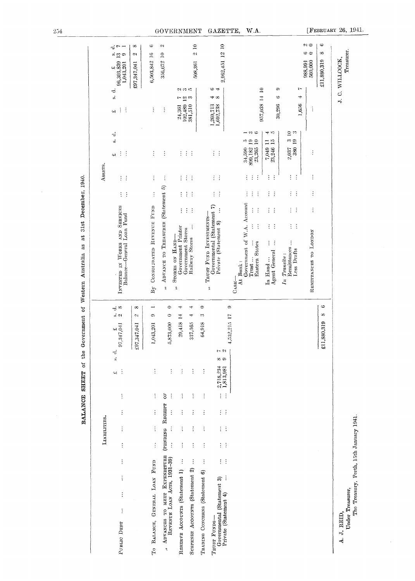|                                                                                                        | LIABILITIES.                 |               |               | 5<br><b>TRANS RANGEMENT</b> | i                     |                                                                                               |                                                                              |                      |                            | AssETS.                    |                                                            |                                                                   |                                                                                                            |  |
|--------------------------------------------------------------------------------------------------------|------------------------------|---------------|---------------|-----------------------------|-----------------------|-----------------------------------------------------------------------------------------------|------------------------------------------------------------------------------|----------------------|----------------------------|----------------------------|------------------------------------------------------------|-------------------------------------------------------------------|------------------------------------------------------------------------------------------------------------|--|
| $\vdots$<br>$\vdots$<br>$\vdots$<br>$\vdots$<br>$\ddot{\ddot{\cdot}}$<br>PUBLIC DEBT                   | $\vdots$                     | $\vdots$      | $\vdots$      | $\vdots$<br>ڊپ              | نۍ<br>ن               | $\div^{\infty}$<br>ക്ക<br>$\begin{array}{c} \text{\Large\it\pounds}\\ 97,347,041 \end{array}$ | INVESTED IN WORKS AND SERVICES<br>Balance-General Loan Fund                  |                      | $\vdots$<br>$\ddot{\cdot}$ | ÷<br>$\vdots$              | $\ddot{a}$<br>$\frac{1}{2}$<br>÷<br>بي                     | ċ<br>$\vec{v}$<br>$\vdots$<br>$\ddot{\cdot}$<br>$\omega$          | ಕ<br>$\overline{ }$<br>$\frac{3}{2}$<br>දා<br>$\begin{array}{c} 96,303,839 \\ 1,043,201 \end{array}$<br>ړي |  |
|                                                                                                        |                              |               |               |                             |                       | œ<br>$\mathfrak{D}1$<br>£97,347,041                                                           |                                                                              |                      |                            |                            |                                                            |                                                                   | တ<br>C)<br>£97,347,041                                                                                     |  |
| $\vdots$<br>TO BALANCE, GENERAL LOAN FUND                                                              | $\vdots$                     | $\vdots$      | $\vdots$      | $\vdots$                    |                       | $\overline{\phantom{a}}$<br>¢<br>1,043,201                                                    | By CONSOIDATED REVENUE FUND                                                  |                      | $\vdots$                   | $\vdots$                   | $\vdots$                                                   | $\vdots$                                                          | ⇔<br>6,503,842 16                                                                                          |  |
| $\vdots$<br>ADVANCES TO MEET EXPENDITURE<br>REVENUE LOAN ACTS, 1931-39)<br>$\hat{\boldsymbol{\gamma}}$ | (PENDING RECEIPT<br>$\vdots$ | $\vdots$      | Ġ<br>$\vdots$ | $\vdots$                    |                       | $\circ$<br>$\circ$<br>873,000<br>ю,                                                           | ADVANCE TO TREASURER (Statement 5)<br>$\ddot{ }$                             |                      |                            | $\vdots$                   | $\vdots$                                                   | $\vdots$                                                          | CJ.<br>356,672 10                                                                                          |  |
| $\vdots$<br>$\vdots$<br>RESERVE ACCOUNTS (Statement 1)                                                 | $\vdots$                     | $\vdots$      | $\vdots$      | $\vdots$                    |                       | ₩<br>H,<br>29,418                                                                             | Government Printer<br>Government Stores<br>STORES ON HAND-<br>$\ddot{\cdot}$ | $\vdots$             | $\vdots$                   | $\vdots$                   | $\vdots$                                                   | $\omega$ $\omega$ $\approx$<br>$\frac{1}{2}$<br>102,489<br>24,361 |                                                                                                            |  |
| $\vdots$<br>SUSPENSE ACCOUNTS (Statement 2)                                                            | $\vdots$                     | $\vdots$      | $\vdots$      | $\vdots$                    |                       | ₩<br>$\pm$<br>337,565                                                                         | $\vdots$<br>Railway Stores                                                   | $\vdots$<br>$\vdots$ | $\vdots$<br>÷              | $\ddot{z}$<br>$\vdots$     | ÷.<br>$\vdots$                                             | 381,510                                                           | $\tilde{=}$<br>$\overline{\mathcal{O}}$<br>508,361                                                         |  |
| $\vdots$<br>$\vdots$<br>TRADING CONCERNS (Statement 6)                                                 | $\vdots$                     | $\vdots$      | $\vdots$      | $\ddot{\cdot}$              |                       | $\bullet$<br>¢۵<br>64,918                                                                     | TRUST FUND INVESTMENTS-                                                      |                      |                            |                            |                                                            |                                                                   |                                                                                                            |  |
| $\vdots$<br>$\frac{1}{2}$ .<br>Governmental (Statement 3)<br>Private (Statement 4)<br>TRUST FUNDS-     | $\vdots$                     | $\vdots$      | $\vdots$      | 2,718,234<br>1,813,981      | $\sim \infty$<br>တ် တ |                                                                                               | Governmental (Statement 7)<br>Private (Statement 8)<br>$\ddot{\cdot}$        | $\vdots$             | $\vdots$<br>$\ddot{\cdot}$ | $\vdots$<br>$\vdots$       | $\vdots$<br>$\vdots$                                       | అ<br>÷<br>$\infty$<br>₩<br>$1,269,713$<br>$1,692,738$             | 2,962,451 12 10                                                                                            |  |
| $\vdots$<br>$\vdots$                                                                                   | $\vdots$                     | $\frac{1}{2}$ | $\vdots$      |                             |                       | ¢<br>,532,215 17                                                                              |                                                                              |                      |                            |                            |                                                            |                                                                   |                                                                                                            |  |
|                                                                                                        |                              |               |               |                             |                       |                                                                                               | Government of W.A. Account<br>At Bank:<br>C <sub>ASH</sub>                   |                      | $\vdots$                   |                            | ю<br>34,590                                                |                                                                   |                                                                                                            |  |
|                                                                                                        |                              |               |               |                             |                       |                                                                                               | $\vdots$<br>$\vdots$<br><b>Eastern States</b><br>Trust                       | $\vdots$<br>$\vdots$ | $\vdots$<br>$\vdots$       | ÷<br>$\ddot{\cdot}$        | ಾ ಅ<br>899, 182 19<br>23, 265 10                           | 957,038 14 10                                                     |                                                                                                            |  |
|                                                                                                        |                              |               |               |                             |                       |                                                                                               | ÷<br>$\vdots$<br>$\vdots$<br>$\vdots$<br>Agent General<br>In Hand            | $\vdots$<br>$\vdots$ | Ì<br>$\vdots$              | $\vdots$<br>$\ddot{\cdot}$ | نہ ہے<br>7,049 11<br>23,246 15                             | ¢.<br>७<br>30,296                                                 |                                                                                                            |  |
|                                                                                                        |                              |               |               |                             |                       |                                                                                               | $\frac{1}{2}$<br>Remittances<br>Less Drafts<br>$In$ $Transitu$ :             | $\vdots$<br>÷        | $\vdots$<br>$\ddot{\cdot}$ | $\vdots$<br>$\vdots$       | 3 <sup>10</sup><br>$\ddot{\phantom{0}}$<br>380 19<br>2,037 |                                                                   |                                                                                                            |  |
|                                                                                                        |                              |               |               |                             |                       |                                                                                               |                                                                              |                      |                            |                            |                                                            | t~<br>⇥<br>1,656                                                  |                                                                                                            |  |
|                                                                                                        |                              |               |               |                             | Ì                     |                                                                                               | REMITTANCES TO LONDON                                                        | $\ddot{\cdot}$       | $\vdots$                   | $\vdots$                   | $\vdots$                                                   | $\vdots$                                                          | $\infty$<br>ల ల<br>$\frac{988,991}{560,000}$                                                               |  |
|                                                                                                        |                              |               |               |                             | $\ddot{x}$            | అ<br>œ<br>,880,319                                                                            |                                                                              |                      |                            |                            |                                                            |                                                                   | $\ddot{\circ}$<br>တ<br>£11,880,319                                                                         |  |
| Under Treasurer.<br>A. J. REID,                                                                        |                              |               |               |                             |                       |                                                                                               |                                                                              |                      |                            |                            |                                                            |                                                                   | Treasurer.<br>J. C. WILLCOCK,                                                                              |  |

BALANCE SHEET of the Government of Western Australia as at 31st December, 1940.

 $254\,$ 

A Alexandria Perth, 15th January 1941.

 $\overline{\phantom{a}}$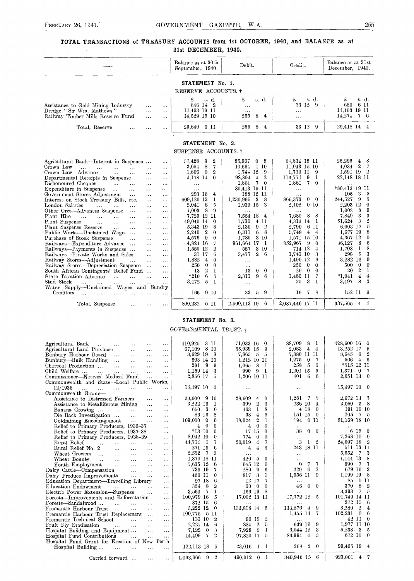#### TOTAL TRANSACTIONS of TREASURY ACCOUNTS from 1st OCTOBER, 1940, and BALANCE as at 31st DECEMBER, 1940.

|                                                                                                                                 | Balance as at 30th<br>September, 1940.                                                                     | Debit.                                                           | Credit.                                                    | Balance as at 31st<br>December, 1940.                             |
|---------------------------------------------------------------------------------------------------------------------------------|------------------------------------------------------------------------------------------------------------|------------------------------------------------------------------|------------------------------------------------------------|-------------------------------------------------------------------|
|                                                                                                                                 | STATEMENT No. 1.                                                                                           |                                                                  |                                                            |                                                                   |
|                                                                                                                                 | RESERVE ACCOUNTS. +                                                                                        |                                                                  |                                                            |                                                                   |
| Assistance to Gold Mining Industry<br><br>Dredge "Sir Wm. Mathews"<br>$\cdots$<br>Railway Timber Mills Reserve Fund<br>$\cdots$ | £<br>s. d.<br>646 14<br>$\overline{2}$<br>$\cdots$<br>14,463 19 11<br>$\cdots$<br>14,529 15 10<br>$\cdots$ | £<br>s. d.<br>$\cdots$<br>$\cdots$<br>8<br>255<br>$\overline{4}$ | £<br>s. d.<br>33<br>12<br>-9<br>$\ldots$<br>$\ddotsc$<br>9 | £<br>s. d.<br>6 11<br>680<br>14,463 19 11<br>14,274<br>$7\quad 6$ |
| Total, Reserve<br>$\cdots$                                                                                                      | 29,640<br>9 11<br>$\cdots$                                                                                 | 8<br>255<br>$\overline{4}$                                       | 33 12                                                      | 29,418 14 4                                                       |
|                                                                                                                                 | STATEMENT No. 2.<br>SUSPENSE ACCOUNTS. +                                                                   |                                                                  |                                                            |                                                                   |
| Agricultural Bank—Interest in Suspense<br>Crown Law                                                                             | 57,428<br>9<br>$\overline{2}$<br>$\cdots$<br>8<br>7<br>3,654                                               | 85,967<br>$\bf{0}$<br>5<br>10.664<br>-1 10                       | 54,834 15 11<br>11,043 15 10                               | 26,296<br>8<br>$\overline{4}$<br>$\overline{2}$<br>7<br>4.034     |
| $\ddotsc$<br>$\ddotsc$<br>$\cdots$<br>$\ddotsc$<br>$\ddotsc$<br>Crown Law-Advance<br>$\ddotsc$                                  | $\cdots$<br>1,606<br>$\overline{0}$<br>$\overline{2}$                                                      | 1,744 12<br>-9                                                   | 1,730 11<br>- 9                                            | 1,591 19<br>$\overline{2}$                                        |
| $\cdots$<br><br>Departmental Receipts in Suspense<br>$\cdots$                                                                   | $\cdots$<br>4,178 14<br>$\theta$<br>$\cdots$                                                               | 98,804<br>$\overline{2}$<br>$\bf{4}$                             | 116,774<br>9<br>1                                          | 22,148 18 11                                                      |
| Dishonoured Cheques<br>$\sim 10^{-1}$<br>$\cdots$<br>$\ddotsc$                                                                  | $\cdots$<br>$\cdots$                                                                                       | 1,861<br>7<br>$\theta$                                           | 1,861<br>7.<br>$\theta$                                    |                                                                   |
| Expenditure in Suspense<br>$\sim 100$<br>$\cdots$<br>$\ddotsc$                                                                  | $\cdots$<br>$\cdots$                                                                                       | 80,413 19 11                                                     | $\cdots$                                                   | *80.413 19 11                                                     |
| Government Stores Adjustment<br>$\cdots$<br>$\cdots$                                                                            | 293 16<br>$\overline{4}$<br>$\cdots$                                                                       | 188 12 11                                                        | $\cdots$                                                   | 3<br>5<br>105                                                     |
| Interest on Stock Treasury Bills, etc.<br>$\cdots$                                                                              | 609.120 13<br>-1<br>$\cdots$                                                                               | 1.230.966<br>-3<br>8                                             | 866,373<br>$\bf{0}$<br>$\bf{0}$                            | 5<br>9<br>244,527                                                 |
| London Salaries<br>$\cdots$<br>$\cdots$<br>$\cdots$<br>$\cdots$                                                                 | 2,041<br>- 6<br>5<br>$\cdots$                                                                              | 1,939 15<br>3                                                    | 0 <sub>10</sub><br>2,102                                   | 2,203 12<br>$\theta$                                              |
| Other Ores-Advances Suspense<br>$\cdots$<br>$\cdots$                                                                            | 9<br>8<br>1,003<br>$\cdots$                                                                                |                                                                  |                                                            | 8<br>9<br>1,003                                                   |
| Plant Hire<br>$\cdots$<br>$\ddotsc$<br>$\ddotsc$<br>$\cdots$<br>$\cdots$                                                        | 7,723 12<br>-11<br>$\cdots$                                                                                | 7,554 18<br>$\overline{4}$                                       | 7,680<br>8<br>8                                            | 3<br>3<br>7,849                                                   |
| Plant Suspense<br>$\cdots$<br>$\cdots$<br>$\cdots$<br>$\cdots$                                                                  | 49,040 14<br>$\Omega$<br>$\cdots$                                                                          | 1,730<br>$\overline{4}$<br>-11                                   | 4.313 14<br>-1                                             | 2<br>3<br>51,624                                                  |
| Plant Suspense Reserve<br>$\cdots$<br>$\cdots$<br>$\cdots$                                                                      | 8<br>5,343 19<br>$\cdots$                                                                                  | $_{9}$<br>2<br>2.130                                             | 6 11<br>2,790                                              | 5<br>6,003 17                                                     |
| Public Works-Unclaimed Wages<br>$\sim$ $\sim$                                                                                   | - 2<br>2,240<br>$\theta$<br>$\cdots$                                                                       | 6<br>- 8<br>6.311                                                | 5.749<br>$\overline{4}$<br>$-4$                            | 8<br>1.677 19                                                     |
| Purchase of Stock Suspense<br>$\cdots$<br>$\cdots$                                                                              | 4,576<br>$\bf{0}$<br>$\theta$<br>$\cdots$                                                                  | 3 10<br>1.780                                                    | 15 10<br>1,571                                             | $\theta$<br>4,367 12                                              |
| Railways-Expenditure Advance<br>$\sim$<br>$\cdots$                                                                              | 44,824 16<br>$\overline{7}$<br>$\cdots$                                                                    | 961,664<br>17<br>-1                                              | 952,967<br>-9<br>$\theta$                                  | 8<br>6<br>36,127                                                  |
| Railways-Payments in Suspense<br>$\cdots$                                                                                       | 1.550 12<br>$\overline{2}$<br>$\ldots$                                                                     | 3 10<br>557                                                      | 714 13<br>$\overline{4}$                                   | 8<br>-1<br>1,708                                                  |
| Railways-Private Works and Sales<br>$\cdots$                                                                                    | 6<br>31 17<br>$\cdots$                                                                                     | $\mathbf{2}$<br>3,477<br>6                                       | 3,743 10<br>3                                              | $\overline{5}$<br>3<br>298                                        |
| Railway Stores-Adjustment<br>$\ddotsc$<br>$\cdots$                                                                              | 1,882<br>$\overline{4}$<br>$\theta$<br>$\cdots$                                                            | $\cdots$                                                         | 1,400 12<br>9                                              | 3,282 16<br>9                                                     |
| Railway Stores-Depreciation Suspense<br>$\ldots$                                                                                | $\theta$<br>250<br>$\bf{0}$<br>$\cdots$                                                                    | $\cdots$                                                         | 250<br>$\bf{0}$<br>$\theta$                                | $\bf{0}$<br>$\theta$<br>500                                       |
| South African Contingents' Relief Fund                                                                                          | $\overline{2}$<br>$\bf{l}$<br>13<br>$\cdots$                                                               | 13<br>$\theta$<br>$\bf{0}$                                       | 20<br>$\bf{0}$<br>$\Omega$                                 | $\overline{2}$<br>20<br>1                                         |
| State Taxation Advance<br>.<br>$\cdots$<br>$\cdots$                                                                             | 6<br>5<br>$*210$<br>$\cdots$                                                                               | 9<br>6<br>2.311                                                  | 1,480 11<br>7                                              | 4<br>$*1,041$<br>4                                                |
| Stud Stock<br>$\cdots$<br>$\sim$ $\sim$ $\sim$<br>$\cdots$                                                                      | 5<br>3,472<br>$\mathbf{I}$<br>$\cdots$                                                                     | $\ldots$                                                         | 25<br>3<br>1                                               | 8<br>2<br>3,497                                                   |
| Water Supply-Unclaimed Wages and Sundry<br>Creditors<br>$\ddotsc$                                                               | 166<br>9 10<br>$\ddotsc$                                                                                   | 9<br>33<br>5                                                     | 19<br>7<br>-8                                              | 152 11<br>-9                                                      |
| Total, Suspense<br>$\cdots$                                                                                                     | 800,232<br>5 11<br>$\cdots$                                                                                | 2,500,113 19<br>6                                                | 2,037,446 17 11                                            | 337,565<br>$\overline{4}$<br>-4                                   |

#### STATEMENT No. 3.

# GOVERNMENTAL TRUST. †

| Agricultural Bank<br>$\sim$ . $\sim$<br>$\cdots$<br>$\cdots$<br>$\cdots$                               | 3 11<br>410,925                              | 71,033 16<br>$\bf{0}$                  | 88,709<br>8<br>- 1                      | 428,600 16<br>$^{0}$                      |
|--------------------------------------------------------------------------------------------------------|----------------------------------------------|----------------------------------------|-----------------------------------------|-------------------------------------------|
| Agricultural Land Purchase<br>$\cdots$<br>$\cdots$<br>$\cdots$                                         | 67,109 8 10                                  | 55,939 15<br>9                         | 4<br>2,083<br>$\overline{4}$            | 13,252 17<br>5                            |
| Bunbury Harbour Board<br>$\ldots$<br>$\cdots$<br>$\sim$ $\sim$<br>$\cdots$                             | 3,629 19<br>- 8                              | $-7,865$<br>- 5<br>5                   | 7,880 II II                             | 2<br>6<br>3,645                           |
| Bunbury—Bulk Handling<br>$\sim$ $\sim$<br>$\sim$ $\sim$ $\sim$<br>$\sim$ $\sim$ $\sim$<br>$\cdots$     | 503 14 10                                    | 1,212 10 11                            | 1,275<br>7<br>$\bf{0}$                  | 566<br>$\bf{4}$<br>6                      |
| Charcoal Production<br>$\ddotsc$<br>$\sim$ $\sim$ $\sim$<br>$\cdots$<br>$\cdots$                       | 291 9<br>-9                                  | 1,065<br>8<br>1                        | 5<br>5<br>258                           | *515 12 11                                |
| Child Welfare<br>$\sim$ $\sim$<br>$\ldots$<br>$\cdots$<br>$\cdots$<br>$\cdots$                         | 1,159 14<br>-3                               | 990<br>9<br>-1                         | 15<br>5<br>1,201                        | 1,371<br>$\mathbf{0}$<br>- 7              |
| Commissioner-Natives' Medical Fund<br>$\cdots$<br>$\cdots$                                             | 2,856 17<br>-5                               | 1,206 10 11                            | 6<br>6<br>401                           | 2,051 13 0                                |
| Commonwealth and State—Local Public Works,                                                             |                                              |                                        |                                         |                                           |
| 12/1936<br>$\cdots$<br>$\cdots$<br>$\ldots$<br>$\sim$ $\sim$ $\sim$<br>$\cdots$                        | $15,497$ 10 0                                | $\cdots$                               | $\cdots$                                | 15,497 10 0                               |
| Commonwealth Grants-                                                                                   |                                              |                                        |                                         |                                           |
| Assistance to Distressed Farmers<br>$\cdots$<br>$\cdots$                                               | 30,000 9 10                                  | 28,609<br>$\bf{0}$<br>$\overline{4}$   | 1,281<br>$\mathcal{I}$<br>5             | 2.672 13<br>3                             |
| Assistance to Metalliferous Mining<br>$\sim$ $\sim$ $\sim$<br>$\sim$ $\sim$ $\sim$                     | 3,222 16<br>- 1                              | $\boldsymbol{2}$<br>9<br>399           | 236 10<br>$\mathbf{4}$                  | -8<br>3,060<br>3                          |
| Banana Growing<br>$\ldots$<br>$\sim$ $\sim$<br>$\sim$ $\sim$ $\sim$<br>$\sim$ $\sim$ $\sim$            | 3<br>6<br>650                                | 8<br>463<br>1                          | 4 18<br>$\theta$                        | 191 19 10                                 |
| Die Back Investigation<br>$\mathbf{r}$ .<br>$\cdots$<br>$\cdots$                                       | 86 16<br>8                                   | $\overline{\mathbf{4}}$<br>3<br>33     | 151 15<br>$\bf{0}$                      | 205<br>75                                 |
| Goldmining Encouragement<br>$\sim 100$<br>$\ddotsc$<br>$\cdots$                                        | 109.000<br>$\theta$<br>$\theta$              | 18,024<br>2<br>1                       | 194<br>0 <sub>11</sub>                  | 91,169 18 10                              |
| Relief to Primary Producers, 1936-37<br>$\sim$ $\sim$                                                  | $\overline{0}$<br>$\theta$<br>$\overline{4}$ | $\overline{4}$<br>$\theta$<br>$\theta$ | $\cdots$                                | $\cdots$                                  |
| Relief to Primary Producers, 1937-38<br>$\cdots$                                                       | $*13\ 10$<br>$\theta$                        | 17 15<br>$\bf{0}$                      | 38<br>$0 \quad 0$                       | $6\;15\;0$                                |
| Relief to Primary Producers, 1938-39<br>$\cdots$                                                       | 8.042 10<br>$\theta$                         | $\theta$<br>774<br>$\bf{0}$            | $\cdots$                                | 7,268 10 0                                |
| Rural Relief<br>.<br>$\sim$ $\sim$ $\sim$<br>$\cdots$<br>$\cdots$<br>$\cdots$                          | 44,714<br>- 1<br>7                           | 20,019<br>$\overline{\mathbf{4}}$<br>7 | 3<br>$\frac{1}{2}$<br>1                 | 24,697 18<br>$\overline{\mathbf{2}}$      |
| Rural Relief No. 2<br>$\cdots$<br>$\cdots$<br>$\cdots$<br>$\cdots$                                     | 271 19<br>6                                  | 6<br>$\overline{4}$<br>4               | 243 18 11                               | 511 13 11                                 |
| Wheat Growers<br>$\sim$ 100 $\mu$<br>$\mathbf{1}$ and $\mathbf{1}$<br>$\cdots$<br>$\cdots$<br>$\cdots$ | 5,552<br>$\mathbf{7}$<br>-3                  | $\cdots$                               | $\cdots$                                | 5,552<br>3<br>-7                          |
| Wheat Bounty<br>$\sim 100$<br>$\cdots$<br>$\sim$ $\sim$ $\sim$<br>$\cdots$<br>$\cdots$                 | 1,870 18 11                                  | 426<br>5<br>3                          | $\cdots$                                | 1,444 13<br>8                             |
| Youth Employment<br>$\ddotsc$<br>$\cdots$<br>$\cdots$<br>$\cdots$                                      | 1,635 12<br>- 6                              | 645 12<br>6                            | 7<br>7<br>$\theta$                      | 990<br>$\mathbf 7$<br>7                   |
| Dairy Cattle—Compensation<br>$\ddotsc$<br>$\cdots$<br>$\cdots$                                         | 739 19<br>7                                  | 289<br>9<br>6                          | 6<br>$\overline{2}$<br>229              | 679 16<br>3                               |
| Dairy Produce Improvements<br>$\sim$<br>$\cdots$<br>$\cdots$                                           | $\theta$<br>460 11                           | 817<br>3<br>1                          | 1,556 11<br>9                           | 8<br>1,199 19                             |
| Education Department-Travelling Library<br>$\ldots$                                                    | 97 18<br>6                                   | 12 17<br>7                             | $\cdots$                                | 85<br>0 <sub>11</sub>                     |
| <b>Education Endowment</b><br>$\ddotsc$<br><b>Castle Control</b><br>$\sim$ $\sim$ $\sim$<br>$\cdots$   | 8<br>$\overline{2}$<br>354                   | 30<br>$\theta$<br>$\Omega$             | 46<br>$\mathbf{0}$<br>$\Omega$          | 8<br>$\boldsymbol{2}$<br>370              |
| Electric Power Extension-Suspense<br>$\cdots$<br>$\sim$ $\sim$ $\sim$                                  | 7<br>1<br>3,560                              | 166 19<br>8                            | $\cdots$                                | $\tilde{5}$<br>3.393<br>7                 |
| Forests—Improvements and Reforestation<br>$\cdots$                                                     | 100,979 16<br>5                              | 17,002 13 11                           | 17,772 12<br>5                          | 101,749 14 11                             |
| Forests—Sandalwood<br>$\mathbf{r}$<br>$\ddotsc$<br>$\cdots$<br>$\cdots$                                | 6<br>372 15                                  | $\cdots$                               |                                         | 372 15<br>-6                              |
| Fremantle Harbour Trust<br>$\sim$ 100 $\mu$<br>$\cdots$<br>$\mathbf{r}$ .<br>$\cdots$                  | 3,222 12<br>$\theta$                         | 133,818 14 5                           | 133,876<br>9<br>$\overline{4}$          | 3,280<br>$\overline{2}$<br>$4\phantom{1}$ |
| Fremantle Harbour Trust Replacement<br>$\cdots$<br>$\cdots$                                            | -5 II<br>100,775                             |                                        | 1,455 14<br>-7                          | 102,231<br>$\mathbf{0}$<br>6              |
| Fremantle Technical School<br>$\ddotsc$<br>$\cdots$<br>$\cdots$                                        | 133 10<br>$\overline{2}$                     | 2<br>90 19                             | $\cdots$                                | 42 11 0                                   |
| Fruit Fly Eradication<br><b>Contract Contract</b><br>$\cdots$<br>$\cdots$<br>$\cdots$                  | 2,221 14<br>6                                | 884<br>$\frac{2}{2}$<br>5              | 639 19<br>9                             | 1,977 11 10                               |
| Hospital Building and Equipment<br>$\sim 10$<br>$\cdots$                                               | 3<br>7,122<br>$\bf{0}$                       | 1<br>- 9<br>7,928                      | 6,044 12<br>3                           | $5,238$ 3<br>5                            |
| Hospital Fund Contributions<br>$\sim$ .<br>$\sim$ .<br>$\cdots$                                        | 14,499<br>7<br>$\mathbf{2}$                  | 5<br>97,820 17                         | 3<br>$\theta$<br>83,994                 | 672 10 0                                  |
| Hospital Fund Grant for Erection of New Perth                                                          |                                              |                                        |                                         |                                           |
| Hospital Building<br>and the contract of the con-<br>$\cdots$                                          | 122,113 18 5                                 | 23,016<br>$\mathbf{l}$<br>- 1          | 368<br>$\overline{2}$<br>$\overline{0}$ | 99,465 19 4                               |
|                                                                                                        |                                              |                                        |                                         |                                           |
| Carried forward<br>$\cdots$<br>$\cdots$                                                                | 2<br>1,063,666 9                             | 490,612 0 1                            | 349,946 15<br>-6                        | 923,001<br>$4 \t7$                        |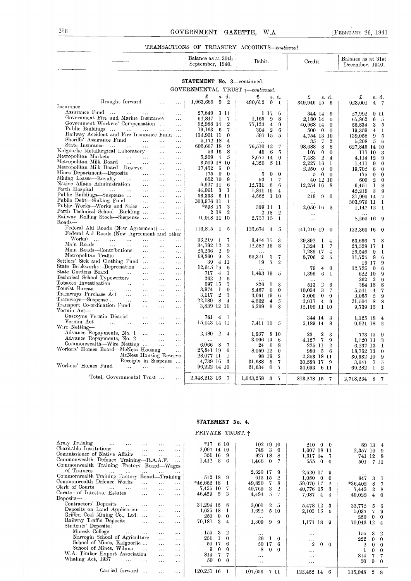#### TRANSACTIONS OF TREASURY ACCOUNTS-continued.

#### Balance as at 30th Debit.<br>September, 1940. Debit.  $\overline{\phantom{a}}$ Credit. Balance as at 31st December. 1940.

#### STATEMENT No. 3-continued. GOVERNMENTAL TRUST  $\dot{\uparrow}$ -continued.

|                                                                                           | £                             |                | s. d.               | £<br>s. d.                    | £<br>s. d.                                | £<br>s.d.                                |
|-------------------------------------------------------------------------------------------|-------------------------------|----------------|---------------------|-------------------------------|-------------------------------------------|------------------------------------------|
| Brought forward<br>$\ldots$                                                               | 1,063,666<br>$\ldots$         | 9              | $\overline{2}$      | 490,612<br>$\bf{0}$<br>-1     | 349,946 15 6                              | 923,001<br>4<br>- 7                      |
| Insurance-                                                                                |                               |                |                     |                               |                                           |                                          |
| Assurance Fund<br>and the company of                                                      | 27.649<br>$\ddotsc$           |                | 3 11                | 117<br>-6                     | 344 14 6                                  | 27.992<br>0 11                           |
| Government Fire and Marine Insurance                                                      | 64,847<br>$\ldots$            | -1             | $\overline{7}$      | 8<br>1,165<br>-9              | 2,180 14<br>-6                            | 65.862<br>6 <sub>5</sub>                 |
| Government Workers' Compensation                                                          | 92,988 14<br>$\ddotsc$        |                | $\overline{2}$      | 77.123<br>9<br>$\overline{4}$ | 40,968 14<br>$\theta$                     | 56.834<br>3 <sub>5</sub>                 |
| Public Buildings<br><b>Service</b><br>$\ldots$<br>$\ddotsc$                               | 19,163<br>$\ldots$            | 6              | 7                   | 304<br>$\boldsymbol{2}$<br>6  | 500<br>$\bf{0}$<br>- 0                    | 19,359<br>$\pm$<br>- 1                   |
| Railway Accident and Fire Insurance Fund                                                  | 134,901 11                    |                | $\bf{0}$            | 597 15<br>5                   | 4,754 13 10                               | 9<br>- 5<br>139,058                      |
| Sheriffs' Assurance Fund<br>$\sim$<br>$\cdots$                                            | 5,172 18<br>$\cdots$          |                | $\ddot{\textbf{4}}$ | $\ldots$                      | 35<br>7.<br>$\overline{2}$                | 56<br>5.208                              |
| State Insurance<br>$\ldots$                                                               | 605,667 18<br>$\ddotsc$       |                | 9                   | 76,510 12<br>7                | 98,688<br>8<br>8                          | 627,845 14 10                            |
| Kalgoorlic Metallurgical Laboratory<br>$\ldots$                                           | $\ldots$                      | 56 16          | 8                   | 6<br>-5<br>46                 | $\bf{0}$<br>$\bf{0}$<br>107               | 117 10<br>-3                             |
| Metropolitan Markets<br>and the contract of the con-<br>$\ldots$                          | 5,309<br>$\ddotsc$            | $\overline{4}$ | 5                   | 8,677 14 0                    | $\overline{2}$<br>7,483<br>$\overline{4}$ | 4.114 12<br>-9                           |
| Metropolitan Milk Board<br>$\ldots$<br>$\ddotsc$                                          | 3,509 18<br>$\cdots$          |                | 10                  | 4,326<br>5 11                 | 2,227 16<br>1                             | 1.411<br>-9<br>$\bf{0}$                  |
| Metropolitan Milk Board-Reserve<br>$\ldots$                                               | 17,452<br>$\cdots$            | 6              | $\bf{0}$            | $\ldots$                      | $2.250\,$<br>$0\quad 0$                   | 6<br>19,702<br>$\theta$                  |
| Mines Department-Deposits<br>$\ddotsc$<br>$\cdots$                                        | 175<br>$\cdots$               | $\bf{0}$       | $\bf{0}$            | $\bf{0}$<br>$\bf{0}$<br>5.    | $0 \quad 0$<br>5                          | 175<br>$\mathbf{0}$<br>$\Omega$          |
| Mining Leases-Royalty<br>$\sim 100$<br>$\sim$ .<br>$\cdots$                               | 652 10<br>$\ldots$            |                | 9                   | 93<br>$\bf{1}$<br>7           | 40 12 10                                  | $\overline{2}$<br>600<br>$\theta$        |
| Native Affairs Administration<br>$\ldots$<br>$\ldots$                                     | 6,927 11<br>$\ldots$          |                | 6                   | 12,731<br>-6<br>-6            | $12,254$ 16<br>- 8                        | $\mathbf{1}$<br>6.451<br>8               |
| Perth Hospital<br>and a series of the series<br>$\ldots$<br>$\ldots$                      | 44,061<br>$\cdots$            | 3              | 1                   | 1,841 19<br>$\overline{4}$    |                                           | -3<br>42,219<br>9                        |
| Public Buildings-Suspense<br>$\sim 100$<br>$\ldots$                                       | 36,333<br>$\cdots$            |                | 6 11                | 4,562 1 10                    | 219<br>-9<br>- 6                          | 31,990 14<br>- 7                         |
| Public Debt-Sinking Fund<br>$\ldots$                                                      | 303,976 11<br>$\ldots$        |                | -1                  | $\ldots$                      | $\cdots$                                  | 303,976 11 1                             |
| Public Works-Works and Sales<br>$\cdots$                                                  | $*598$ 13<br>$\cdots$         |                | 3                   | 309 11 1                      | 2,050 16 5                                | 1,142 12<br>$\mathbf{1}$                 |
| Perth Technical School-Building<br>$\ldots$                                               | $\cdots$                      | 2 18           | $\cdot$ 2           | 218<br>$\overline{2}$         | $\cdots$                                  |                                          |
| Railway Rolling Stock-Suspense<br>$\ldots$                                                | 11,018 11 10<br>$\ldots$      |                |                     | 2,757 15<br>-1                | $\cdots$                                  | 8,260 16 9                               |
| Roads-                                                                                    |                               |                |                     |                               |                                           |                                          |
| Federal Aid Roads (New Agreement)                                                         | $116,815$ 1 5<br>$\ldots$     |                |                     | $135,674$ 4 5                 | $141,219$ 19 0                            | 122,360 16 0                             |
| Federal Aid Roads (New Agreement and other                                                |                               |                |                     |                               |                                           |                                          |
| Works)<br>$\ddotsc$<br>$\ddotsc$                                                          | 33,219<br>$\cdots$            | $\mathbf{I}$   | 7                   | $9,444$ 15 3                  | 29,892<br>1<br>4                          | 53,666 7 8                               |
| Main Roads<br><b>Contact Contact</b><br>$\sim 100$<br>$\ldots$<br>$\ldots$                | 34,792 12<br>$\cdots$         |                | $\overline{2}$      | 12,587 16<br>-8               | 1,324<br>-1<br>7                          | 23,528 17<br>- 1                         |
| Main Roads-Contributions<br>$\ldots$<br>$\ddotsc$                                         | 25,256<br>$\ddotsc$           | $\overline{2}$ | 9                   |                               | 1,289 17<br>4                             | 26,546<br>$\overline{0}$<br>1            |
| Metropolitan Traffic<br>$\sim 100$ km s $^{-1}$<br>$\ldots$<br>$\ldots$                   | 68,360<br>$\cdots$            | 9              | 8                   | 65,341<br>-3<br>7             | $\overline{2}$<br>8,706<br>5              | 11,725<br>-8<br>-6                       |
| Settlers' Sick and Clothing Fund<br>$\ldots$                                              | 39<br>$\ldots$                |                | 4 11                | 19<br>7<br>$\overline{2}$     |                                           | 19 17<br>-9                              |
| State Brickworks-Depreciation<br>$\cdots$<br>$\ldots$                                     | 12,645 16<br>$\cdots$         |                | 6                   | $\cdots$                      | 79<br>4<br>$\mathbf{0}$                   | $12,725$ 0<br>-6                         |
| State Gardens Board<br>$\sim$<br>$\ldots$<br>$\sim$ $\sim$ $\sim$                         | 717<br>$\cdots$               | 4              | 1                   | 1,493 19<br>$\overline{5}$    | 1,399<br>6<br>-1                          | 622 10<br>9                              |
| Technical School Typewriters<br>$\ldots$<br>$\bullet$ $\bullet$ $\bullet$                 | 262<br>$\ldots$               | $\overline{2}$ | 6                   | $\ddots$                      |                                           | 262<br>$\frac{1}{2}$<br>6                |
| Tobacco Investigation<br>$\ldots$<br>$\ldots$<br>$\ldots$                                 | 697 15<br>$\ldots$            |                | 5                   | 826<br>1<br>3                 | 513<br>2<br>6                             | 384 16<br>8                              |
| Tourist Burean<br>$\sim 100$ km s $^{-1}$<br>$\sim$ .<br>$\sim$ $\sim$ $\sim$<br>$\ldots$ | 3.974<br>$\cdots$             | 1              | $\bf{0}$            | 8.467<br>$\bf{0}$<br>$\bf{0}$ | 3<br>10,034<br>7                          | 5,541<br>4<br>7                          |
| Tramways Purchase Act<br>$\ddotsc$<br>$\cdots$<br>$\cdots$                                | 3,117<br>$\sim$ $\sim$ $\sim$ | $\overline{2}$ | 3                   | 3,061 19<br>6                 | 3.000<br>$\bf{0}$<br>$\bf{0}$             | $\overline{2}$<br>9<br>3,055             |
| Tramways—Suspense<br>$\sim 100$<br>$\ldots$<br>$\ddotsc$                                  | 22,189<br>$\ldots$            | $\,$ 8 $\,$    | $\overline{4}$      | 4<br>5<br>4.602               | 3.917<br>4 9                              | 8 <sup>8</sup><br>21,504<br>-8           |
| Transport Co-ordination Fund<br>$\ddotsc$<br>$\cdots$                                     | 3,839 12 11<br>$\cdots$       |                |                     | 6,209<br>9<br>8               | 12,109 11 10                              | 9,739 15<br>- 1                          |
| Vermin Act-                                                                               |                               |                |                     |                               |                                           |                                          |
| Gascoyne Vermin District<br>$\ldots$<br>$\cdots$                                          | 781 4 1<br>$\ldots$           |                |                     |                               | 344 14 3                                  | 1,125 18<br>- 4                          |
| Vermin Act<br>المتحادث المتحادث<br>$\ldots$<br>$\cdots$                                   | 15,143 14 11<br>$\cdots$      |                |                     | 7,411 11 5                    | - 8<br>2,189 14                           | 9,921 18<br>$\overline{2}$               |
| Wire Netting-                                                                             |                               |                |                     |                               |                                           |                                          |
| Advance Repayments, No. 1<br>$\ldots$                                                     | 2,480<br>$\dots$              |                | $2\quad 4$          | $1,937$ 8 10                  | $\boldsymbol{2}$<br>231<br>3              | 773 15<br>-9                             |
| Advance Repayments, No. 2<br>$\ldots$                                                     | $\cdots$                      |                |                     | 3,006 14<br>6                 | $\scriptstyle\rm 7$<br>4,127<br>9         | 1,120 13<br>-3                           |
| Commonwealth-Wire Netting<br>$\ldots$                                                     | 6,066<br>$\ddotsc$            | - 8            | -7                  | 24<br>-6<br>8                 | 225 11<br>$\overline{2}$                  | 6,267 13<br>1                            |
| Workers' Homes Board-McNess Housing                                                       | 25,841 19<br>$\cdots$         |                | -6                  | 8,059 12<br>$\bf{0}$          | 980<br>$5 -$<br>$6\overline{6}$           | 18,762 13<br>$\theta$                    |
| McNess Housing Reserve                                                                    | 28,077 11                     |                | 1                   | 98 19<br>3                    | 2,353 18 11                               | 30,332 10<br>9                           |
| Receipts in Suspense                                                                      | 4,739 16                      |                | -3                  | 31,688<br>6<br>7              | 30,589 17 9                               | $\tilde{5}$<br>3,641<br>$\mathbf{7}$     |
| Workers' Homes Fund<br>and the contract of the<br>$\cdots$                                | 96,222 14 10<br>$\dots$       |                |                     | 61,634<br>$\bf{0}$<br>7       | 34,693 6 11                               | 69,282<br>$\mathbf{1}$<br>$\overline{2}$ |
|                                                                                           |                               |                |                     |                               |                                           |                                          |
| Total, Governmental Trust                                                                 | 2,948,213 16 7<br>$\cdots$    |                |                     | $1,043,258$ 3 7               | 813,278 15 7                              | 2,718,234 8 7                            |
|                                                                                           |                               |                |                     |                               |                                           |                                          |

#### STATEMENT No. 4.

#### PRIVATE TRUST. †

| Army Training<br>$\cdots$<br>$\cdots$           | $\cdots$<br>$\cdots$             | $\cdots$   | *17          | -6-10        |                | 102 19 10                                                      | 210             | $\mathbf{0}$<br>$\theta$         | 89 13<br>4                     |  |
|-------------------------------------------------|----------------------------------|------------|--------------|--------------|----------------|----------------------------------------------------------------|-----------------|----------------------------------|--------------------------------|--|
| Charitable Institutions<br>$\ddotsc$            | $\cdots$<br>$\cdots$             | $\cdots$   | 2,097 14 10  |              |                | 748<br>$\mathbf{3}$<br>$\theta$                                |                 | 1,007 18 11                      | 2,357 10<br>-9                 |  |
| Commissioner of Native Affairs                  | $\sim$ $\sim$ $\sim$<br>$\cdots$ | $\cdots$   | 351 16       |              | -9             | 927 18                                                         | 1,317 14        |                                  | 741 12 8                       |  |
| Commonwealth Defence Training--R.A.A.F.         |                                  | $\cdots$   | 1.412        | - 8          | -6             | 1,466<br>$\mathbf{0}$                                          | 555             | $\bf{0}$<br>$\Omega$             | 501<br>7 11                    |  |
| Commonwealth Training Factory Board-Wages       |                                  |            |              |              |                |                                                                |                 |                                  |                                |  |
| of Trainees<br>$\mathbf{r}$<br>$\cdots$         | $\sim 100$<br>$\cdots$           | $\cdots$   | $\cdots$     |              |                | 2,620 17<br>-9                                                 | 2,620 17        | -9                               |                                |  |
| Commonwealth Training Factory Board-Training    |                                  |            | 512 18       |              | $\Omega$       | 615 15<br>2                                                    | $1,050 \quad 0$ | $\theta$                         | $\cdots$<br>947<br>- 3         |  |
| Commonwealth Defence Works                      | $\cdots$<br>$\sim$               | $\dddotsc$ | $*45,652$ 18 |              |                | 49,820<br>-7<br>8                                              | 59,070 17       | 2                                | $*36,402$<br>-8                |  |
| Clerk of Courts<br><b>Allen Contracts</b>       | $\cdots$<br>$\cdots$             | $\cdots$   | 7,435 10     |              |                | 40,769<br>$\cdot$ 3<br>$\overline{2}$                          | 40,776 15       |                                  | 7,443<br>$\overline{2}$<br>8   |  |
| Curator of Intestate Estates                    | $\cdots$<br>$\sim 100$           | $\cdots$   | 46.429       | $5 -$        |                | 4,494<br>-5                                                    | 7,087           | $\overline{4}$<br>$\overline{4}$ | 49,022<br>$4^{\circ}$<br>- 0   |  |
| Deposits-                                       |                                  |            |              |              |                |                                                                |                 |                                  |                                |  |
| Contractors' Deposits                           | $\cdots$<br>$\cdots$             | $\cdots$   | 31.294 15    |              | 8              | 3,001 2 5                                                      | 5,478 12        | -3                               | 33,772 5<br>-6                 |  |
| Deposits on Land Application                    | $\cdots$                         | $\cdots$   | 4,625 18     |              |                | 510<br>1,692                                                   | $2,103$ 15      | -6                               |                                |  |
| Griffen Coal Mining Co., Ltd.                   | $\ddotsc$                        | $\cdots$   | 250          | $\mathbf{0}$ | $\theta$       |                                                                |                 |                                  | 5,037<br>$\tau$<br>-9          |  |
| Railway Traffic Deposits<br>$\sim$ $\sim$       | $\ddots$                         |            | 70,181       | 3.           | 4              | $\bullet$ $\bullet$ $\bullet$<br>1,309<br>$\theta$<br>$\Omega$ | $\cdots$        |                                  | 250<br>$\bf{0}$<br>$\theta$    |  |
| Students' Deposits:                             |                                  | $\cdots$   |              |              |                |                                                                | 1,171 18        | -9                               | 70,043 12<br>-4                |  |
| Muresk College<br>$\cdots$                      | $\cdots$                         |            | 155          | 3            | $\overline{2}$ |                                                                |                 |                                  |                                |  |
| Narrogin School of Agriculture                  | $\cdots$                         | $\cdots$   | 251          | - 1          | $\theta$       | $\cdots$                                                       | $\cdots$        |                                  | 155<br>-3-<br>$\overline{2}$   |  |
| School of Mines, Kalgoorlie                     | $\cdots$                         | $\cdots$   |              |              |                | 29<br>$\theta$                                                 | $\ldots$        |                                  | 222<br>$\Omega$<br>$\Omega$    |  |
| School of Mines, Wilnna                         | $\cdots$                         | $\cdots$   | 50 17        |              | 6              | 50 17<br>6                                                     | $\overline{2}$  | $\mathbf{0}$<br>$\theta$         | $\overline{2}$<br>$\bf{0}$     |  |
| $\sim$ $\sim$<br>W.A. Timber Export Association | $\cdots$                         | $\cdots$   | 9            | $\Omega$     | $\Omega$       | 8<br>$\bf{0}$<br>$\Omega$                                      | $\cdots$        |                                  | $\theta$<br>$\cdot$ 0          |  |
| Whaling Act, 1937                               | $\cdots$                         | $\cdots$   | 814          | 7            |                | $\cdots$                                                       | $\cdots$        |                                  | $\overline{7}$<br>814          |  |
| $\cdots$                                        | $\ldots$<br>$\cdots$             | $\cdots$   | 50           | $\theta$     | $\Omega$       | $\cdots$                                                       | $\cdots$        |                                  | 50<br>$\bf{0}$<br>$\theta$     |  |
|                                                 |                                  |            |              |              |                |                                                                |                 |                                  |                                |  |
| Carried forward                                 | $\cdots$                         | $\cdots$   | $120,251$ 16 |              |                | 107.656<br>-7-11                                               | 122,452 14      | 6                                | 135,048<br>$\overline{2}$<br>8 |  |
|                                                 |                                  |            |              |              |                |                                                                |                 |                                  |                                |  |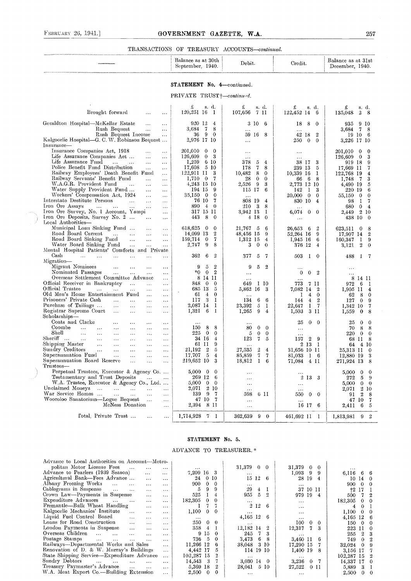#### FEBRUARY 26, 1941.] GOVERNMENT GAZETTE, W.A. 257

#### TRANSACTIONS OF TREASURY ACCOUNTS-continued.

| -30th<br>balance<br>as<br>1940.<br>September | Debit. | Credit. | 31st<br>Balance as at<br>1940.<br>December |
|----------------------------------------------|--------|---------|--------------------------------------------|
|                                              |        |         |                                            |

#### STATEMENT No. 4-continued.

 $PRIVATE$  TRUST  $\uparrow$  continued.

| Brought forward<br>$\cdots$<br>$\cdots$                                                                                                                                                                                                                                                                                                                                                                                                                                                                                                                                                                                                                                                    | s. d.<br>£<br>$120,251$ 16<br>$\mathbf{I}$                                                                                                                                                              | £<br>s. d.<br>107,656 7 11                                                                                                                                                                                               | £<br>s. d.<br>$122,452$ 14 6                                                                                                                              | s. d.<br>£<br>135,048<br>$\overline{2}$<br>8                                                                                                                           |
|--------------------------------------------------------------------------------------------------------------------------------------------------------------------------------------------------------------------------------------------------------------------------------------------------------------------------------------------------------------------------------------------------------------------------------------------------------------------------------------------------------------------------------------------------------------------------------------------------------------------------------------------------------------------------------------------|---------------------------------------------------------------------------------------------------------------------------------------------------------------------------------------------------------|--------------------------------------------------------------------------------------------------------------------------------------------------------------------------------------------------------------------------|-----------------------------------------------------------------------------------------------------------------------------------------------------------|------------------------------------------------------------------------------------------------------------------------------------------------------------------------|
| Geraldton Hospital—McKellar Estate<br>$\ddotsc$<br>$\ldots$<br>Rush Bequest<br>$\ldots$<br>$\ldots$<br>Rush Bequest Income<br>$\ddotsc$<br>Kalgoorlie Hospital—G. C. W. Robinson Bequest                                                                                                                                                                                                                                                                                                                                                                                                                                                                                                   | 920 12<br>$\frac{4}{ }$<br>3,684 7<br>8<br>$36\quad9$<br>$\overline{0}$<br>2,976 17 10                                                                                                                  | 3 10 6<br>$\cdots$<br>59 16 8<br>$\ldots$                                                                                                                                                                                | 18<br>8<br>$\Omega$<br>$\cdots$<br>42 18<br>$\boldsymbol{2}$<br>250<br>$\mathbf{0}$<br>$\mathbf{0}$                                                       | 935 9 10<br>3,684 7<br>-8<br>19 10<br>-6<br>3,226 17 10                                                                                                                |
| Insurance-<br>Insurance Companies Act, 1918<br>$\cdots$<br>$\cdots$<br>Life Assurance Companies Act<br>$\mathbf{1}$ , $\mathbf{1}$<br>$\cdots$<br>Life Assurance Fund<br><b>Contract Contract</b><br>$\ldots$<br>$\ldots$<br>Police Benefit Fund Distribution<br>$\ddotsc$<br>$\ddotsc$<br>Railway Employees' Death Benefit Fund<br>$\ldots$<br>Railway Servants' Benefit Fund<br>$\sim 10^{-1}$<br>$\sim$ $\sim$ $\sim$<br>W.A.G.R. Provident Fund<br>$\sim 100$<br>$\sim 100$<br>$\cdots$                                                                                                                                                                                                | 201,010 0<br>$\bf{0}$<br>126,609<br>$\overline{0}$<br>- 3<br>1,259<br>$6\,10$<br>$17,608$ 5 10<br>122,911 11<br>-3<br>$1,710$ 0 7<br>4,243 15 10                                                        | $\ddotsc$<br>$\cdots$<br>378<br>5<br>$\overline{4}$<br>8<br>7<br>178<br>10,482<br>8<br>$\mathbf{0}$<br>28<br>$\overline{0}$<br>$\Omega$<br>2.526<br>-9<br>3                                                              | $\ddots$<br>38 I7<br>-3<br>239 13<br>-5<br>10,339 16<br>1<br>66 6<br>8<br>2,773 12 10                                                                     | 201,010 0<br>$\theta$<br>3<br>$126,609$ 0<br>919 18<br>9<br>17,669 11<br>7<br>122,768 19<br>$\overline{4}$<br>3<br>1,748 7<br>5<br>4,490 19                            |
| Water Supply Provident Fund<br>$\sim 100$<br>$\dots$<br>Workers' Compensation Act, 1924<br>$\cdots$<br>$\ldots$<br>Interstate Destitute Persons<br>$\sim$ $\sim$<br>$\sim$ $\sim$<br>$\ldots$<br>Iron Ore Assays<br>and the company of the state of the<br>$\ldots$<br>$\ldots$<br>Iron Ore Survey, No. 1 Account, Yampi<br>$\cdots$<br>Iron Ore Deposits, Survey No. 2<br>$\ldots$<br>Local Authorities-                                                                                                                                                                                                                                                                                  | 194 15<br>-9<br>35,150 0<br>$\mathbf{0}$<br>$\overline{7}$<br>76 10<br>890 4 0<br>317 15 11<br>-8<br>443<br>$\overline{0}$                                                                              | 115 17<br>6<br>$\cdots$<br>808 19<br>$\overline{4}$<br>210<br>- 3<br>8<br>3,942 13<br>1<br>$4 \; 18$<br>$\mathbf{0}$                                                                                                     | 142<br>$\mathbf{I}$<br>3<br>20,000<br>$\mathbf{0}$<br>$\theta$<br>830 10<br>$\overline{4}$<br>$\cdots$<br>6,074<br>$\overline{0}$<br>$\theta$<br>$\ldots$ | 6<br>220 19<br>55,150 0<br>$\theta$<br>$\mathbf{I}$<br>$\overline{7}$<br>98<br>680<br>$\mathbf{0}$<br>$\overline{4}$<br>2.449 2 10<br>438 10<br>$\overline{0}$         |
| Municipal Loan Sinking Fund<br>$\sim 100$ km $^{-1}$<br>$\sim$ $\sim$ $\sim$<br>Road Board Current<br>$\sim 100$ km $^{-1}$ , $\sim 100$<br>$\sim 100$<br>$\ldots$<br>Road Board Sinking Fund<br>$\sim 100$<br>$\sim 100$ and $\sim 100$<br>$\dddotsc$<br>Water Board Sinking Fund<br>$\sim 100$<br>$\sim 100$ km s $^{-1}$<br>$\ldots$<br>Mental Hospital Patients' Comforts and Private                                                                                                                                                                                                                                                                                                  | 618,625 0<br>0<br>14,099 13<br>$\boldsymbol{2}$<br>$\overline{7}$<br>159,714<br>$\mathbf{0}$<br>-9<br>2.747<br>8                                                                                        | 21,767 5<br>6<br>48,456 15<br>9<br>$1,312$ 15<br>$\overline{4}$<br>3<br>$\mathbf{0}$<br>$\theta$                                                                                                                         | 26,653 6<br>$\overline{2}$<br>52,264 16<br>9<br>$1,945$ 16<br>6<br>376 12<br>$\overline{4}$                                                               | 623,511 0<br>-8<br>17,907 14<br>$\overline{2}$<br>160,347<br>$\mathbf{I}$<br>9<br>$\boldsymbol{2}$<br>$\mathbf 0$<br>3,121                                             |
| Cash<br><b>Sales Contains the State</b><br>$\sim 100$ km s $^{-1}$<br>$\cdots$<br>Migration-<br>Migrant Nominees<br>$\sim 100$<br><b>Contractor</b><br>$\cdots$<br>$\cdots$<br>Nominated Passages<br>and state of the state<br>$\sim 100$ km s $^{-1}$<br>$\ldots$                                                                                                                                                                                                                                                                                                                                                                                                                         | 362<br>$\overline{2}$<br>6<br>$\boldsymbol{2}$<br>9<br>-5<br>$*0 \t 0 \t 2$                                                                                                                             | 377<br>-7<br>5<br>$\overline{2}$<br>9<br>5<br>$\ldots$                                                                                                                                                                   | 503<br>1 0<br>$\ddotsc$<br>$\overline{2}$<br>$\mathbf{0}$<br>$\mathbf{0}$                                                                                 | -7<br>488<br>-1<br>$\cdots$<br>$\ddots$                                                                                                                                |
| Overseas Settlement Committee Advance<br>$\ldots$<br>Official Receiver in Bankruptcy<br>$\ldots$<br>$\ldots$<br>Official Trustee<br><b>Contract Contract</b><br>$\sim$ . $\sim$<br>$\ldots$<br>$\dots$<br>Old Men's Home Entertainment Fund<br>$\sim$<br>$\ldots$<br>Prisoners' Private Cash<br>$\sim 10^{-10}$<br>$\cdots$<br>$\ddotsc$<br>$\ldots$<br>Purchase of Tailings<br>$\sim$ . $\sim$<br>$\cdots$<br>$\ddots$<br>$\cdots$<br>Registrar Supreme Court<br>$\sim 100$<br>$\cdots$<br>$\cdots$<br>$\sim$ $\sim$ $\sim$<br>Scholarships-                                                                                                                                              | 8 14 11<br>848 0 0<br>685 13 5<br>$61 \quad 4$<br>$\bf{0}$<br>$117$ 3 1<br>2,087 14 1<br>1,321<br>- 6<br>- 1                                                                                            | $\ddots$<br>649<br>1 10<br>5,862 16<br>-3<br>$\ldots$<br>6<br>- 6<br>134<br>23,392<br>5<br>-1<br>1,265<br>9<br>$\overline{4}$                                                                                            | 7 11<br>773.<br>7,082 14 2<br>$\overline{4}$<br>-1<br>$\theta$<br>$\overline{4}$<br>$\boldsymbol{2}$<br>144<br>22.647<br>I 7<br>3 11<br>1,503             | 8 14 11<br>972<br>-6<br>- 1<br>1,905 11<br>$\overline{4}$<br>- 8<br>62<br>$\theta$<br>127<br>$\overline{0}$<br>9<br>1,342 10<br>7<br>1,559<br>$\bf{0}$<br>8            |
| Coats and Clarke<br>$\cdots$<br>$\ldots$<br>$\cdots$<br>$\cdots$<br>Coombe<br>$\sim 1.4$ and $\sim 1.4$ and $\sim 1.4$<br>$\ldots$<br>$\ldots$<br>$\ldots$<br>$\ldots$<br>Shell<br>$\mathbf{1}$ , $\mathbf{1}$ , $\mathbf{1}$<br>$\ldots$<br>$\cdots$<br>$\ldots$<br>$\ldots$<br>$\ddotsc$<br>Sheriff<br>$\cdots$<br>$\cdots$<br>$\cdots$<br>$\cdots$<br>Shipping Master<br>$\mathcal{L}^{\text{max}}$ , and<br>$\cdots$<br>$\cdots$<br>$\cdots$<br>$\cdots$<br>Sundry Creditors<br>$\cdots$<br>$\ldots$<br>$\ldots$<br>$\ldots$<br>Superanniation Fund<br>$\ldots$<br>$\ddotsc$<br>$\ldots$<br>$\ddotsc$<br>Superannuation Board Reserve<br>$\cdots$<br>$\ddotsc$<br>$\dots$<br>Trustees- | $\cdots$<br>8<br>- 8<br>150<br>$225\quad0$<br>$\overline{0}$<br>34 16<br>$\overline{4}$<br>61 11<br>-9<br>$\boldsymbol{2}$<br>$\sqrt{5}$<br>21,192<br>5<br>17.707<br>$\overline{4}$<br>219,652 10<br>-3 | $\ddotsc$<br>$\mathbf{0}$<br>$\overline{0}$<br>80<br>5<br>$\theta$<br>$\theta$<br>123<br>$7\phantom{.0}$<br>-5<br>27,535<br>$\boldsymbol{2}$<br>$\overline{4}$<br>7<br>$7\phantom{.0}$<br>85,859<br>$1\quad 6$<br>18,812 | $\overline{0}$<br>25<br>$\mathbf{0}$<br>$\ddots$<br>$\cdots$<br>$\overline{2}$<br>- 9<br>157<br>2 13 1<br>31,656 10 11<br>81,033<br>1 6<br>71,084 4 11    | $\mathbf{0}$<br>25<br>$\mathbf 0$<br>8<br>70<br>8<br>220<br>$\mathbf{0}$<br>$\Omega$<br>68 11<br>- 8<br>64 4 10<br>25,313 11 0<br>12,880 19<br>3<br>271,924 13<br>- 8  |
| Perpetual Trustees, Executor & Agency Co<br>Testamentary and Trust Deposits<br><b>Contract Contract</b><br>W.A. Trustee, Executor & Agency Co., Ltd<br>Unclaimed Moneys<br>المتقدم التقفي المقفار القفف<br>$\sim 100$<br>War Service Homes<br>$\sim 100$<br>$\ldots$<br>Wooroloo Sanatorium-Logue Bequest<br>$\cdots$<br>McNess Donation<br>$\ldots$                                                                                                                                                                                                                                                                                                                                       | $5,000 \quad 0 \quad 0$<br>269 12 6<br>5,000<br>$0\quad 0$<br>2 10<br>2,071<br>139 9 7<br>47 10 7<br>2,394 8 11                                                                                         | $\cdots$<br>$\ldots$<br>$\cdots$<br>$\ldots$<br>598<br>6 11<br>$\ldots$<br>$\ldots$                                                                                                                                      | 2 13 3<br>$\dots$<br>$\cdots$<br>0 <sub>0</sub><br>550<br>$\ddotsc$<br>16 17 6                                                                            | 5,000<br>$\theta$<br>$\Omega$<br>5<br>272<br>-9<br>$\mathbf{0}$<br>5,000<br>$\theta$<br>210<br>2.071<br>$\overline{2}$<br>91<br>-8<br>47 10<br>- 7<br>6<br>2,411<br>-5 |
| Fotal, Private Trust<br>$\ldots$                                                                                                                                                                                                                                                                                                                                                                                                                                                                                                                                                                                                                                                           | 1,714,928 7 1                                                                                                                                                                                           | 362,639 9 0                                                                                                                                                                                                              | 461,692 11 1                                                                                                                                              | 1,813,981 9 2                                                                                                                                                          |

#### STATEMENT No. 5.

ADVANCE TO TREASURER. \*

| Advance to Local Anthorities on Account-Metro-                                                |                       |          |                   |                                 |                        |  |
|-----------------------------------------------------------------------------------------------|-----------------------|----------|-------------------|---------------------------------|------------------------|--|
| politan Motor License Fees<br>$\sim$ 100 $\pm$ 100 $\pm$<br>$\cdots$<br>$\cdots$              | $\cdots$              |          | $31,379$ 0 0      | $31,379$ 0 0                    |                        |  |
| Advance to Pearlers (1939 Season)<br>$\cdots$<br>$\cdots$                                     | 7,209 16 3            |          | $\cdots$          | 1,093<br>9                      | 6,116 6 6              |  |
| Agricultural Bank—Fees Advance<br>$\sim$ $\sim$ $\sim$<br>$\cdots$                            | 0 <sub>10</sub><br>24 |          | $15\,12$<br>-6    | 28 19<br>4                      | 10140                  |  |
| Albany Freezing Works<br>$\cdots$<br>$\cdots$<br>$\cdots$<br>$\cdots$                         | 900<br>$\Omega$       | $\Omega$ | $\cdots$          | $\bullet$ $\bullet$ $\bullet$ . | 900<br>$\overline{0}$  |  |
| Cablegrams in Suspense<br>$\cdots$<br>$\cdots$<br>$\cdots$<br>$\cdots$                        | 5<br>9                | 9        | 29<br>$4 \quad 1$ | 37 10 11                        | $+2$<br>-17            |  |
| Crown Law-Payments in Suspense<br>$\sim$ $\sim$ $\sim$<br>$\cdots$                            | 525                   |          | 955<br>-5<br>- 9. | 979 19<br>$\overline{4}$        | 500                    |  |
| Expenditure Advances<br>$\cdots$<br>$\cdots$<br>$\cdots$<br>$\cdots$                          | 182,305<br>$\Omega$   |          | $\cdots$          | $\bullet$ $\bullet$ $\bullet$ . | 182,305<br>$0 \quad 0$ |  |
| Fremantle-Bulk Wheat Handling<br>$\ldots$ .<br>$\cdots$                                       |                       |          | $2\,12$<br>-6     | $\cdots$                        | 0<br>4                 |  |
| Kalgoorlie Mechanics' Institute<br>$\cdots$<br>$\ldots$<br>$\cdots$                           | 1,100<br>$\Omega$     |          | $\cdots$          | $\cdots$                        | 1.100<br>$0\quad 0$    |  |
| Liquid Fuel Control Board<br>$\cdots$<br>$\cdots$<br>$\cdots$                                 | $\cdots$              |          | 4,165 12 6        | $\cdots$                        | 4,165 12               |  |
| Loans for Road Construction<br>$\cdots$<br>$\cdots$<br>$\cdots$                               | 250<br>$0 \quad 0$    |          | $\cdots$          | 100<br>$0 \quad 0$              | 150<br>$\Omega$        |  |
| London Payments in Suspense<br>$\sim 100$<br>$\cdots$<br>$\cdots$                             | 358<br>$\frac{4}{ }$  |          | 12.182 14         | 7.<br>12,317<br>3               | 223 11                 |  |
| Overseas Children<br>$\sim 1.1$ , $\sim 1.1$ , $\sim 1.1$<br>$\cdots$<br>$\cdots$<br>$\cdots$ | 9 15                  | $\Omega$ | 7<br>245          | $\cdots$                        | 255<br>2 3             |  |
| Postage Stamps<br><b>Contract Contract</b><br>$\cdots$<br>$\sim 100$<br>$\ddots$<br>$\cdots$  | 736<br>-5             |          | 3,473<br>6.       | 3.460 11                        | 749<br>$\theta$        |  |
| Railways-Departmental Works and Sales<br>$\cdots$                                             | 11,266 12             |          | 3 10<br>38,048    | 17,290 15                       | 32.024<br>$\Omega$     |  |
| Renovation of D. & W. Murray's Buildings<br>$\cdots$                                          | 4.442 17              | 5        | 114 19 10         | 1,400 19                        | 3.156 17               |  |
| State Shipping Service—Expenditure Advance<br>$\cdots$                                        | 102,287 15            |          | $\cdots$          | $\cdots$                        | 102,287 15             |  |
| Sundry Debtors<br>and the same of the same<br>$\sim 100$<br>$\cdots$<br>$\cdots$              | 14,543<br>3           |          | $3.030\,14$ 0     | 3,236<br>0 <sub>7</sub>         | 14,337 17<br>- 0       |  |
| Treasury Paymaster's Advance<br>$\ldots$<br>$\cdots$<br>$\cdots$                              | 5.369 18              |          | 5 10<br>28,041    | 27,522<br>$0$ II                | 5,889<br>3             |  |
| W.A. Meat Export Co.—Building Extension<br>$\cdots$                                           | 2,500<br>0            | $\theta$ | $\cdots$          | $\cdots$                        | 2,500<br>$0 \quad 0$   |  |
|                                                                                               |                       |          |                   |                                 |                        |  |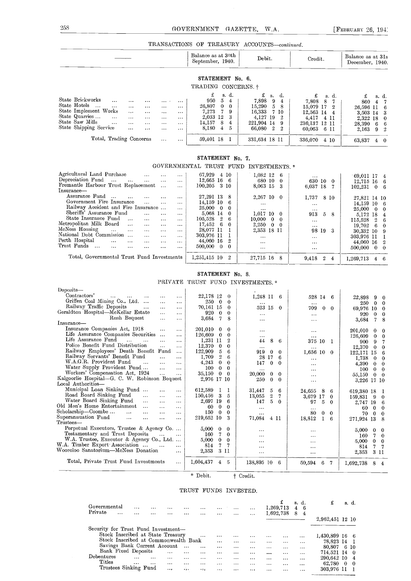$\frac{258}{258}$  GOVERNMENT GAZETTE. W.A. [FEBRUARY 26, 1941]

#### TRANSACTIONS OF TREASURY ACCOUNTS-continued.

|                                                                  | Balance as at 30th<br>September, 1940.   | Debit.              | Credit.          | Balance as at 31s<br>December, 1940. |
|------------------------------------------------------------------|------------------------------------------|---------------------|------------------|--------------------------------------|
|                                                                  | STATEMENT No. 6.                         |                     |                  |                                      |
|                                                                  | TRADING CONCERNS. †                      |                     |                  |                                      |
|                                                                  | £<br>s. d.                               | £<br>d.<br>S.       | £<br>s. d.       | £<br>s. d.                           |
| State Brickworks<br>$\cdots$<br>$\cdots$<br>$\cdots$<br>$\cdots$ | 950<br>-5<br>4<br>                       | 7,898<br>- 9<br>4   | 7.808 8 7        | 860 4 7                              |
| State Hotels<br>$\cdots$<br>$\cdots$<br>$\cdots$<br>$\cdots$     | 26.807<br>- 0<br>- 0<br>$\cdots$         | 15,290<br>$-5$<br>8 | $15.079$ 17 2    | 26,596 11 6                          |
| State Implement Works<br>$\cdots$<br>$\cdots$<br>$\cdots$        | 7.273<br>- 7<br>-9<br>$\cdots$           | 16.333<br>- 7 10    | 12,563 14<br>4   | 3,503 14 3                           |
| State Quarries<br>$\cdots$<br>$\cdots$<br>$\cdots$<br>$\cdots$   | 2,033 12<br>-3<br>$\cdots$               | 4.127 19<br>-2      | 4.417<br>4 11    | 2,322 18<br>- 0                      |
| State Saw Mills<br>$\cdots$<br>$\cdots$<br>$\cdots$<br>$\cdots$  | 14.157<br>- 8<br>4<br>$\cdots$           | 221,904 14<br>9     | 236,137 12 11    | 28.390 6<br>- 6                      |
| State Shipping Service<br>$\cdots$<br>$\cdots$<br>$\cdots$       | 8.180<br>5<br>$\overline{4}$<br>$\cdots$ | 66.080 2<br>2       | 60.063<br>- 6 II | 2,163 9<br>- 2                       |
| Total, Trading Concerns<br>$\cdots$                              | 59,401 18<br>$\cdots$                    | 331,634 18 11       | 336.070<br>410   | 63.837 4<br>$\mathbf{0}$             |

#### STATEMENT No. 7.

GOVERNMENTAL TRUST FUND INVESTMENTS. \*

| $\cdots$<br>$\cdots$ |                                                                                                                                                                          |                                                                                                                                                           | $\cdots$                                                                                                                        | 69.011 17 4                                                                                                             |
|----------------------|--------------------------------------------------------------------------------------------------------------------------------------------------------------------------|-----------------------------------------------------------------------------------------------------------------------------------------------------------|---------------------------------------------------------------------------------------------------------------------------------|-------------------------------------------------------------------------------------------------------------------------|
| $\cdots$<br>$\cdots$ |                                                                                                                                                                          | 680 10 0                                                                                                                                                  | 630 10 0                                                                                                                        | $12.715$ 16 6                                                                                                           |
| $\sim$               | 100,205<br>3 10                                                                                                                                                          | -3                                                                                                                                                        |                                                                                                                                 | $102.231 \t0 \t6$                                                                                                       |
|                      |                                                                                                                                                                          |                                                                                                                                                           |                                                                                                                                 |                                                                                                                         |
| $\cdots$<br>$\cdots$ | 27.291 13 8                                                                                                                                                              | 2,267 10 0                                                                                                                                                |                                                                                                                                 | 27,821 14 10                                                                                                            |
| $\sim$<br>$\cdots$   | 14.159 10<br>- 6                                                                                                                                                         |                                                                                                                                                           |                                                                                                                                 | $14.159$ 10 6                                                                                                           |
| $\cdots$             |                                                                                                                                                                          |                                                                                                                                                           |                                                                                                                                 | $25,000 \quad 0 \quad 0$                                                                                                |
|                      |                                                                                                                                                                          |                                                                                                                                                           |                                                                                                                                 |                                                                                                                         |
|                      |                                                                                                                                                                          |                                                                                                                                                           |                                                                                                                                 | 5,172 18 4                                                                                                              |
| $\cdots$<br>$\cdots$ |                                                                                                                                                                          |                                                                                                                                                           | $\cdots$                                                                                                                        | $115.528 \quad 2 \quad 6$                                                                                               |
| $\cdots$<br>$\cdots$ | 17.452<br>-6<br>$\mathbf{0}$                                                                                                                                             | 2.250<br>$0\quad 0$                                                                                                                                       | $\cdots$                                                                                                                        | $19.702 \quad 6 \quad 0$                                                                                                |
| $\cdots$<br>$\cdots$ | 28.077 11                                                                                                                                                                |                                                                                                                                                           |                                                                                                                                 | 30,332 10 9                                                                                                             |
| $\cdots$<br>$\cdots$ | 303.976 11                                                                                                                                                               | $\cdots$                                                                                                                                                  |                                                                                                                                 | 303,976 11                                                                                                              |
| $\cdots$<br>$\cdots$ | 44.060 16<br>$\overline{2}$                                                                                                                                              |                                                                                                                                                           |                                                                                                                                 | 44,060 16 2                                                                                                             |
|                      |                                                                                                                                                                          |                                                                                                                                                           |                                                                                                                                 | $500,000 \quad 0 \quad 0$                                                                                               |
|                      |                                                                                                                                                                          |                                                                                                                                                           |                                                                                                                                 |                                                                                                                         |
|                      | $1,251,415$ $10$<br>2                                                                                                                                                    | 27.715 16 8                                                                                                                                               | $\overline{2}$<br>9.418<br>4                                                                                                    | 1.269.713<br>$4\quad 6$                                                                                                 |
|                      | Fremantle Harbour Trust Replacement<br>Railway Accident and Fire Insurance<br>$\cdots$<br>$\cdots$<br>$\cdots$<br>$\cdots$<br>Total, Governmental Trust Fund Investments | 67,929<br>4 10<br>$12,665$ 16 6<br>25,000<br>$\bf{0}$<br>$\theta$<br>5.068 14<br>$\Omega$<br>105.528<br>$\cdot$ 2<br>6<br>500,000<br>$\theta$<br>$\Omega$ | $1.082$ 12 6<br>8.063 15<br>$\cdots$<br>$\cdots$<br>$1,017$ 10 0<br>10,000<br>$0\quad 0$<br>2,353 18 11<br>$\cdots$<br>$\cdots$ | 6,037 18 7<br>1,737<br>8 10<br>$\cdots$<br>$\cdots$<br>913<br>$5 -$<br>8<br>98 19 3<br>$\cdots$<br>$\cdots$<br>$\cdots$ |

#### STATEMENT No. 8.

PRIVATE TRUST FUND INVESTMENTS. \*

| Deposits-                                                                                    |            |                          |                             |                             |                                     |
|----------------------------------------------------------------------------------------------|------------|--------------------------|-----------------------------|-----------------------------|-------------------------------------|
| Contractors'<br>and the con-<br>$\cdots$<br>$\cdots$<br>$\cdots$<br>$\cdots$                 | 22,178 12  | $\theta$                 | $1,248$ 11 6                | 528 14 6                    | 22,898 9<br>$\Omega$                |
| Griffen Coal Mining Co., Ltd.<br>$\sim$ and $\sim$<br>$\cdots$<br>$\cdots$                   | 250        | $\bf{0}$<br>$\theta$     | $\sim 100$                  | $\cdots$                    | 250<br>$\bf{0}$<br>$\bf{0}$         |
| Railway Traffic Deposits<br>$\cdots$<br>$\cdots$<br>$\cdots$                                 | 70,161 15  | $\theta$                 | 523 15<br>$\Omega$          | 709<br>$\Omega$<br>$\Omega$ | 69,976 10<br>-0                     |
| Geraldton Hospital—McKellar Estate<br>$\cdots$<br>$\cdots$                                   | 920        | $\bf{0}$<br>0            | $\sim$ $\sim$               | $\cdots$                    | 920<br>$\boldsymbol{0}$<br>$\bf{0}$ |
| Rush Bequest<br>$\cdots$<br>$\cdots$                                                         | 3,684      | 7<br>8                   | $\cdots$                    | $\cdots$                    | 3,684<br>7<br>8                     |
| $In surface-$                                                                                |            |                          |                             |                             |                                     |
| Insurance Companies Act, 1918<br>$\ldots$<br>$\cdots$                                        | 201.010    | $\bf{0}$<br>$\bf{0}$     | $\cdots$                    | $\cdots$                    | 201.010<br>$\bf{0}$<br>0            |
| Life Assurance Companies Securities<br>$\sim$<br>$\cdots$                                    | 126,609    | $\bf{0}$<br>$\bf{0}$     | $\cdots$                    | $\sim$ $\sim$ $\sim$        | 126,609<br>$\bf{0}$<br>$\theta$     |
| Life Assurance Fund<br>$\cdots$<br>$\cdots$<br>$\cdots$<br>$\cdots$                          | 1.231 11   | $\overline{2}$           | 44<br>8<br>6                | 375 10<br>T                 | 900<br>9<br>7                       |
| Police Benefit Fund Distribution<br>$\cdots$<br>$\cdots$                                     | 12,370     | $\bf{0}$<br>$\bf{0}$     | $\sim$ $\sim$ $\sim$        | $\cdots$                    | 12,370<br>$\theta$<br>$\Omega$      |
| Railway Employees' Death Benefit<br>Fund<br>$\cdots$                                         | 122,909    | 5<br>6                   | 919<br>$\bf{0}$<br>$\Omega$ | $1,656$ $10$<br>$\theta$    | 122,171 15<br>6                     |
| Railway Servants' Benefit Fund<br>$\cdots$<br>$\cdots$                                       | 1,709      | $\overline{2}$<br>6      | 28<br>17<br>6               | $\cdots$                    | 1,738<br>$\bf{0}$<br>$\Omega$       |
| W.A.G.R. Provident Fund<br>$\cdots$<br>$\cdots$<br>$\cdots$                                  | 4,243      | $\mathbf{0}$<br>$\theta$ | 147<br>$\theta$<br>$\Omega$ | $\cdots$                    | 4.390<br>$\bf{0}$<br>$\bf{0}$       |
| Water Supply Provident Fund<br>$\sim 100$<br>$\cdots$                                        | 100        | $\mathbf{0}$<br>$\bf{0}$ | $\cdots$                    | $\cdots$                    | 100<br>$\bf{0}$<br>$\theta$         |
| Workers' Compensation Act, 1924<br>$\bar{\mathbf{r}}$<br>$\cdots$                            | 35,150     | $\theta$<br>$\Omega$     | 20,000<br>$\bf{0}$<br>0     | $\cdots$                    | 55,150<br>$\bf{0}$<br>$\theta$      |
| Kalgoorlie Hospital-G. C. W. Robinson Bequest                                                |            | 2,976 17 10              | 250<br>$\theta$<br>$\Omega$ | $\cdots$                    | 3,226 17 10                         |
| Local Authorities-                                                                           |            |                          |                             |                             |                                     |
| Municipal Loan Sinking Fund<br>$\cdots$<br>$\ldots$                                          | 612,589    | 1<br>1                   | 31.447<br>5<br>6            | 24,655<br>8<br>6            | 619,380 18<br>-1                    |
| Road Board Sinking Fund<br>$\cdots$<br>$\cdots$<br>$\cdots$                                  | 150,456    | 3<br>5                   | $\,2$<br>13,055             | 3.679<br>17<br>$\bf{0}$     | 159,831 9<br>0                      |
| Water Board Sinking Fund<br>$\sim$ . $\sim$<br>$\cdots$<br>$\cdots$                          | 2.697 19   | 6                        | 147<br>5<br>$\Omega$        | 5<br>97<br>$\Omega$         | 2,747 19<br>-6                      |
| Old Men's Home Entertainment<br>$\cdots$<br>$\cdots$<br>$\cdots$                             | 60         | $\theta$<br>$\bf{0}$     | $\sim$ $\sim$ $\sim$        | $\cdots$                    | $\bf{0}$<br>60<br>$\theta$          |
| Scholarship—Coombe<br>$\sim 100$<br>$\sim$ $\sim$ $\sim$<br>$\sim$ $\sim$ $\sim$<br>$\cdots$ | 150        | $\bf{0}$<br>$\bf{0}$     | $\cdots$                    | 80<br>0<br>$\Omega$         | 70<br>$\bf{0}$<br>$\Omega$          |
| Superanuuation Fund<br>$\mathbf{1}$ and<br>$\cdots$<br>$\cdots$<br>$\cdots$                  | 219,652 10 | 3                        | 71,084<br>4 11              | 18,812<br>6                 | 271,924 13<br>-8                    |
| Trustees-                                                                                    |            |                          |                             |                             |                                     |
| Perpetual Executors, Trustee & Agency Co                                                     | 5,000      | $\bf{0}$<br>$\bf{0}$     | $\cdots$                    | $\cdots$                    | 5,000<br>$\bf{0}$<br>$\theta$       |
| Testamentary and Trust Deposits<br>$\cdots$<br>$\sim$ $\sim$                                 | 160        | 7<br>$\theta$            | $\cdots$                    | $\cdots$                    | 160<br>7<br>$\theta$                |
| W.A. Trustee, Executor & Agency Co., Ltd.                                                    | 5,000      | $\bf{0}$<br>$\theta$     | $\cdots$                    | $\cdots$                    | 5,000<br>$\bf{0}$<br>$\bf{0}$       |
| W.A. Timber Export Association<br>$\sim 100$ and $\sim 100$<br>$\cdots$                      | 814        | 7<br>7                   | $\cdots$                    | $\cdots$                    | 814<br>7<br>7                       |
| Wooroloo Sanatorium-McNess Donation<br>$\cdots$                                              | 2,353      | 3 II                     | $\cdots$                    |                             | 2,353<br>3 II                       |
|                                                                                              |            |                          |                             | $\cdots$                    |                                     |
| Total, Private Trust Fund Investments<br>$\cdots$                                            | 1,604,437  | 4<br>5                   | 138,895 10<br>-6            | 50.594<br>7<br>6            | 1,692,738<br>8<br>4                 |
|                                                                                              |            |                          |                             |                             |                                     |
|                                                                                              |            |                          |                             |                             |                                     |

\* Debit. † Credit.

#### TRUST FUNDS INVESTED.

| Governmental<br>Private<br>$\cdots$                                      | $\cdots$<br>$\cdots$ | .<br>$\cdots$ | .<br>$\cdots$ | .<br>$\cdots$        | $\cdots$<br> | $\cdots$<br>. | $\cdots$<br>$\cdots$ | $\cdots$<br>$\cdots$ | 1,269,713<br>1.692.738 | £        | 8. d.<br>6<br>4<br>8<br>4 | £               |          | s. d. |  |
|--------------------------------------------------------------------------|----------------------|---------------|---------------|----------------------|--------------|---------------|----------------------|----------------------|------------------------|----------|---------------------------|-----------------|----------|-------|--|
|                                                                          |                      |               |               |                      |              |               |                      |                      |                        |          |                           | 2,962,451 12 10 |          |       |  |
| Security for Trust Fund Investment-<br>Stock Inscribed at State Treasury |                      |               |               |                      |              |               |                      |                      |                        |          |                           |                 |          |       |  |
|                                                                          |                      |               |               |                      | $\cdots$     | $\cdots$      | $\cdots$             | $\cdots$             | $\cdots$               |          | $\cdots$                  | 1,430,899 16    |          | -6    |  |
| Stock Inscribed at Commonwealth Bank                                     |                      |               |               |                      |              | $\cdots$      | $\cdots$             | $\cdots$             | $\cdots$               | $\cdots$ | $\cdots$                  | 78,823 14       |          |       |  |
| Savings Bank Current Account                                             |                      |               |               | $\sim$ $\sim$ $\sim$ |              |               | $\cdots$             | .                    | $\cdots$               | $\cdots$ |                           | 80,807          | 6.       | 10    |  |
| Bank Fixed Deposits                                                      |                      |               | $\cdots$      | $\cdots$             | $\cdots$     | .             | $\cdots$             | .                    | $\cdots$               | $\cdots$ | $\cdots$                  | 714.521         | 14       | -0    |  |
| Debentures                                                               | $\cdots$             | $\cdots$      | $\cdots$      |                      |              |               | $\cdots$             | .                    | $\cdots$               | $\cdots$ | $\cdots$                  | 290.642 10      |          | 4     |  |
| Titles                                                                   | $\cdots$             | $\cdots$      |               | $\cdots$             |              | .             | $\cdots$             |                      |                        | $\cdots$ | $\cdots$                  | 62,780          | $\Omega$ | 0     |  |
| Trustees Sinking Fund                                                    |                      |               | $\cdots$      | $\cdots$             | .1.1         |               |                      | 1.1.1                |                        | $\cdots$ |                           | 303,976         |          |       |  |
|                                                                          |                      |               |               |                      |              |               |                      |                      |                        |          |                           |                 |          |       |  |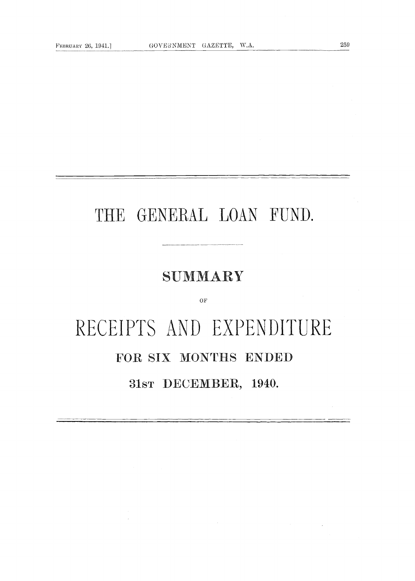# THE GENERAL LOAN FUND.

## SUMMARY

 $\overline{\text{OF}}$ 

# RECEIPTS AND EXPENDITURE FOR SIX MONTHS ENDED

31sr DECEMBER, 1940.

 $\mathcal{L}$ 

259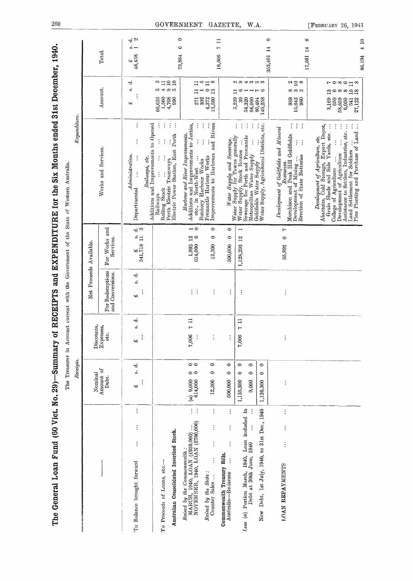| í                                                                     |
|-----------------------------------------------------------------------|
|                                                                       |
|                                                                       |
| $\frac{1}{2}$                                                         |
|                                                                       |
| ں<br>۔                                                                |
|                                                                       |
| S<br>S<br>S<br>S<br>S<br>S<br>ししきく モデーリ                               |
|                                                                       |
|                                                                       |
| ドー・ビ<br>i kuma wa ya kuma matu                                        |
|                                                                       |
|                                                                       |
|                                                                       |
|                                                                       |
|                                                                       |
| )<br>{<br>{                                                           |
| i                                                                     |
| J                                                                     |
| <b>CONTRACTORY IN THE SALE OF A REAL PROPERTY OF A REAL PROPERTY.</b> |
| ALAM WINDOW WALE                                                      |
|                                                                       |
| <b>The first party of the contract</b>                                |
|                                                                       |
| ון<br>ה<br>Í                                                          |
|                                                                       |
| ļ                                                                     |
|                                                                       |
|                                                                       |
|                                                                       |
| $\frac{1}{2}$<br>.<br>.                                               |
| ì                                                                     |
|                                                                       |
|                                                                       |
| $\frac{1}{2}$                                                         |
| איי ה                                                                 |
| $\frac{1}{2}$                                                         |
|                                                                       |
|                                                                       |
|                                                                       |
|                                                                       |
|                                                                       |

| Amount of<br>Nominal<br>Debt.                                                                                                         | Receipts.                          |                                |                                     |                                                                    | $\emph{Expendivre}.$                                                                                                                                                                                                                                                                                                                                                                                             |                                                                                                               |                                                                                |
|---------------------------------------------------------------------------------------------------------------------------------------|------------------------------------|--------------------------------|-------------------------------------|--------------------------------------------------------------------|------------------------------------------------------------------------------------------------------------------------------------------------------------------------------------------------------------------------------------------------------------------------------------------------------------------------------------------------------------------------------------------------------------------|---------------------------------------------------------------------------------------------------------------|--------------------------------------------------------------------------------|
|                                                                                                                                       |                                    | Discounts,                     | Net Proceeds Available.             |                                                                    |                                                                                                                                                                                                                                                                                                                                                                                                                  |                                                                                                               |                                                                                |
|                                                                                                                                       |                                    | Expenses,<br>etc.              | For Redemptions<br>and Conversions. | For Works and<br>Services.                                         | Works and Services.                                                                                                                                                                                                                                                                                                                                                                                              | Amount.                                                                                                       | Total.                                                                         |
| 43<br>$\vdots$<br>$\vdots$<br>$\vdots$<br>To Balance brought forward                                                                  | ಕ<br>å                             | s.<br>s.<br>c)                 | ಕ<br>å<br>¢,                        | -ಕೆ ಅ<br>$\stackrel{\text{\tiny ad}}{=}$<br>$\frac{2}{341,718}$    | $\vdots$<br>$\vdots$<br>Admianisation.<br>$\vdots$<br>etc.<br>$\label{equ:1} Railways,$<br>Departmental                                                                                                                                                                                                                                                                                                          | ಕ<br>o,<br>$\mathfrak{m}$                                                                                     | $\vec{a}$<br>$\omega$ $-$<br>$\begin{array}{c} 1.6 \\ 4.8 \\ 4.58 \end{array}$ |
| Australian Consolidated Inscribed Stock.<br>To Proceeds of Loans, etc.-                                                               |                                    |                                |                                     |                                                                    | $\frac{1}{2}$ .<br>Additions and Improvements to Opened<br>$\ddot{\cdot}$<br>$\vdots$<br>Rolling Stock<br>Perth Electric Tramways<br>Electric Power Station, East Perth<br>$\vdots$<br>$\vdots$<br>Railways                                                                                                                                                                                                      | $\frac{1}{2}$<br>29<br>54<br>ය හ<br>$\begin{array}{c} 66,625 \\ 1,560 \\ 4,708 \\ \end{array}$                |                                                                                |
| $(a) 9,000$<br>614,000<br>$\vdots$<br>Raised by the Commonwealth :<br>MARCH, 1940, LOAN (£939,000)<br>NOVEMBER, 1940, LOAN (£780,000) | $\circ$<br>00                      | 711<br>7,006<br>$\vdots$       | $\frac{1}{2}$ .                     | $\overline{\phantom{0}}$<br>$^{12}$ $^{\circ}$<br>1,993<br>614,000 | Additions and Improvements to Jetties, $\det$ at North-West $\ldots$ $\ldots$<br>Harbour and River Improvements.                                                                                                                                                                                                                                                                                                 | 271<br>302                                                                                                    | $\circ$<br>⇔<br>73,884                                                         |
| 12,300<br>$\vdots$<br>$\vdots$<br>$\vdots$<br>$\vdots$<br>Raised by the State:<br>Counter Sales                                       | $\circ$<br>$\circ$                 | $\vdots$                       | ÷                                   | $\circ$<br>$\circ$<br>12,300                                       | Fremantle Harbour Works<br>Improvements to Harbours and Rivers<br>$\ddot{\cdot}$<br>$\vdots$<br>Bunbury Harbour Works                                                                                                                                                                                                                                                                                            | $\Xi$ $\approx$ $\Xi$ $\approx$<br>$\circ$ $\frac{3}{4}$<br>$4,372$<br>13,560                                 |                                                                                |
| 500,000<br>$\vdots$<br>$\vdots$<br>$\vdots$<br>Commonwealth Treasury Bills.<br>$\vdots$<br>Australia-Re-issues                        | $\circ$<br>$\bullet$               |                                | $\vdots$                            | $\circ$<br>$\bullet$<br>500,000                                    |                                                                                                                                                                                                                                                                                                                                                                                                                  |                                                                                                               | $\Xi$<br>$\ddot{r}$<br>18,506                                                  |
| 1,135,300<br>9,000<br>$\ddot{a}$<br>Loan included<br>Less (a) Portion March, 1940, Loar<br>Debt at 30th June, 1940                    | $\circ$<br>$\circ$<br>$\circ$<br>0 | $\Xi$<br>$\mathbf{r}$<br>7,006 | $\vdots$                            | $\overline{\phantom{0}}$<br>12<br>1,128,293                        | $\ddot{\cdot}$<br>$\vdots$<br>$\vdots$<br>Water Supply and Severage.<br>Water Supply for Towns generally<br>Water Supply, Stock Routes<br>Severage for Perth and Fremantle<br>Actropolitan Water Supply                                                                                                                                                                                                          | 294333<br>$\Box$<br>ь<br>$- - - -$<br>5,229<br>39<br>54,320<br>64,060                                         |                                                                                |
| 1,126,300<br>New Debt, 1st July, 1940, to 31st Dec., 1940                                                                             | $\circ$<br>$\circ$                 |                                |                                     |                                                                    | Water Supply, Agricultural Districts, etc.<br>Goldfields Water Supply                                                                                                                                                                                                                                                                                                                                            | 80,494<br>149,258                                                                                             | $\bullet$<br>Į4<br>353,401                                                     |
| $\vdots$<br>$\vdots$<br>$\vdots$<br>LOAN REPAYMENTS                                                                                   |                                    |                                | $\vdots$                            | L<br>$\bullet$<br>55,892                                           | $\frac{1}{2}$ .<br>÷,<br>Development of Goldfields and Mineral<br>Murchison and Peak Hill Goldfields<br>Development of Mining<br>Erection of State Batteries<br>$\cdot$ :                                                                                                                                                                                                                                        | $\frac{\alpha}{2}$<br>ထကေလ<br>939<br>$15,642$<br>980                                                          | ∞<br>$\overline{14}$<br>17,561                                                 |
|                                                                                                                                       |                                    |                                |                                     |                                                                    | Development of Agriculture, etc.<br>Abattoirs, Cold Storage, Export Depot,<br>Grain Sheds and Sale Yards, etc.<br>$\fbox{\parbox{10.6\textwidth}{\begin{tabular}{ c c } \hline College of Agrichature &  &  \\ \hline Development of Agrichature &  &  \\ Assistance to Setders, Industries, etc. &  \\ Land Setelement for Soldiers &  &  \\ Pin- Planting and Prurchase of Land &  \\ \hline \end{tabular}}}}$ | rowodw<br>$\mathbb{C}^{\infty}$ and $\mathbb{C}^{\infty}$<br>3,169<br>541<br>650<br>58,659<br>6,050<br>27,122 | $\Xi$<br>$\overline{\mathbf{t}}$<br>96.194                                     |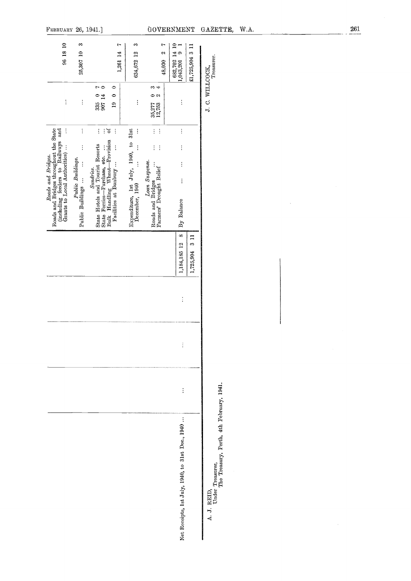| 96 18 10                                                                                               | $\infty$<br>25,307 10 | r<br>1,261 14                                                                                                              | S<br>634,672 12                                              | ŗ<br>$\sim$<br>48,030                                          | 682,702 14 10<br>$\circ$<br>1,043,201            | £1,725,904 3 11 | Treasurer.                                                                  |  |
|--------------------------------------------------------------------------------------------------------|-----------------------|----------------------------------------------------------------------------------------------------------------------------|--------------------------------------------------------------|----------------------------------------------------------------|--------------------------------------------------|-----------------|-----------------------------------------------------------------------------|--|
| $\vdots$                                                                                               | $\vdots$              | $\bullet$<br>5<br>335 0<br>907 14<br>$\bullet$<br>$\overline{a}$                                                           | $\vdots$                                                     | m 4<br>0<br>$\boldsymbol{\omega}$<br>35,277<br>12,753          | $\vdots$                                         |                 | J. C. WILLCOCK,                                                             |  |
|                                                                                                        | $\vdots$<br>$\vdots$  | $\ddot{\sigma}$<br>$\vdots$<br>$\vdots$                                                                                    |                                                              | $\vdots$<br>$\vdots$<br>$\vdots$<br>$\ddot{\cdot}$             | $\vdots$<br>$\vdots$                             |                 |                                                                             |  |
| Roads and Bridges.                                                                                     | Public Buildings.     | Sundries.                                                                                                                  |                                                              |                                                                | $\vdots$                                         |                 |                                                                             |  |
| Roads and Bridges throughout the State (including feeders to Railways and Grants to Local Authorities) | Public Buildings      | Bulk Handling Wheat-Provision<br>Facilities at Bunbury<br>State Hotels and Tourist Resorts<br>State Ferries-Purchase, etc. | Expenditure, 1st July, 1940, to 31st December, 1940 $\cdots$ | Loan Suspense.<br>Roads and Bridges<br>Farmers' Drought Relief | $\vdots$<br>By Balance                           |                 |                                                                             |  |
|                                                                                                        |                       |                                                                                                                            |                                                              |                                                                | $\infty$<br>1,184,185 12                         | 1,725,904 3 11  |                                                                             |  |
|                                                                                                        |                       |                                                                                                                            |                                                              |                                                                | $\vdots$                                         |                 |                                                                             |  |
|                                                                                                        |                       |                                                                                                                            |                                                              |                                                                |                                                  |                 |                                                                             |  |
|                                                                                                        |                       |                                                                                                                            |                                                              |                                                                | $\vdots$                                         |                 |                                                                             |  |
|                                                                                                        |                       |                                                                                                                            |                                                              |                                                                | Net Receipts, 1st July, 1940, to 31st Dec., 1940 |                 | A. J. REID,<br>Under Treasurer,<br>The Treasury, Perth, 4th February, 1941. |  |

FEBRUARY 26, 1941.]

 $261$ 

 $\hat{\mathcal{A}}$